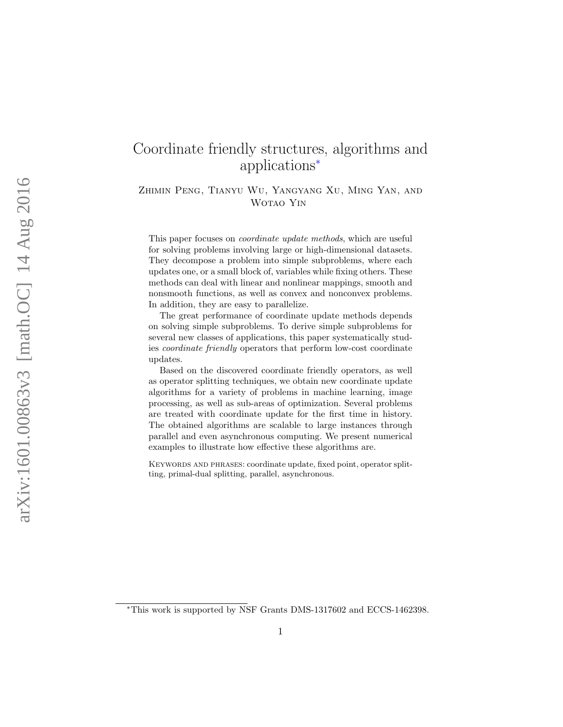# <span id="page-0-1"></span>Coordinate friendly structures, algorithms and applications [∗](#page-0-0)

Zhimin Peng, Tianyu Wu, Yangyang Xu, Ming Yan, and Wotao Yin

This paper focuses on coordinate update methods, which are useful for solving problems involving large or high-dimensional datasets. They decompose a problem into simple subproblems, where each updates one, or a small block of, variables while fixing others. These methods can deal with linear and nonlinear mappings, smooth and nonsmooth functions, as well as convex and nonconvex problems. In addition, they are easy to parallelize.

The great performance of coordinate update methods depends on solving simple subproblems. To derive simple subproblems for several new classes of applications, this paper systematically studies coordinate friendly operators that perform low-cost coordinate updates.

Based on the discovered coordinate friendly operators, as well as operator splitting techniques, we obtain new coordinate update algorithms for a variety of problems in machine learning, image processing, as well as sub-areas of optimization. Several problems are treated with coordinate update for the first time in history. The obtained algorithms are scalable to large instances through parallel and even asynchronous computing. We present numerical examples to illustrate how effective these algorithms are.

KEYWORDS AND PHRASES: coordinate update, fixed point, operator splitting, primal-dual splitting, parallel, asynchronous.

<span id="page-0-0"></span><sup>∗</sup>This work is supported by NSF Grants DMS-1317602 and ECCS-1462398.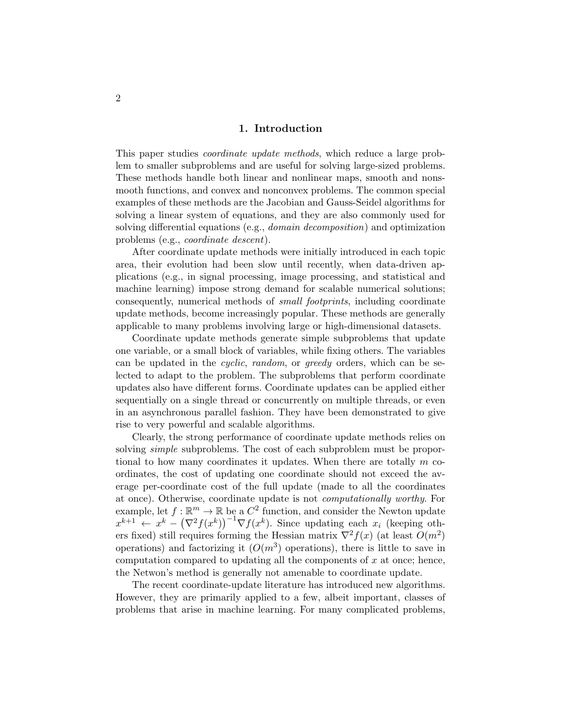### 1. Introduction

This paper studies coordinate update methods, which reduce a large problem to smaller subproblems and are useful for solving large-sized problems. These methods handle both linear and nonlinear maps, smooth and nonsmooth functions, and convex and nonconvex problems. The common special examples of these methods are the Jacobian and Gauss-Seidel algorithms for solving a linear system of equations, and they are also commonly used for solving differential equations (e.g., domain decomposition) and optimization problems (e.g., coordinate descent).

After coordinate update methods were initially introduced in each topic area, their evolution had been slow until recently, when data-driven applications (e.g., in signal processing, image processing, and statistical and machine learning) impose strong demand for scalable numerical solutions; consequently, numerical methods of small footprints, including coordinate update methods, become increasingly popular. These methods are generally applicable to many problems involving large or high-dimensional datasets.

Coordinate update methods generate simple subproblems that update one variable, or a small block of variables, while fixing others. The variables can be updated in the cyclic, random, or greedy orders, which can be selected to adapt to the problem. The subproblems that perform coordinate updates also have different forms. Coordinate updates can be applied either sequentially on a single thread or concurrently on multiple threads, or even in an asynchronous parallel fashion. They have been demonstrated to give rise to very powerful and scalable algorithms.

Clearly, the strong performance of coordinate update methods relies on solving *simple* subproblems. The cost of each subproblem must be proportional to how many coordinates it updates. When there are totally  $m$  coordinates, the cost of updating one coordinate should not exceed the average per-coordinate cost of the full update (made to all the coordinates at once). Otherwise, coordinate update is not computationally worthy. For example, let  $f : \mathbb{R}^m \to \mathbb{R}$  be a  $C^2$  function, and consider the Newton update  $x^{k+1}$   $\leftarrow x^k - (\nabla^2 f(x^k))^{-1} \nabla f(x^k)$ . Since updating each  $x_i$  (keeping others fixed) still requires forming the Hessian matrix  $\nabla^2 f(x)$  (at least  $O(m^2)$ ) operations) and factorizing it  $(O(m^3)$  operations), there is little to save in computation compared to updating all the components of  $x$  at once; hence, the Netwon's method is generally not amenable to coordinate update.

The recent coordinate-update literature has introduced new algorithms. However, they are primarily applied to a few, albeit important, classes of problems that arise in machine learning. For many complicated problems,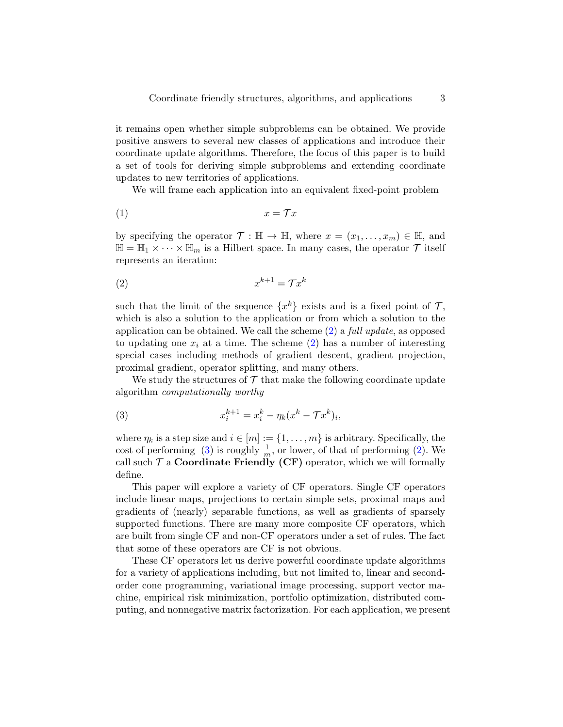it remains open whether simple subproblems can be obtained. We provide positive answers to several new classes of applications and introduce their coordinate update algorithms. Therefore, the focus of this paper is to build a set of tools for deriving simple subproblems and extending coordinate updates to new territories of applications.

We will frame each application into an equivalent fixed-point problem

$$
(1) \t\t x = \mathcal{T}x
$$

by specifying the operator  $\mathcal{T} : \mathbb{H} \to \mathbb{H}$ , where  $x = (x_1, \ldots, x_m) \in \mathbb{H}$ , and  $\mathbb{H} = \mathbb{H}_1 \times \cdots \times \mathbb{H}_m$  is a Hilbert space. In many cases, the operator  $\mathcal T$  itself represents an iteration:

<span id="page-2-0"></span>
$$
(2) \t\t x^{k+1} = \mathcal{T}x^k
$$

such that the limit of the sequence  $\{x^k\}$  exists and is a fixed point of  $\mathcal{T}$ , which is also a solution to the application or from which a solution to the application can be obtained. We call the scheme  $(2)$  a full update, as opposed to updating one  $x_i$  at a time. The scheme [\(2\)](#page-2-0) has a number of interesting special cases including methods of gradient descent, gradient projection, proximal gradient, operator splitting, and many others.

We study the structures of  $\mathcal T$  that make the following coordinate update algorithm computationally worthy

<span id="page-2-1"></span>(3) 
$$
x_i^{k+1} = x_i^k - \eta_k (x^k - \mathcal{T}x^k)_i,
$$

where  $\eta_k$  is a step size and  $i \in [m] := \{1, \ldots, m\}$  is arbitrary. Specifically, the cost of performing [\(3\)](#page-2-1) is roughly  $\frac{1}{m}$ , or lower, of that of performing [\(2\)](#page-2-0). We call such  $\mathcal T$  a **Coordinate Friendly (CF)** operator, which we will formally define.

This paper will explore a variety of CF operators. Single CF operators include linear maps, projections to certain simple sets, proximal maps and gradients of (nearly) separable functions, as well as gradients of sparsely supported functions. There are many more composite CF operators, which are built from single CF and non-CF operators under a set of rules. The fact that some of these operators are CF is not obvious.

These CF operators let us derive powerful coordinate update algorithms for a variety of applications including, but not limited to, linear and secondorder cone programming, variational image processing, support vector machine, empirical risk minimization, portfolio optimization, distributed computing, and nonnegative matrix factorization. For each application, we present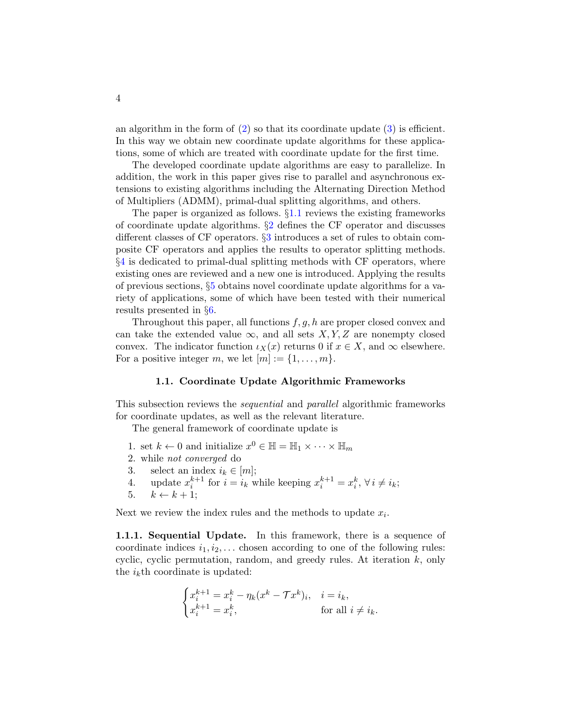an algorithm in the form of  $(2)$  so that its coordinate update  $(3)$  is efficient. In this way we obtain new coordinate update algorithms for these applications, some of which are treated with coordinate update for the first time.

The developed coordinate update algorithms are easy to parallelize. In addition, the work in this paper gives rise to parallel and asynchronous extensions to existing algorithms including the Alternating Direction Method of Multipliers (ADMM), primal-dual splitting algorithms, and others.

The paper is organized as follows. §[1.1](#page-3-0) reviews the existing frameworks of coordinate update algorithms.  $\S$ [2](#page-8-0) defines the CF operator and discusses different classes of CF operators. §[3](#page-14-0) introduces a set of rules to obtain composite CF operators and applies the results to operator splitting methods. §[4](#page-21-0) is dedicated to primal-dual splitting methods with CF operators, where existing ones are reviewed and a new one is introduced. Applying the results of previous sections, §[5](#page-29-0) obtains novel coordinate update algorithms for a variety of applications, some of which have been tested with their numerical results presented in §[6.](#page-42-0)

Throughout this paper, all functions  $f, g, h$  are proper closed convex and can take the extended value  $\infty$ , and all sets X, Y, Z are nonempty closed convex. The indicator function  $\iota_X(x)$  returns 0 if  $x \in X$ , and  $\infty$  elsewhere. For a positive integer m, we let  $[m] := \{1, \ldots, m\}.$ 

#### 1.1. Coordinate Update Algorithmic Frameworks

<span id="page-3-0"></span>This subsection reviews the *sequential* and *parallel* algorithmic frameworks for coordinate updates, as well as the relevant literature.

The general framework of coordinate update is

- 1. set  $k \leftarrow 0$  and initialize  $x^0 \in \mathbb{H} = \mathbb{H}_1 \times \cdots \times \mathbb{H}_m$
- 2. while not converged do
- 3. select an index  $i_k \in [m];$
- 4. update  $x_i^{k+1}$  for  $i = i_k$  while keeping  $x_i^{k+1} = x_i^k$ ,  $\forall i \neq i_k$ ;
- 5.  $k \leftarrow k + 1$ ;

Next we review the index rules and the methods to update  $x_i$ .

**1.1.1. Sequential Update.** In this framework, there is a sequence of coordinate indices  $i_1, i_2, \ldots$  chosen according to one of the following rules: cyclic, cyclic permutation, random, and greedy rules. At iteration  $k$ , only the  $i_k$ <sup>th</sup> coordinate is updated:

$$
\begin{cases} x_i^{k+1} = x_i^k - \eta_k (x^k - \mathcal{T}x^k)_i, & i = i_k, \\ x_i^{k+1} = x_i^k, & \text{for all } i \neq i_k. \end{cases}
$$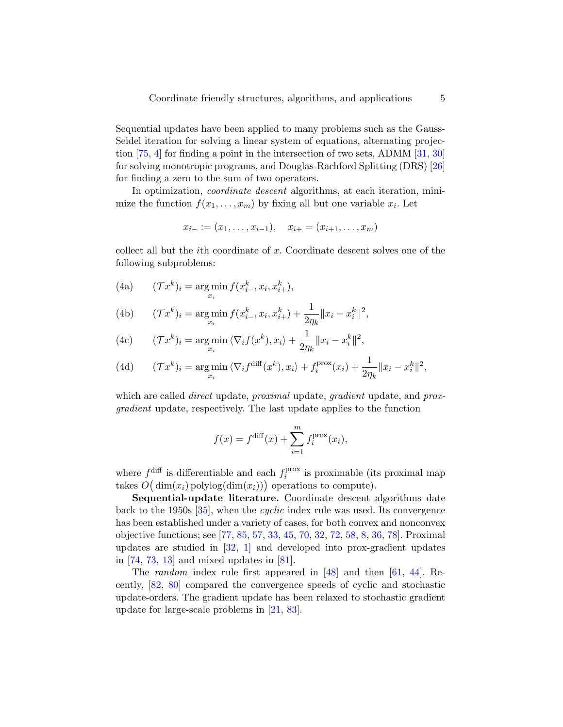Sequential updates have been applied to many problems such as the Gauss-Seidel iteration for solving a linear system of equations, alternating projection [\[75,](#page-53-0) [4\]](#page-47-0) for finding a point in the intersection of two sets, ADMM [\[31,](#page-50-0) [30\]](#page-50-1) for solving monotropic programs, and Douglas-Rachford Splitting (DRS) [\[26\]](#page-49-0) for finding a zero to the sum of two operators.

In optimization, *coordinate descent* algorithms, at each iteration, minimize the function  $f(x_1, \ldots, x_m)$  by fixing all but one variable  $x_i$ . Let

$$
x_{i-} := (x_1, \ldots, x_{i-1}), \quad x_{i+} = (x_{i+1}, \ldots, x_m)
$$

collect all but the ith coordinate of x. Coordinate descent solves one of the following subproblems:

(4a) 
$$
(\mathcal{T}x^k)_i = \argmin_{x_i} f(x^k_{i-}, x_i, x^k_{i+}),
$$

(4b) 
$$
(\mathcal{T}x^k)_i = \underset{x_i}{\arg\min} f(x_{i-}^k, x_i, x_{i+}^k) + \frac{1}{2\eta_k} \|x_i - x_i^k\|^2,
$$

(4c) 
$$
(\mathcal{T}x^k)_i = \underset{x_i}{\arg\min} \langle \nabla_i f(x^k), x_i \rangle + \frac{1}{2\eta_k} ||x_i - x_i^k||^2,
$$

(4d) 
$$
(\mathcal{T}x^k)_i = \underset{x_i}{\arg\min} \langle \nabla_i f^{\text{diff}}(x^k), x_i \rangle + f_i^{\text{prox}}(x_i) + \frac{1}{2\eta_k} ||x_i - x_i^k||^2,
$$

which are called *direct* update, *proximal* update, *gradient* update, and *prox*gradient update, respectively. The last update applies to the function

$$
f(x) = f^{\text{diff}}(x) + \sum_{i=1}^{m} f_i^{\text{prox}}(x_i),
$$

where  $f^{\text{diff}}$  is differentiable and each  $f_i^{\text{prox}}$  $i_i^{\text{prox}}$  is proximable (its proximal map takes  $O(dim(x_i)$  polylog $(dim(x_i))$  operations to compute).

Sequential-update literature. Coordinate descent algorithms date back to the 1950s [\[35\]](#page-50-2), when the cyclic index rule was used. Its convergence has been established under a variety of cases, for both convex and nonconvex objective functions; see [\[77,](#page-53-1) [85,](#page-54-0) [57,](#page-52-0) [33,](#page-50-3) [45,](#page-51-0) [70,](#page-53-2) [32,](#page-50-4) [72,](#page-53-3) [58,](#page-52-1) [8,](#page-48-0) [36,](#page-50-5) [78\]](#page-53-4). Proximal updates are studied in [\[32,](#page-50-4) [1\]](#page-47-1) and developed into prox-gradient updates in [\[74,](#page-53-5) [73,](#page-53-6) [13\]](#page-48-1) and mixed updates in [\[81\]](#page-54-1).

The random index rule first appeared in [\[48\]](#page-51-1) and then [\[61,](#page-52-2) [44\]](#page-51-2). Recently, [\[82,](#page-54-2) [80\]](#page-54-3) compared the convergence speeds of cyclic and stochastic update-orders. The gradient update has been relaxed to stochastic gradient update for large-scale problems in [\[21,](#page-49-1) [83\]](#page-54-4).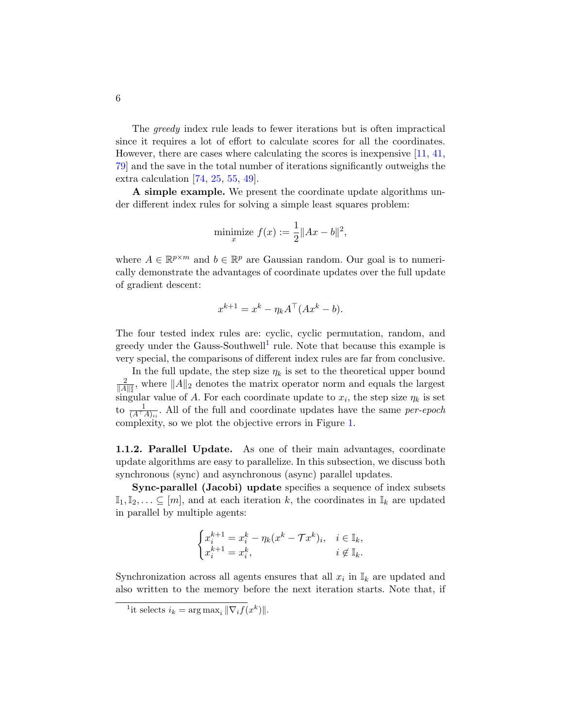The greedy index rule leads to fewer iterations but is often impractical since it requires a lot of effort to calculate scores for all the coordinates. However, there are cases where calculating the scores is inexpensive [\[11,](#page-48-2) [41,](#page-50-6) [79\]](#page-54-5) and the save in the total number of iterations significantly outweighs the extra calculation [\[74,](#page-53-5) [25,](#page-49-2) [55,](#page-52-3) [49\]](#page-51-3).

A simple example. We present the coordinate update algorithms under different index rules for solving a simple least squares problem:

minimize 
$$
f(x) := \frac{1}{2} ||Ax - b||^2
$$
,

where  $A \in \mathbb{R}^{p \times m}$  and  $b \in \mathbb{R}^p$  are Gaussian random. Our goal is to numerically demonstrate the advantages of coordinate updates over the full update of gradient descent:

$$
x^{k+1} = x^k - \eta_k A^\top (Ax^k - b).
$$

The four tested index rules are: cyclic, cyclic permutation, random, and greedy under the Gauss-Southwell<sup>[1](#page-5-0)</sup> rule. Note that because this example is very special, the comparisons of different index rules are far from conclusive.

In the full update, the step size  $\eta_k$  is set to the theoretical upper bound 2  $\frac{2}{\|A\|_2^2}$ , where  $\|A\|_2$  denotes the matrix operator norm and equals the largest singular value of A. For each coordinate update to  $x_i$ , the step size  $\eta_k$  is set to  $\frac{1}{(A^{\top}A)_{ii}}$ . All of the full and coordinate updates have the same *per-epoch* complexity, so we plot the objective errors in Figure [1.](#page-6-0)

1.1.2. Parallel Update. As one of their main advantages, coordinate update algorithms are easy to parallelize. In this subsection, we discuss both synchronous (sync) and asynchronous (async) parallel updates.

Sync-parallel (Jacobi) update specifies a sequence of index subsets  $\mathbb{I}_1, \mathbb{I}_2, \ldots \subseteq [m]$ , and at each iteration k, the coordinates in  $\mathbb{I}_k$  are updated in parallel by multiple agents:

$$
\begin{cases} x_i^{k+1}=x_i^k-\eta_k(x^k-\mathcal{T}x^k)_i, & i\in\mathbb{I}_k,\\ x_i^{k+1}=x_i^k, & i\not\in\mathbb{I}_k. \end{cases}
$$

Synchronization across all agents ensures that all  $x_i$  in  $\mathbb{I}_k$  are updated and also written to the memory before the next iteration starts. Note that, if

<span id="page-5-0"></span><sup>&</sup>lt;sup>1</sup>it selects  $i_k = \arg \max_i ||\nabla_i f(x^k)||$ .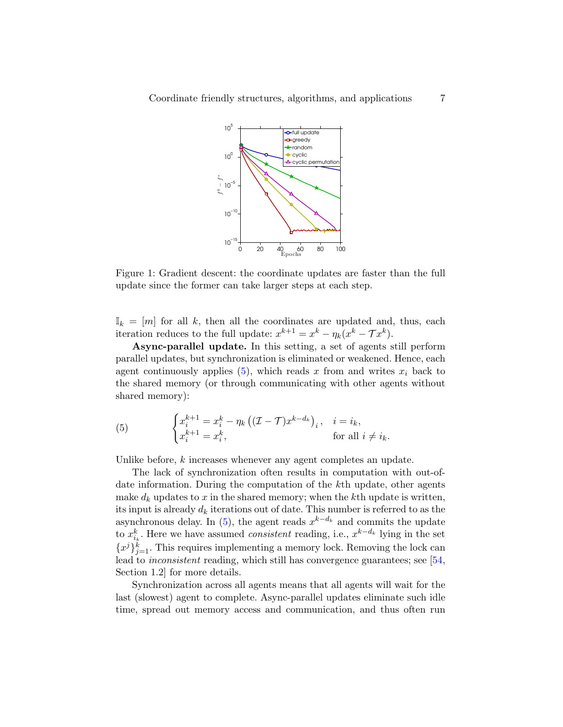<span id="page-6-0"></span>

Figure 1: Gradient descent: the coordinate updates are faster than the full update since the former can take larger steps at each step.

 $\mathbb{I}_k = [m]$  for all k, then all the coordinates are updated and, thus, each iteration reduces to the full update:  $x^{k+1} = x^k - \eta_k (x^k - \mathcal{T}x^k)$ .

Async-parallel update. In this setting, a set of agents still perform parallel updates, but synchronization is eliminated or weakened. Hence, each agent continuously applies  $(5)$ , which reads x from and writes  $x_i$  back to the shared memory (or through communicating with other agents without shared memory):

<span id="page-6-1"></span>(5) 
$$
\begin{cases} x_i^{k+1} = x_i^k - \eta_k \left( (\mathcal{I} - \mathcal{T}) x^{k-d_k} \right)_i, & i = i_k, \\ x_i^{k+1} = x_i^k, & \text{for all } i \neq i_k. \end{cases}
$$

Unlike before, k increases whenever any agent completes an update.

The lack of synchronization often results in computation with out-ofdate information. During the computation of the kth update, other agents make  $d_k$  updates to x in the shared memory; when the kth update is written, its input is already  $d_k$  iterations out of date. This number is referred to as the asynchronous delay. In [\(5\)](#page-6-1), the agent reads  $x^{k-d_k}$  and commits the update to  $x_{i_k}^k$ . Here we have assumed *consistent* reading, i.e.,  $x^{k-d_k}$  lying in the set  ${x_j}_{j=1}^k$ . This requires implementing a memory lock. Removing the lock can lead to *inconsistent* reading, which still has convergence guarantees; see [\[54,](#page-52-4) Section 1.2] for more details.

Synchronization across all agents means that all agents will wait for the last (slowest) agent to complete. Async-parallel updates eliminate such idle time, spread out memory access and communication, and thus often run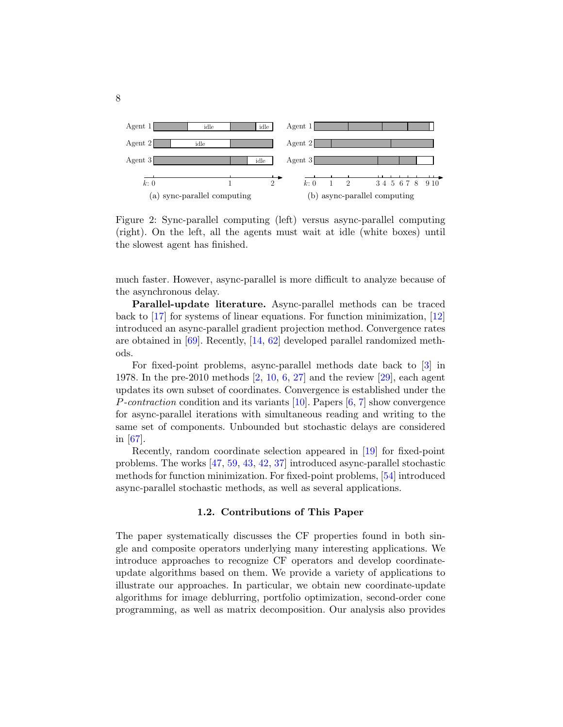

Figure 2: Sync-parallel computing (left) versus async-parallel computing (right). On the left, all the agents must wait at idle (white boxes) until the slowest agent has finished.

much faster. However, async-parallel is more difficult to analyze because of the asynchronous delay.

Parallel-update literature. Async-parallel methods can be traced back to [\[17\]](#page-48-3) for systems of linear equations. For function minimization, [\[12\]](#page-48-4) introduced an async-parallel gradient projection method. Convergence rates are obtained in [\[69\]](#page-53-7). Recently, [\[14,](#page-48-5) [62\]](#page-52-5) developed parallel randomized methods.

For fixed-point problems, async-parallel methods date back to [\[3\]](#page-47-2) in 1978. In the pre-2010 methods [\[2,](#page-47-3) [10,](#page-48-6) [6,](#page-48-7) [27\]](#page-49-3) and the review [\[29\]](#page-49-4), each agent updates its own subset of coordinates. Convergence is established under the *P*-contraction condition and its variants [\[10\]](#page-48-6). Papers  $[6, 7]$  $[6, 7]$  $[6, 7]$  show convergence for async-parallel iterations with simultaneous reading and writing to the same set of components. Unbounded but stochastic delays are considered in [\[67\]](#page-53-8).

Recently, random coordinate selection appeared in [\[19\]](#page-49-5) for fixed-point problems. The works [\[47,](#page-51-4) [59,](#page-52-6) [43,](#page-51-5) [42,](#page-51-6) [37\]](#page-50-7) introduced async-parallel stochastic methods for function minimization. For fixed-point problems, [\[54\]](#page-52-4) introduced async-parallel stochastic methods, as well as several applications.

### 1.2. Contributions of This Paper

The paper systematically discusses the CF properties found in both single and composite operators underlying many interesting applications. We introduce approaches to recognize CF operators and develop coordinateupdate algorithms based on them. We provide a variety of applications to illustrate our approaches. In particular, we obtain new coordinate-update algorithms for image deblurring, portfolio optimization, second-order cone programming, as well as matrix decomposition. Our analysis also provides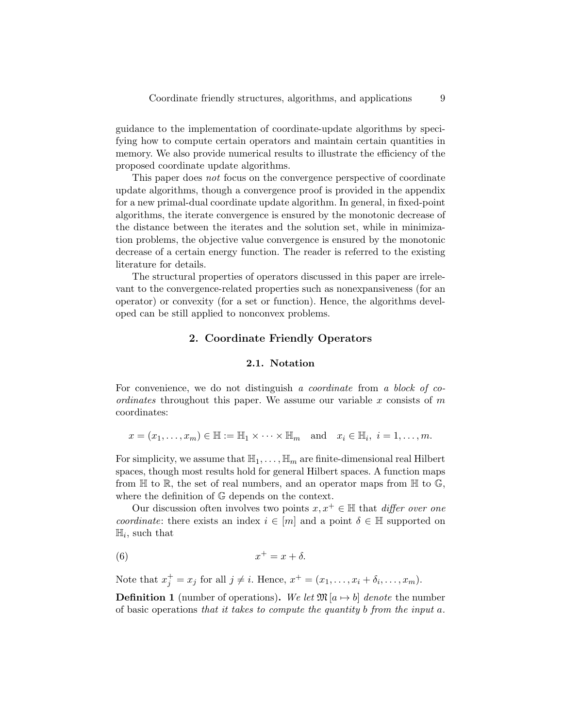guidance to the implementation of coordinate-update algorithms by specifying how to compute certain operators and maintain certain quantities in memory. We also provide numerical results to illustrate the efficiency of the proposed coordinate update algorithms.

This paper does not focus on the convergence perspective of coordinate update algorithms, though a convergence proof is provided in the appendix for a new primal-dual coordinate update algorithm. In general, in fixed-point algorithms, the iterate convergence is ensured by the monotonic decrease of the distance between the iterates and the solution set, while in minimization problems, the objective value convergence is ensured by the monotonic decrease of a certain energy function. The reader is referred to the existing literature for details.

The structural properties of operators discussed in this paper are irrelevant to the convergence-related properties such as nonexpansiveness (for an operator) or convexity (for a set or function). Hence, the algorithms developed can be still applied to nonconvex problems.

### 2. Coordinate Friendly Operators

### 2.1. Notation

<span id="page-8-0"></span>For convenience, we do not distinguish a *coordinate* from a block of co*ordinates* throughout this paper. We assume our variable x consists of  $m$ coordinates:

$$
x = (x_1, \ldots, x_m) \in \mathbb{H} := \mathbb{H}_1 \times \cdots \times \mathbb{H}_m
$$
 and  $x_i \in \mathbb{H}_i$ ,  $i = 1, \ldots, m$ .

For simplicity, we assume that  $\mathbb{H}_1, \ldots, \mathbb{H}_m$  are finite-dimensional real Hilbert spaces, though most results hold for general Hilbert spaces. A function maps from  $\mathbb H$  to  $\mathbb R$ , the set of real numbers, and an operator maps from  $\mathbb H$  to  $\mathbb G$ , where the definition of G depends on the context.

Our discussion often involves two points  $x, x^+ \in \mathbb{H}$  that *differ over one* coordinate: there exists an index  $i \in [m]$  and a point  $\delta \in \mathbb{H}$  supported on  $\mathbb{H}_i$ , such that

<span id="page-8-1"></span>
$$
(6) \t\t x^+ = x + \delta.
$$

Note that  $x_j^+ = x_j$  for all  $j \neq i$ . Hence,  $x^+ = (x_1, \ldots, x_i + \delta_i, \ldots, x_m)$ .

**Definition 1** (number of operations). We let  $\mathfrak{M}[a \mapsto b]$  denote the number of basic operations that it takes to compute the quantity b from the input a.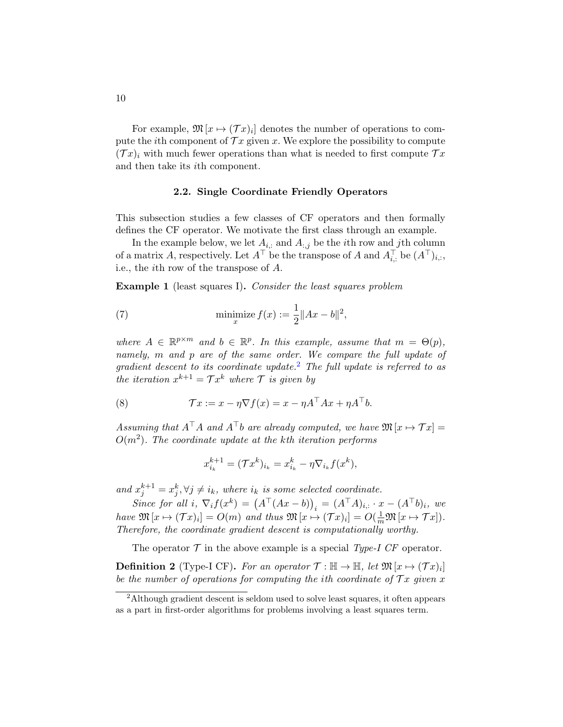For example,  $\mathfrak{M}[x \mapsto (\mathcal{T}x)_i]$  denotes the number of operations to compute the *i*th component of  $\mathcal{T} x$  given x. We explore the possibility to compute  $(Tx)_i$  with much fewer operations than what is needed to first compute  $Tx$ and then take its ith component.

### 2.2. Single Coordinate Friendly Operators

This subsection studies a few classes of CF operators and then formally defines the CF operator. We motivate the first class through an example.

In the example below, we let  $A_{i,:}$  and  $A_{:,j}$  be the *i*th row and *j*th column of a matrix A, respectively. Let  $A^{\top}$  be the transpose of A and  $A_{i,:}^{\top}$  be  $(A^{\top})_{i,:}$ , i.e., the ith row of the transpose of A.

<span id="page-9-1"></span>Example 1 (least squares I). Consider the least squares problem

(7) 
$$
\min_{x} \text{imize } f(x) := \frac{1}{2} \|Ax - b\|^2,
$$

where  $A \in \mathbb{R}^{p \times m}$  and  $b \in \mathbb{R}^p$ . In this example, assume that  $m = \Theta(p)$ , namely, m and p are of the same order. We compare the full update of  $gradient$  descent to its coordinate update.<sup>[2](#page-9-0)</sup> The full update is referred to as the iteration  $x^{k+1} = \mathcal{T}x^k$  where  $\mathcal{T}$  is given by

(8) 
$$
\mathcal{T}x := x - \eta \nabla f(x) = x - \eta A^{\top} A x + \eta A^{\top} b.
$$

Assuming that  $A^{\top}A$  and  $A^{\top}b$  are already computed, we have  $\mathfrak{M}[x \mapsto \mathcal{T}x] =$  $O(m^2)$ . The coordinate update at the kth iteration performs

<span id="page-9-2"></span>
$$
x_{i_k}^{k+1} = (\mathcal{T}x^k)_{i_k} = x_{i_k}^k - \eta \nabla_{i_k} f(x^k),
$$

and  $x_j^{k+1} = x_j^k, \forall j \neq i_k$ , where  $i_k$  is some selected coordinate.

Since for all i,  $\nabla_i f(x^k) = (A^{\top} (Ax - b))_i = (A^{\top} A)_{i,:} \cdot x - (A^{\top} b)_i$ , we have  $\mathfrak{M}[x \mapsto (\mathcal{T}x)_i] = O(m)$  and thus  $\mathfrak{M}[x \mapsto (\mathcal{T}x)_i] = O(\frac{1}{m}\mathfrak{M}[x \mapsto \mathcal{T}x]).$ Therefore, the coordinate gradient descent is computationally worthy.

The operator  $\mathcal T$  in the above example is a special Type-I CF operator.

**Definition 2** (Type-I CF). For an operator  $\mathcal{T} : \mathbb{H} \to \mathbb{H}$ , let  $\mathfrak{M}[x \mapsto (\mathcal{T}x)_i]$ be the number of operations for computing the ith coordinate of  $\mathcal{T} x$  given x

<span id="page-9-0"></span><sup>2</sup>Although gradient descent is seldom used to solve least squares, it often appears as a part in first-order algorithms for problems involving a least squares term.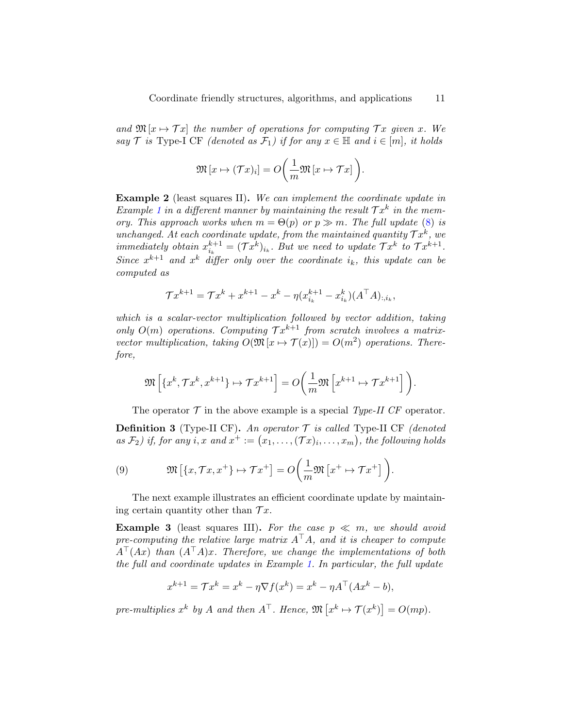and  $\mathfrak{M}[x \mapsto \mathcal{T}x]$  the number of operations for computing  $\mathcal{T}x$  given x. We say  $\mathcal T$  is Type-I CF (denoted as  $\mathcal F_1$ ) if for any  $x \in \mathbb H$  and  $i \in [m]$ , it holds

$$
\mathfrak{M}\left[x\mapsto(\mathcal{T}x)_i\right]=O\bigg(\frac{1}{m}\mathfrak{M}\left[x\mapsto\mathcal{T}x\right]\bigg).
$$

<span id="page-10-1"></span>Example 2 (least squares II). We can implement the coordinate update in Example [1](#page-9-1) in a different manner by maintaining the result  $\mathcal{T}x^k$  in the memory. This approach works when  $m = \Theta(p)$  or  $p \gg m$ . The full update [\(8\)](#page-9-2) is unchanged. At each coordinate update, from the maintained quantity  $\mathcal{T}x^k$ , we immediately obtain  $x_{i_k}^{k+1} = (\mathcal{T}x^k)_{i_k}$ . But we need to update  $\mathcal{T}x^k$  to  $\mathcal{T}x^{k+1}$ . Since  $x^{k+1}$  and  $x^k$  differ only over the coordinate  $i_k$ , this update can be computed as

$$
\mathcal{T}x^{k+1} = \mathcal{T}x^k + x^{k+1} - x^k - \eta(x_{i_k}^{k+1} - x_{i_k}^k)(A^{\top}A)_{:,i_k},
$$

which is a scalar-vector multiplication followed by vector addition, taking only  $O(m)$  operations. Computing  $Tx^{k+1}$  from scratch involves a matrixvector multiplication, taking  $O(\mathfrak{M}\left[x \mapsto \mathcal{T}(x)\right]) = O(m^2)$  operations. Therefore,

$$
\mathfrak{M}\left[\left\{x^k, \mathcal{T}x^k, x^{k+1}\right\} \mapsto \mathcal{T}x^{k+1}\right] = O\!\left(\frac{1}{m}\mathfrak{M}\left[x^{k+1} \mapsto \mathcal{T}x^{k+1}\right]\right)
$$

The operator  $\mathcal T$  in the above example is a special Type-II CF operator.

.

**Definition 3** (Type-II CF). An operator  $\mathcal T$  is called Type-II CF (denoted as  $\mathcal{F}_2$ ) if, for any i, x and  $x^+ := (x_1, \ldots, (\mathcal{T}x)_i, \ldots, x_m)$ , the following holds

<span id="page-10-0"></span>(9) 
$$
\mathfrak{M}\left[\left\{x,\mathcal{T}x,x^+\right\}\mapsto\mathcal{T}x^+\right]=O\left(\frac{1}{m}\mathfrak{M}\left[x^+\mapsto\mathcal{T}x^+\right]\right).
$$

The next example illustrates an efficient coordinate update by maintaining certain quantity other than  $\mathcal{T} x$ .

**Example 3** (least squares III). For the case  $p \ll m$ , we should avoid pre-computing the relative large matrix  $A^{\top}A$ , and it is cheaper to compute  $A^{\top}(Ax)$  than  $(A^{\top}A)x$ . Therefore, we change the implementations of both the full and coordinate updates in Example [1.](#page-9-1) In particular, the full update

$$
x^{k+1} = \mathcal{T}x^k = x^k - \eta \nabla f(x^k) = x^k - \eta A^\top (Ax^k - b),
$$

pre-multiplies  $x^k$  by A and then  $A^{\top}$ . Hence,  $\mathfrak{M}\left[x^k \mapsto \mathcal{T}(x^k)\right] = O(mp)$ .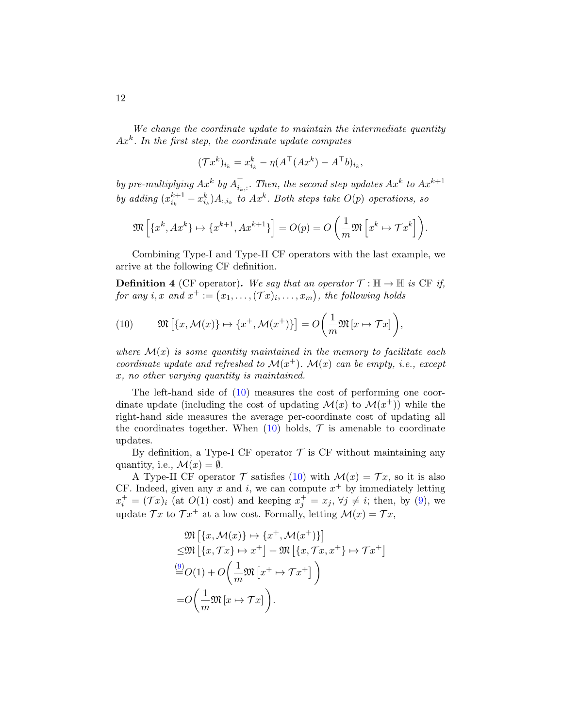We change the coordinate update to maintain the intermediate quantity  $Ax<sup>k</sup>$ . In the first step, the coordinate update computes

$$
(\mathcal{T}x^k)_{i_k} = x_{i_k}^k - \eta (A^\top (Ax^k) - A^\top b)_{i_k},
$$

by pre-multiplying  $Ax^k$  by  $A_{i_k,:}^{\top}$ . Then, the second step updates  $Ax^k$  to  $Ax^{k+1}$ by adding  $(x_{i_k}^{k+1} - x_{i_k}^k)A_{:,i_k}$  to  $Ax^k$ . Both steps take  $O(p)$  operations, so

$$
\mathfrak{M}\left[\left\{x^k, Ax^k\right\} \mapsto \left\{x^{k+1}, Ax^{k+1}\right\}\right] = O(p) = O\left(\frac{1}{m}\mathfrak{M}\left[x^k \mapsto \mathcal{T}x^k\right]\right).
$$

Combining Type-I and Type-II CF operators with the last example, we arrive at the following CF definition.

**Definition 4** (CF operator). We say that an operator  $\mathcal{T} : \mathbb{H} \to \mathbb{H}$  is CF if, for any i, x and  $x^+ := (x_1, \ldots, (\mathcal{T} x)_i, \ldots, x_m)$ , the following holds

<span id="page-11-0"></span>(10) 
$$
\mathfrak{M}\left[\left\{x,\mathcal{M}(x)\right\}\mapsto\left\{x^+,\mathcal{M}(x^+)\right\}\right]=O\left(\frac{1}{m}\mathfrak{M}\left[x\mapsto\mathcal{T}x\right]\right),
$$

where  $\mathcal{M}(x)$  is some quantity maintained in the memory to facilitate each coordinate update and refreshed to  $\mathcal{M}(x^+)$ .  $\mathcal{M}(x)$  can be empty, i.e., except x, no other varying quantity is maintained.

The left-hand side of [\(10\)](#page-11-0) measures the cost of performing one coordinate update (including the cost of updating  $\mathcal{M}(x)$  to  $\mathcal{M}(x^{+})$ ) while the right-hand side measures the average per-coordinate cost of updating all the coordinates together. When  $(10)$  holds,  $\mathcal T$  is amenable to coordinate updates.

By definition, a Type-I CF operator  $\mathcal T$  is CF without maintaining any quantity, i.e.,  $\mathcal{M}(x) = \emptyset$ .

A Type-II CF operator  $\mathcal T$  satisfies [\(10\)](#page-11-0) with  $\mathcal M(x) = \mathcal Tx$ , so it is also CF. Indeed, given any x and i, we can compute  $x^+$  by immediately letting  $x_i^+ = (\mathcal{T}x)_i$  (at  $O(1)$  cost) and keeping  $x_j^+ = x_j$ ,  $\forall j \neq i$ ; then, by [\(9\)](#page-10-0), we update  $\mathcal{T}x$  to  $\mathcal{T}x^+$  at a low cost. Formally, letting  $\mathcal{M}(x) = \mathcal{T}x$ ,

$$
\mathfrak{M}\left[\{x,\mathcal{M}(x)\}\mapsto\{x^+,\mathcal{M}(x^+)\}\right] \n\leq \mathfrak{M}\left[\{x,\mathcal{T}x\}\mapsto x^+\right] + \mathfrak{M}\left[\{x,\mathcal{T}x,x^+\}\mapsto \mathcal{T}x^+\right] \n\stackrel{(9)}{=} O(1) + O\left(\frac{1}{m}\mathfrak{M}\left[x^+\mapsto \mathcal{T}x^+\right]\right) \n= O\left(\frac{1}{m}\mathfrak{M}\left[x\mapsto \mathcal{T}x\right]\right).
$$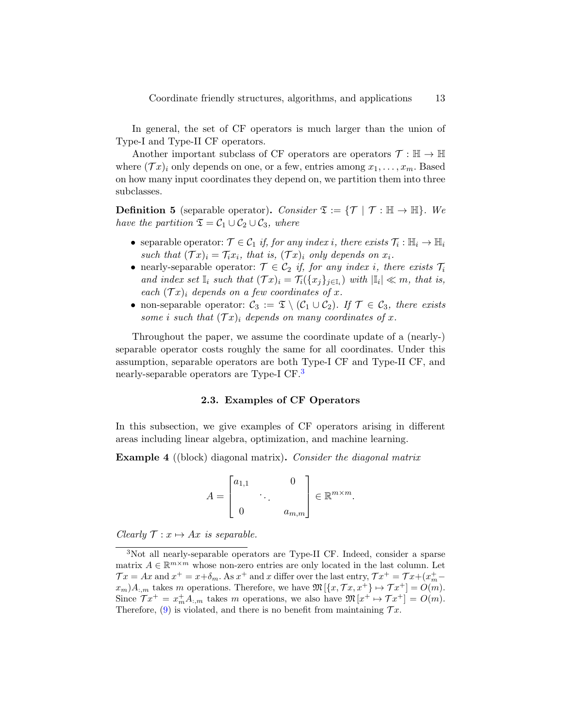In general, the set of CF operators is much larger than the union of Type-I and Type-II CF operators.

Another important subclass of CF operators are operators  $\mathcal{T} : \mathbb{H} \to \mathbb{H}$ where  $(\mathcal{T} x)_i$  only depends on one, or a few, entries among  $x_1, \ldots, x_m$ . Based on how many input coordinates they depend on, we partition them into three subclasses.

**Definition 5** (separable operator). Consider  $\mathfrak{T} := \{ \mathcal{T} \mid \mathcal{T} : \mathbb{H} \to \mathbb{H} \}$ . We have the partition  $\mathfrak{T} = \mathcal{C}_1 \cup \mathcal{C}_2 \cup \mathcal{C}_3$ , where

- separable operator:  $\mathcal{T} \in \mathcal{C}_1$  if, for any index i, there exists  $\mathcal{T}_i : \mathbb{H}_i \to \mathbb{H}_i$ such that  $(\mathcal{T} x)_i = \mathcal{T}_i x_i$ , that is,  $(\mathcal{T} x)_i$  only depends on  $x_i$ .
- nearly-separable operator:  $\mathcal{T} \in \mathcal{C}_2$  if, for any index i, there exists  $\mathcal{T}_i$ and index set  $\mathbb{I}_i$  such that  $(\mathcal{T}x)_i = \mathcal{T}_i({x_j}_{j \in \mathbb{I}_i})$  with  $|\mathbb{I}_i| \ll m$ , that is, each  $(\mathcal{T} x)_i$  depends on a few coordinates of x.
- non-separable operator:  $C_3 := \mathfrak{T} \setminus (C_1 \cup C_2)$ . If  $\mathcal{T} \in C_3$ , there exists some i such that  $(\mathcal{T} x)_i$  depends on many coordinates of x.

Throughout the paper, we assume the coordinate update of a (nearly-) separable operator costs roughly the same for all coordinates. Under this assumption, separable operators are both Type-I CF and Type-II CF, and nearly-separable operators are Type-I CF.<sup>[3](#page-12-0)</sup>

### 2.3. Examples of CF Operators

In this subsection, we give examples of CF operators arising in different areas including linear algebra, optimization, and machine learning.

Example 4 ((block) diagonal matrix). Consider the diagonal matrix

$$
A = \begin{bmatrix} a_{1,1} & 0 \\ & \ddots & \\ 0 & a_{m,m} \end{bmatrix} \in \mathbb{R}^{m \times m}.
$$

Clearly  $\mathcal{T} : x \mapsto Ax$  is separable.

<span id="page-12-0"></span><sup>3</sup>Not all nearly-separable operators are Type-II CF. Indeed, consider a sparse matrix  $A \in \mathbb{R}^{m \times m}$  whose non-zero entries are only located in the last column. Let  $\mathcal{T}x = Ax$  and  $x^+ = x + \delta_m$ . As  $x^+$  and x differ over the last entry,  $\mathcal{T}x^+ = \mathcal{T}x + (x^+_{m} - x^+_{m})$  $x_m$ , takes m operations. Therefore, we have  $\mathfrak{M}[\{x, \mathcal{T}x, x^+\} \mapsto \mathcal{T}x^+] = O(m)$ . Since  $\mathcal{T}x^+ = x^+_{m}A_{:,m}$  takes m operations, we also have  $\mathfrak{M}[x^+ \mapsto \mathcal{T}x^+] = O(m)$ . Therefore, [\(9\)](#page-10-0) is violated, and there is no benefit from maintaining  $\mathcal{T} x$ .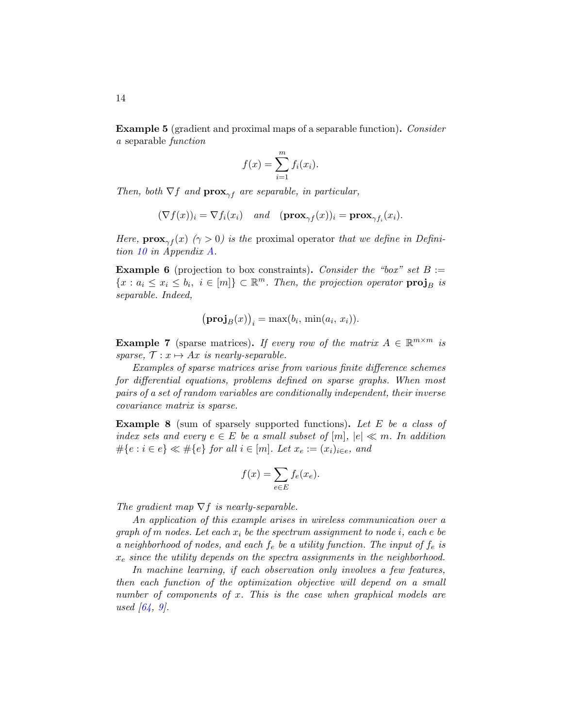Example 5 (gradient and proximal maps of a separable function). Consider a separable function

$$
f(x) = \sum_{i=1}^{m} f_i(x_i).
$$

Then, both  $\nabla f$  and  $\mathbf{prox}_{\gamma f}$  are separable, in particular,

$$
(\nabla f(x))_i = \nabla f_i(x_i) \quad and \quad (\mathbf{prox}_{\gamma f}(x))_i = \mathbf{prox}_{\gamma f_i}(x_i).
$$

Here,  $\mathbf{prox}_{\gamma f}(x)$  ( $\gamma > 0$ ) is the proximal operator that we define in Definition [10](#page-55-0) in Appendix [A.](#page-54-6)

**Example 6** (projection to box constraints). Consider the "box" set  $B :=$  ${x : a_i \leq x_i \leq b_i, i \in [m]} \subset \mathbb{R}^m$ . Then, the projection operator  $\text{proj}_B$  is separable. Indeed,

$$
(\mathbf{proj}_B(x))_i = \max(b_i, \, \min(a_i, \, x_i)).
$$

**Example 7** (sparse matrices). If every row of the matrix  $A \in \mathbb{R}^{m \times m}$  is sparse,  $\mathcal{T}: x \mapsto Ax$  is nearly-separable.

Examples of sparse matrices arise from various finite difference schemes for differential equations, problems defined on sparse graphs. When most pairs of a set of random variables are conditionally independent, their inverse covariance matrix is sparse.

Example 8 (sum of sparsely supported functions). Let E be a class of index sets and every  $e \in E$  be a small subset of  $[m], |e| \ll m$ . In addition  $\#\{e : i \in e\} \ll \#\{e\}$  for all  $i \in [m]$ . Let  $x_e := (x_i)_{i \in e}$ , and

$$
f(x) = \sum_{e \in E} f_e(x_e).
$$

The gradient map  $\nabla f$  is nearly-separable.

An application of this example arises in wireless communication over a graph of m nodes. Let each  $x_i$  be the spectrum assignment to node i, each e be a neighborhood of nodes, and each  $f_e$  be a utility function. The input of  $f_e$  is  $x_e$  since the utility depends on the spectra assignments in the neighborhood.

In machine learning, if each observation only involves a few features, then each function of the optimization objective will depend on a small number of components of x. This is the case when graphical models are used  $[64, 9]$  $[64, 9]$  $[64, 9]$ .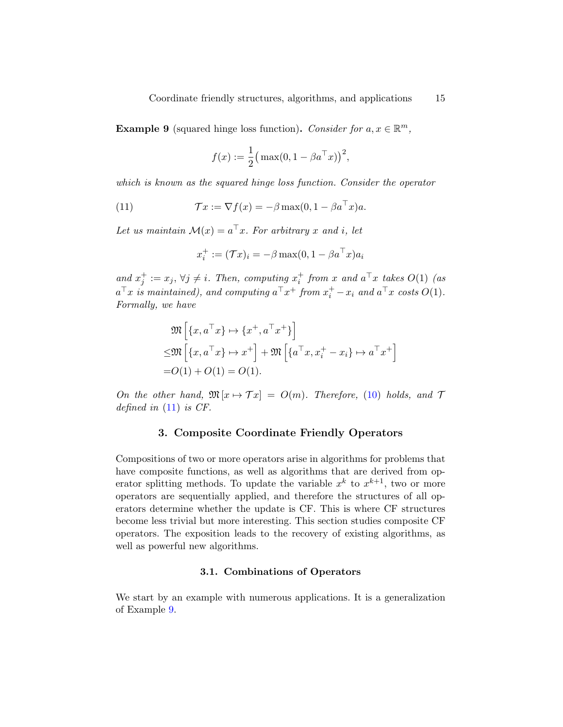<span id="page-14-2"></span>**Example 9** (squared hinge loss function). Consider for  $a, x \in \mathbb{R}^m$ ,

$$
f(x) := \frac{1}{2} (\max(0, 1 - \beta a^{\top} x))^2,
$$

which is known as the squared hinge loss function. Consider the operator

(11) 
$$
\mathcal{T}x := \nabla f(x) = -\beta \max(0, 1 - \beta a^{\top} x)a.
$$

Let us maintain  $\mathcal{M}(x) = a^{\top}x$ . For arbitrary x and i, let

<span id="page-14-1"></span>
$$
x_i^+ := (\mathcal{T}x)_i = -\beta \max(0, 1 - \beta a^\top x) a_i
$$

and  $x_j^+ := x_j$ ,  $\forall j \neq i$ . Then, computing  $x_i^+$  from x and  $a^{\top}x$  takes  $O(1)$  (as  $a^{\top}x$  is maintained), and computing  $a^{\top}x^+$  from  $x_i^+ - x_i$  and  $a^{\top}x$  costs  $O(1)$ . Formally, we have

$$
\mathfrak{M}\left[\{x, a^{\top}x\} \mapsto \{x^+, a^{\top}x^+\}\right] \leq \mathfrak{M}\left[\{x, a^{\top}x\} \mapsto x^+\right] + \mathfrak{M}\left[\{a^{\top}x, x_i^+ - x_i\} \mapsto a^{\top}x^+\right] = O(1) + O(1) = O(1).
$$

On the other hand,  $\mathfrak{M}[x \mapsto \mathcal{T}x] = O(m)$ . Therefore, [\(10\)](#page-11-0) holds, and  $\mathcal{T}$ defined in  $(11)$  is CF.

### 3. Composite Coordinate Friendly Operators

<span id="page-14-0"></span>Compositions of two or more operators arise in algorithms for problems that have composite functions, as well as algorithms that are derived from operator splitting methods. To update the variable  $x^k$  to  $x^{k+1}$ , two or more operators are sequentially applied, and therefore the structures of all operators determine whether the update is CF. This is where CF structures become less trivial but more interesting. This section studies composite CF operators. The exposition leads to the recovery of existing algorithms, as well as powerful new algorithms.

#### 3.1. Combinations of Operators

<span id="page-14-3"></span>We start by an example with numerous applications. It is a generalization of Example [9.](#page-14-2)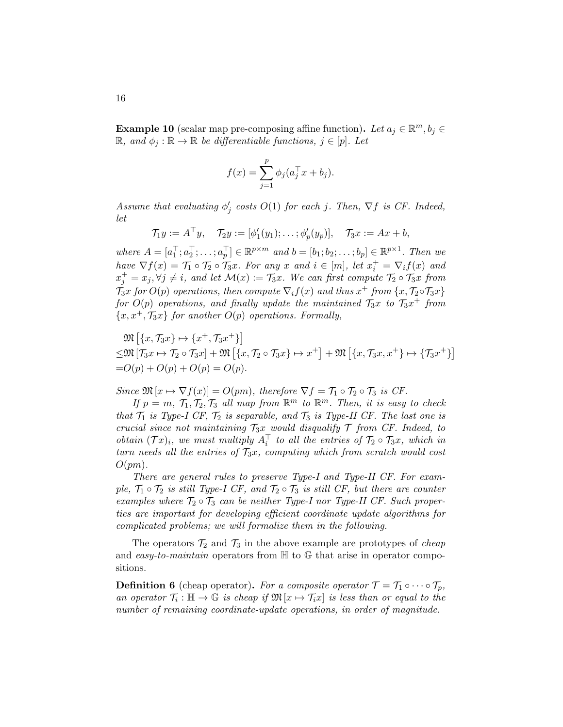<span id="page-15-0"></span>**Example 10** (scalar map pre-composing affine function). Let  $a_j \in \mathbb{R}^m$ ,  $b_j \in$  $\mathbb{R}$ , and  $\phi_j : \mathbb{R} \to \mathbb{R}$  be differentiable functions,  $j \in [p]$ . Let

$$
f(x) = \sum_{j=1}^{p} \phi_j (a_j^{\top} x + b_j).
$$

Assume that evaluating  $\phi'_j$  costs  $O(1)$  for each j. Then,  $\nabla f$  is CF. Indeed, let

$$
\mathcal{T}_1y:=A^\top y,\quad \mathcal{T}_2y:=[\phi_1'(y_1);\ldots;\phi_p'(y_p)],\quad \mathcal{T}_3x:=Ax+b,
$$

where  $A = [a_1^\top; a_2^\top; \dots; a_p^\top] \in \mathbb{R}^{p \times m}$  and  $b = [b_1; b_2; \dots; b_p] \in \mathbb{R}^{p \times 1}$ . Then we have  $\nabla f(x) = \mathcal{T}_1 \circ \mathcal{T}_2 \circ \mathcal{T}_3 x$ . For any x and  $i \in [m]$ , let  $x_i^+ = \nabla_i f(x)$  and  $x_j^+ = x_j, \forall j \neq i$ , and let  $\mathcal{M}(x) := \mathcal{T}_3x$ . We can first compute  $\mathcal{T}_2 \circ \mathcal{T}_3x$  from  $\tilde{\mathcal{T}}_3x$  for  $O(p)$  operations, then compute  $\nabla_i f(x)$  and thus  $x^+$  from  $\{x, \mathcal{T}_2 \circ \mathcal{T}_3 x\}$ for  $O(p)$  operations, and finally update the maintained  $\mathcal{T}_3x$  to  $\mathcal{T}_3x^+$  from  ${x, x^+, \mathcal{T}_{3}x}$  for another  $O(p)$  operations. Formally,

$$
\mathfrak{M}[\{x,\mathcal{T}_3x\}\mapsto \{x^+,\mathcal{T}_3x^+\}]
$$
  
\n
$$
\leq \mathfrak{M}[\mathcal{T}_3x \mapsto \mathcal{T}_2 \circ \mathcal{T}_3x] + \mathfrak{M}[\{x,\mathcal{T}_2 \circ \mathcal{T}_3x\} \mapsto x^+] + \mathfrak{M}[\{x,\mathcal{T}_3x,x^+\} \mapsto \{\mathcal{T}_3x^+\}]
$$
  
\n
$$
= O(p) + O(p) + O(p) = O(p).
$$

Since  $\mathfrak{M}[x \mapsto \nabla f(x)] = O(pm)$ , therefore  $\nabla f = \mathcal{T}_1 \circ \mathcal{T}_2 \circ \mathcal{T}_3$  is CF.

If  $p = m, T_1, T_2, T_3$  all map from  $\mathbb{R}^m$  to  $\mathbb{R}^m$ . Then, it is easy to check that  $\mathcal{T}_1$  is Type-I CF,  $\mathcal{T}_2$  is separable, and  $\mathcal{T}_3$  is Type-II CF. The last one is crucial since not maintaining  $\mathcal{T}_3x$  would disqualify  $\mathcal T$  from CF. Indeed, to obtain  $(\mathcal{T}x)_i$ , we must multiply  $A_i^{\top}$  to all the entries of  $\mathcal{T}_2 \circ \mathcal{T}_3x$ , which in turn needs all the entries of  $\mathcal{T}_3x$ , computing which from scratch would cost  $O(pm)$ .

There are general rules to preserve Type-I and Type-II CF. For example,  $\mathcal{T}_1 \circ \mathcal{T}_2$  is still Type-I CF, and  $\mathcal{T}_2 \circ \mathcal{T}_3$  is still CF, but there are counter examples where  $\mathcal{T}_2 \circ \mathcal{T}_3$  can be neither Type-I nor Type-II CF. Such properties are important for developing efficient coordinate update algorithms for complicated problems; we will formalize them in the following.

The operators  $\mathcal{T}_2$  and  $\mathcal{T}_3$  in the above example are prototypes of *cheap* and easy-to-maintain operators from  $\mathbb H$  to  $\mathbb G$  that arise in operator compositions.

**Definition 6** (cheap operator). For a composite operator  $\mathcal{T} = \mathcal{T}_1 \circ \cdots \circ \mathcal{T}_p$ , an operator  $\mathcal{T}_i : \mathbb{H} \to \mathbb{G}$  is cheap if  $\mathfrak{M}[x \mapsto \mathcal{T}_i x]$  is less than or equal to the number of remaining coordinate-update operations, in order of magnitude.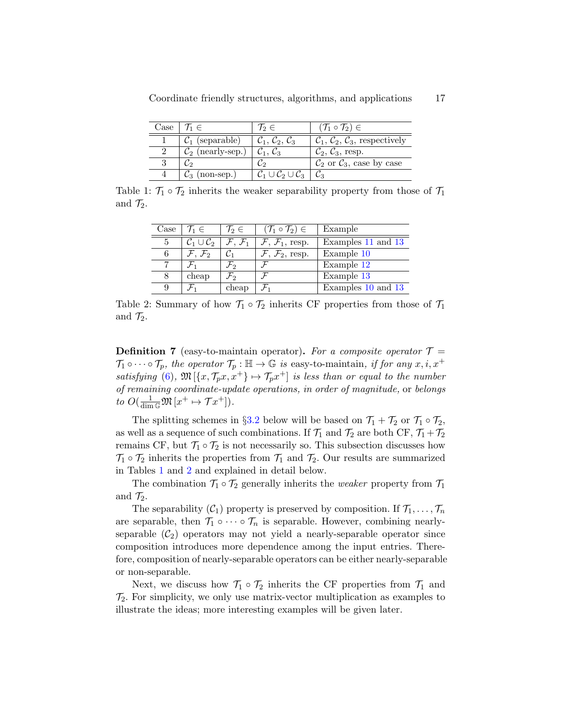<span id="page-16-0"></span>

| Case $T_1 \in$                | $\eta_2 \in$                                          | $(\mathcal{T}_1 \circ \mathcal{T}_2) \in$                    |
|-------------------------------|-------------------------------------------------------|--------------------------------------------------------------|
| $\mathcal{C}_1$ (separable)   | $\mathcal{C}_1, \mathcal{C}_2, \mathcal{C}_3$         | $\mathcal{C}_1, \mathcal{C}_2, \mathcal{C}_3$ , respectively |
| $\mathcal{C}_2$ (nearly-sep.) | $\mathcal{C}_1, \mathcal{C}_3$                        | $\mathcal{C}_2, \mathcal{C}_3$ , resp.                       |
|                               |                                                       | $\mathcal{C}_2$ or $\mathcal{C}_3$ , case by case            |
| $\mathcal{C}_3$ (non-sep.)    | $\mathcal{C}_1 \cup \mathcal{C}_2 \cup \mathcal{C}_3$ |                                                              |

<span id="page-16-1"></span>Table 1:  $\mathcal{T}_1 \circ \mathcal{T}_2$  inherits the weaker separability property from those of  $\mathcal{T}_1$ and  $\mathcal{T}_2$ .

| Case | $\mathcal{T}_1 \in$                | $\mathcal{T}_2 \in$           | $(\mathcal{T}_1 \circ \mathcal{T}_2) \in$ | Example            |
|------|------------------------------------|-------------------------------|-------------------------------------------|--------------------|
| 5    | $\mathcal{C}_1 \cup \mathcal{C}_2$ | $\mathcal{F},\,\mathcal{F}_1$ | $\mathcal{F}, \mathcal{F}_1$ , resp.      | Examples 11 and 13 |
| 6    | $\mathcal{F},\,\mathcal{F}_2$      |                               | $\mathcal{F}, \mathcal{F}_2$ , resp.      | Example 10         |
| 7    |                                    | $\mathcal{F}_2$               |                                           | Example 12         |
| 8    | cheap                              | Fo                            |                                           | Example 13         |
| 9    |                                    | cheap                         |                                           | Examples 10 and 13 |

Table 2: Summary of how  $\mathcal{T}_1 \circ \mathcal{T}_2$  inherits CF properties from those of  $\mathcal{T}_1$ and  $\mathcal{T}_2$ .

**Definition 7** (easy-to-maintain operator). For a composite operator  $\mathcal{T} =$  $\mathcal{T}_1 \circ \cdots \circ \mathcal{T}_p$ , the operator  $\mathcal{T}_p : \mathbb{H} \to \mathbb{G}$  is easy-to-maintain, if for any  $x, i, x^+$ satisfying [\(6\)](#page-8-1),  $\mathfrak{M}[\{x, \mathcal{T}_p x, x^+\} \mapsto \mathcal{T}_p x^+]$  is less than or equal to the number of remaining coordinate-update operations, in order of magnitude, or belongs to  $O(\frac{1}{\dim \mathbb{G}} \mathfrak{M}[x^+ \mapsto \mathcal{T}x^+])$ .

The splitting schemes in §[3.2](#page-17-2) below will be based on  $\mathcal{T}_1 + \mathcal{T}_2$  or  $\mathcal{T}_1 \circ \mathcal{T}_2$ , as well as a sequence of such combinations. If  $\mathcal{T}_1$  and  $\mathcal{T}_2$  are both CF,  $\mathcal{T}_1+\mathcal{T}_2$ remains CF, but  $\mathcal{T}_1 \circ \mathcal{T}_2$  is not necessarily so. This subsection discusses how  $\mathcal{T}_1 \circ \mathcal{T}_2$  inherits the properties from  $\mathcal{T}_1$  and  $\mathcal{T}_2$ . Our results are summarized in Tables [1](#page-16-0) and [2](#page-16-1) and explained in detail below.

The combination  $\mathcal{T}_1 \circ \mathcal{T}_2$  generally inherits the *weaker* property from  $\mathcal{T}_1$ and  $\mathcal{T}_2$ .

The separability  $(C_1)$  property is preserved by composition. If  $\mathcal{T}_1, \ldots, \mathcal{T}_n$ are separable, then  $\mathcal{T}_1 \circ \cdots \circ \mathcal{T}_n$  is separable. However, combining nearlyseparable  $(\mathcal{C}_2)$  operators may not yield a nearly-separable operator since composition introduces more dependence among the input entries. Therefore, composition of nearly-separable operators can be either nearly-separable or non-separable.

Next, we discuss how  $\mathcal{T}_1 \circ \mathcal{T}_2$  inherits the CF properties from  $\mathcal{T}_1$  and  $\mathcal{T}_2$ . For simplicity, we only use matrix-vector multiplication as examples to illustrate the ideas; more interesting examples will be given later.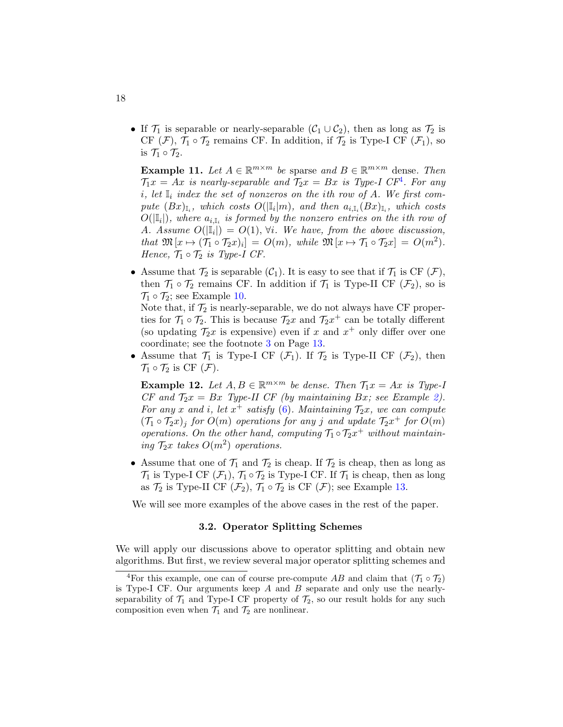• If  $\mathcal{T}_1$  is separable or nearly-separable  $(\mathcal{C}_1 \cup \mathcal{C}_2)$ , then as long as  $\mathcal{T}_2$  is CF  $(\mathcal{F})$ ,  $\mathcal{T}_1 \circ \mathcal{T}_2$  remains CF. In addition, if  $\mathcal{T}_2$  is Type-I CF  $(\mathcal{F}_1)$ , so is  $\mathcal{T}_1 \circ \mathcal{T}_2$ .

<span id="page-17-0"></span>**Example 11.** Let  $A \in \mathbb{R}^{m \times m}$  be sparse and  $B \in \mathbb{R}^{m \times m}$  dense. Then  $\mathcal{T}_1 x = Ax$  is nearly-separable and  $\mathcal{T}_2 x = Bx$  is Type-I CF<sup>[4](#page-17-3)</sup>. For any i, let  $\mathbb{I}_i$  index the set of nonzeros on the ith row of A. We first compute  $(Bx)_{\mathbb{I}_i}$ , which costs  $O(|\mathbb{I}_i|m)$ , and then  $a_{i,\mathbb{I}_i}(Bx)_{\mathbb{I}_i}$ , which costs  $O(|\mathbb{I}_i|)$ , where  $a_{i,\mathbb{I}_i}$  is formed by the nonzero entries on the ith row of A. Assume  $O(|\mathbb{I}_i|) = O(1)$ ,  $\forall i$ . We have, from the above discussion, that  $\mathfrak{M}\left[x \mapsto (\mathcal{T}_1 \circ \mathcal{T}_2 x)_i\right] = O(m)$ , while  $\mathfrak{M}\left[x \mapsto \mathcal{T}_1 \circ \mathcal{T}_2 x\right] = O(m^2)$ . Hence,  $\mathcal{T}_1 \circ \mathcal{T}_2$  is Type-I CF.

• Assume that  $\mathcal{T}_2$  is separable  $(\mathcal{C}_1)$ . It is easy to see that if  $\mathcal{T}_1$  is CF  $(\mathcal{F})$ , then  $\mathcal{T}_1 \circ \mathcal{T}_2$  remains CF. In addition if  $\mathcal{T}_1$  is Type-II CF  $(\mathcal{F}_2)$ , so is  $\mathcal{T}_1 \circ \mathcal{T}_2$ ; see Example [10.](#page-15-0)

Note that, if  $\mathcal{T}_2$  is nearly-separable, we do not always have CF properties for  $\mathcal{T}_1 \circ \mathcal{T}_2$ . This is because  $\mathcal{T}_2 x$  and  $\mathcal{T}_2 x^+$  can be totally different (so updating  $\mathcal{T}_2 x$  is expensive) even if x and  $x^+$  only differ over one coordinate; see the footnote [3](#page-12-0) on Page [13.](#page-12-0)

• Assume that  $\mathcal{T}_1$  is Type-I CF  $(\mathcal{F}_1)$ . If  $\mathcal{T}_2$  is Type-II CF  $(\mathcal{F}_2)$ , then  $\mathcal{T}_1 \circ \mathcal{T}_2$  is CF  $(\mathcal{F})$ .

<span id="page-17-1"></span>**Example 12.** Let  $A, B \in \mathbb{R}^{m \times m}$  be dense. Then  $\mathcal{T}_1 x = Ax$  is Type-1 CF and  $\mathcal{T}_2x = Bx$  Type-II CF (by maintaining Bx; see Example [2\)](#page-10-1). For any x and i, let  $x^+$  satisfy [\(6\)](#page-8-1). Maintaining  $\mathcal{T}_2x$ , we can compute  $(\mathcal{T}_1 \circ \mathcal{T}_2 x)_j$  for  $O(m)$  operations for any j and update  $\mathcal{T}_2 x^+$  for  $O(m)$ operations. On the other hand, computing  $\mathcal{T}_1 \circ \mathcal{T}_2 x^+$  without maintaining  $\mathcal{T}_2$ x takes  $O(m^2)$  operations.

• Assume that one of  $\mathcal{T}_1$  and  $\mathcal{T}_2$  is cheap. If  $\mathcal{T}_2$  is cheap, then as long as  $\mathcal{T}_1$  is Type-I CF  $(\mathcal{F}_1)$ ,  $\mathcal{T}_1 \circ \mathcal{T}_2$  is Type-I CF. If  $\mathcal{T}_1$  is cheap, then as long as  $\mathcal{T}_2$  is Type-II CF  $(\mathcal{F}_2)$ ,  $\mathcal{T}_1 \circ \mathcal{T}_2$  is CF  $(\mathcal{F})$ ; see Example [13.](#page-20-0)

<span id="page-17-2"></span>We will see more examples of the above cases in the rest of the paper.

#### 3.2. Operator Splitting Schemes

We will apply our discussions above to operator splitting and obtain new algorithms. But first, we review several major operator splitting schemes and

<span id="page-17-3"></span><sup>&</sup>lt;sup>4</sup>For this example, one can of course pre-compute AB and claim that  $(\mathcal{T}_1 \circ \mathcal{T}_2)$ is Type-I CF. Our arguments keep  $A$  and  $B$  separate and only use the nearlyseparability of  $\mathcal{T}_1$  and Type-I CF property of  $\mathcal{T}_2$ , so our result holds for any such composition even when  $\mathcal{T}_1$  and  $\mathcal{T}_2$  are nonlinear.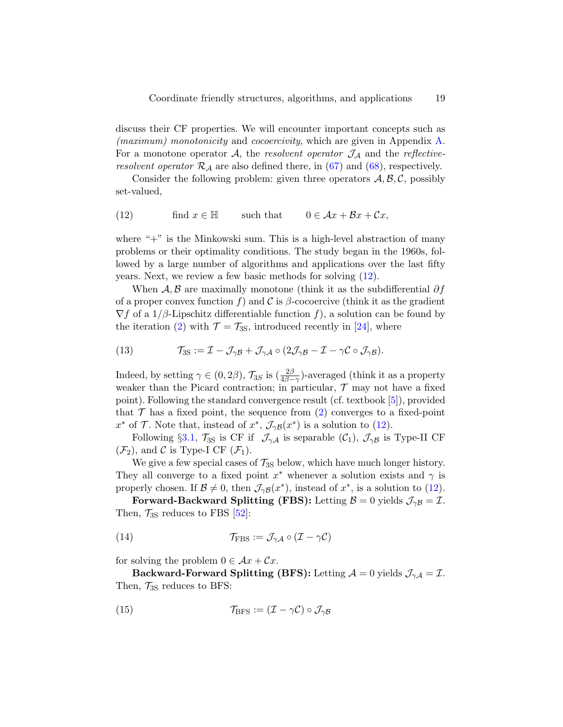discuss their CF properties. We will encounter important concepts such as (*maximum*) monotonicity and cocoercivity, which are given in Appendix [A.](#page-54-6) For a monotone operator  $A$ , the resolvent operator  $\mathcal{J}_A$  and the reflectiveresolvent operator  $\mathcal{R}_{\mathcal{A}}$  are also defined there, in [\(67\)](#page-55-1) and [\(68\)](#page-55-2), respectively.

Consider the following problem: given three operators  $A, B, C$ , possibly set-valued,

<span id="page-18-0"></span>(12) find 
$$
x \in \mathbb{H}
$$
 such that  $0 \in Ax + Bx + Cx$ ,

where " $+$ " is the Minkowski sum. This is a high-level abstraction of many problems or their optimality conditions. The study began in the 1960s, followed by a large number of algorithms and applications over the last fifty years. Next, we review a few basic methods for solving [\(12\)](#page-18-0).

When  $\mathcal{A}, \mathcal{B}$  are maximally monotone (think it as the subdifferential  $\partial f$ of a proper convex function f) and C is  $\beta$ -cocoercive (think it as the gradient  $\nabla f$  of a 1/ $\beta$ -Lipschitz differentiable function f), a solution can be found by the iteration [\(2\)](#page-2-0) with  $\mathcal{T} = \mathcal{T}_{3S}$ , introduced recently in [\[24\]](#page-49-6), where

<span id="page-18-3"></span>(13) 
$$
\mathcal{T}_{3S} := \mathcal{I} - \mathcal{J}_{\gamma\beta} + \mathcal{J}_{\gamma\mathcal{A}} \circ (2\mathcal{J}_{\gamma\beta} - \mathcal{I} - \gamma \mathcal{C} \circ \mathcal{J}_{\gamma\beta}).
$$

Indeed, by setting  $\gamma \in (0, 2\beta)$ ,  $\mathcal{T}_{3S}$  is  $\left(\frac{2\beta}{4\beta-\gamma}\right)$ -averaged (think it as a property weaker than the Picard contraction; in particular,  $\mathcal T$  may not have a fixed point). Following the standard convergence result (cf. textbook [\[5\]](#page-47-4)), provided that  $\mathcal T$  has a fixed point, the sequence from [\(2\)](#page-2-0) converges to a fixed-point x<sup>\*</sup> of  $\mathcal T$ . Note that, instead of  $x^*$ ,  $\mathcal J_{\gamma\beta}(x^*)$  is a solution to [\(12\)](#page-18-0).

Following §[3.1,](#page-14-3)  $\mathcal{T}_{3S}$  is CF if  $\mathcal{J}_{\gamma A}$  is separable  $(\mathcal{C}_1)$ ,  $\mathcal{J}_{\gamma B}$  is Type-II CF  $(\mathcal{F}_2)$ , and C is Type-I CF  $(\mathcal{F}_1)$ .

We give a few special cases of  $\mathcal{T}_{3S}$  below, which have much longer history. They all converge to a fixed point  $x^*$  whenever a solution exists and  $\gamma$  is properly chosen. If  $\mathcal{B} \neq 0$ , then  $\mathcal{J}_{\gamma\beta}(x^*)$ , instead of  $x^*$ , is a solution to [\(12\)](#page-18-0).

Forward-Backward Splitting (FBS): Letting  $\beta = 0$  yields  $\mathcal{J}_{\gamma\beta} = \mathcal{I}$ . Then,  $\mathcal{T}_{3S}$  reduces to FBS [\[52\]](#page-51-7):

<span id="page-18-1"></span>(14) 
$$
\mathcal{T}_{\text{FBS}} := \mathcal{J}_{\gamma A} \circ (\mathcal{I} - \gamma \mathcal{C})
$$

for solving the problem  $0 \in \mathcal{A}x + \mathcal{C}x$ .

Backward-Forward Splitting (BFS): Letting  $\mathcal{A} = 0$  yields  $\mathcal{J}_{\gamma \mathcal{A}} = \mathcal{I}$ . Then,  $\mathcal{T}_{3S}$  reduces to BFS:

<span id="page-18-2"></span>(15) 
$$
\mathcal{T}_{\rm BFS} := (\mathcal{I} - \gamma \mathcal{C}) \circ \mathcal{J}_{\gamma \mathcal{B}}
$$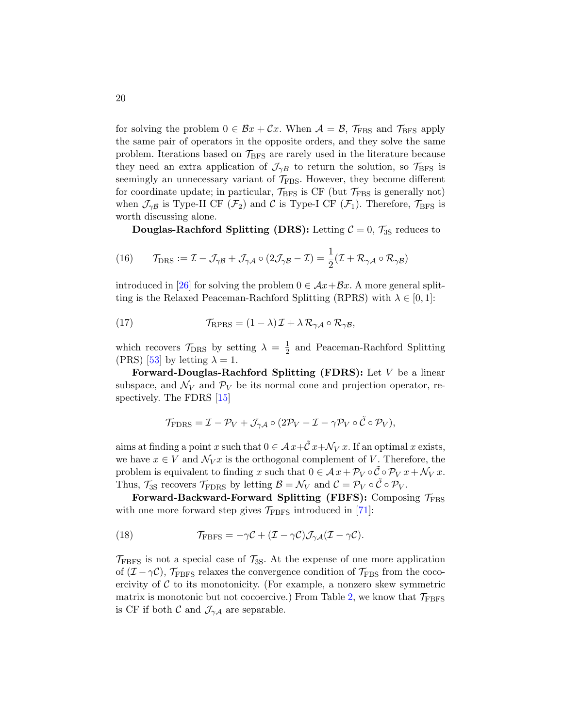for solving the problem  $0 \in \mathcal{B}x + \mathcal{C}x$ . When  $\mathcal{A} = \mathcal{B}$ ,  $\mathcal{T}_{\text{FBS}}$  and  $\mathcal{T}_{\text{BFS}}$  apply the same pair of operators in the opposite orders, and they solve the same problem. Iterations based on  $\mathcal{T}_{\rm BFS}$  are rarely used in the literature because they need an extra application of  $\mathcal{J}_{\gamma B}$  to return the solution, so  $\mathcal{T}_{BFS}$  is seemingly an unnecessary variant of  $\mathcal{T}_{\text{FBS}}$ . However, they become different for coordinate update; in particular,  $\mathcal{T}_{BFS}$  is CF (but  $\mathcal{T}_{FBS}$  is generally not) when  $\mathcal{J}_{\gamma\beta}$  is Type-II CF  $(\mathcal{F}_2)$  and C is Type-I CF  $(\mathcal{F}_1)$ . Therefore,  $\mathcal{T}_{\rm BFS}$  is worth discussing alone.

<span id="page-19-0"></span>**Douglas-Rachford Splitting (DRS):** Letting  $C = 0$ ,  $\mathcal{T}_{3S}$  reduces to

(16) 
$$
\mathcal{T}_{\text{DRS}} := \mathcal{I} - \mathcal{J}_{\gamma \mathcal{B}} + \mathcal{J}_{\gamma \mathcal{A}} \circ (2\mathcal{J}_{\gamma \mathcal{B}} - \mathcal{I}) = \frac{1}{2}(\mathcal{I} + \mathcal{R}_{\gamma \mathcal{A}} \circ \mathcal{R}_{\gamma \mathcal{B}})
$$

introduced in [\[26\]](#page-49-0) for solving the problem  $0 \in \mathcal{A}x + \mathcal{B}x$ . A more general splitting is the Relaxed Peaceman-Rachford Splitting (RPRS) with  $\lambda \in [0,1]$ :

(17) 
$$
\mathcal{T}_{\text{RPRS}} = (1 - \lambda) \mathcal{I} + \lambda \mathcal{R}_{\gamma A} \circ \mathcal{R}_{\gamma B},
$$

which recovers  $\mathcal{T}_{\text{DRS}}$  by setting  $\lambda = \frac{1}{2}$  $\frac{1}{2}$  and Peaceman-Rachford Splitting (PRS) [\[53\]](#page-52-8) by letting  $\lambda = 1$ .

Forward-Douglas-Rachford Splitting (FDRS): Let V be a linear subspace, and  $\mathcal{N}_V$  and  $\mathcal{P}_V$  be its normal cone and projection operator, respectively. The FDRS [\[15\]](#page-48-10)

$$
\mathcal{T}_{\text{FDRS}} = \mathcal{I} - \mathcal{P}_V + \mathcal{J}_{\gamma A} \circ (2\mathcal{P}_V - \mathcal{I} - \gamma \mathcal{P}_V \circ \tilde{\mathcal{C}} \circ \mathcal{P}_V),
$$

aims at finding a point x such that  $0 \in \mathcal{A} x + \tilde{\mathcal{C}} x + \mathcal{N}_V x$ . If an optimal x exists, we have  $x \in V$  and  $\mathcal{N}_V x$  is the orthogonal complement of V. Therefore, the problem is equivalent to finding x such that  $0 \in \mathcal{A} x + \mathcal{P}_V \circ \tilde{\mathcal{C}} \circ \mathcal{P}_V x + \mathcal{N}_V x$ . Thus,  $\mathcal{T}_{3S}$  recovers  $\mathcal{T}_{\text{FDRS}}$  by letting  $\mathcal{B} = \mathcal{N}_V$  and  $\mathcal{C} = \mathcal{P}_V \circ \tilde{\mathcal{C}} \circ \mathcal{P}_V$ .

Forward-Backward-Forward Splitting (FBFS): Composing  $\mathcal{T}_{\text{FBS}}$ with one more forward step gives  $\mathcal{T}_{\text{FBFS}}$  introduced in [\[71\]](#page-53-9):

<span id="page-19-1"></span>(18) 
$$
\mathcal{T}_{\text{FBFS}} = -\gamma \mathcal{C} + (\mathcal{I} - \gamma \mathcal{C}) \mathcal{J}_{\gamma \mathcal{A}} (\mathcal{I} - \gamma \mathcal{C}).
$$

 $\mathcal{T}_{\text{FBFS}}$  is not a special case of  $\mathcal{T}_{3S}$ . At the expense of one more application of  $(\mathcal{I} - \gamma \mathcal{C})$ ,  $\mathcal{T}_{\text{FBFS}}$  relaxes the convergence condition of  $\mathcal{T}_{\text{FBS}}$  from the cocoercivity of  $C$  to its monotonicity. (For example, a nonzero skew symmetric matrix is monotonic but not cocoercive.) From Table [2,](#page-16-1) we know that  $\mathcal{T}_{\text{FBFS}}$ is CF if both  $\mathcal{C}$  and  $\mathcal{J}_{\gamma A}$  are separable.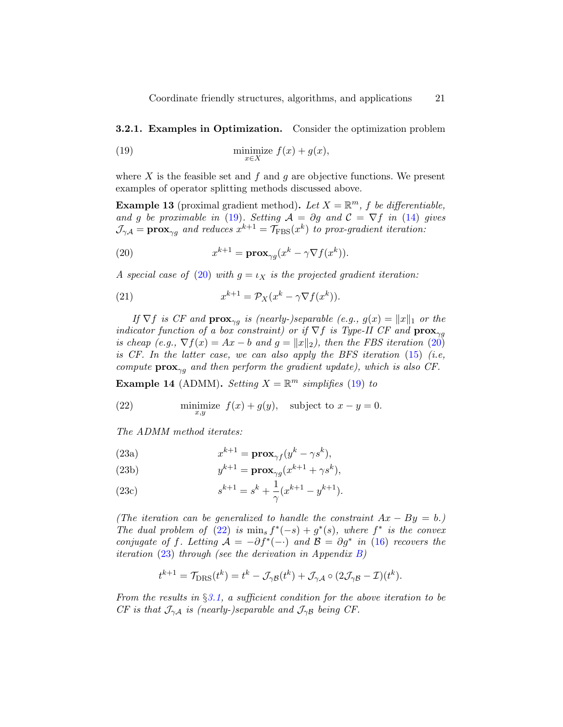**3.2.1. Examples in Optimization.** Consider the optimization problem

<span id="page-20-1"></span>(19) 
$$
\min_{x \in X} \text{imize } f(x) + g(x),
$$

where  $X$  is the feasible set and  $f$  and  $g$  are objective functions. We present examples of operator splitting methods discussed above.

<span id="page-20-0"></span>**Example 13** (proximal gradient method). Let  $X = \mathbb{R}^m$ , f be differentiable, and g be proximable in [\(19\)](#page-20-1). Setting  $A = \partial g$  and  $C = \nabla f$  in [\(14\)](#page-18-1) gives  $\mathcal{J}_{\gamma A} = \mathbf{prox}_{\gamma g}$  and reduces  $x^{k+1} = \mathcal{T}_{\text{FBS}}(x^k)$  to prox-gradient iteration:

<span id="page-20-2"></span>(20) 
$$
x^{k+1} = \mathbf{prox}_{\gamma g}(x^k - \gamma \nabla f(x^k)).
$$

A special case of [\(20\)](#page-20-2) with  $g = \iota_X$  is the projected gradient iteration:

<span id="page-20-5"></span>(21) 
$$
x^{k+1} = \mathcal{P}_X(x^k - \gamma \nabla f(x^k)).
$$

If  $\nabla f$  is CF and  $\mathbf{prox}_{\gamma q}$  is (nearly-)separable (e.g.,  $g(x) = ||x||_1$  or the indicator function of a box constraint) or if  $\nabla f$  is Type-II CF and  $\mathbf{prox}_{\gamma q}$ is cheap (e.g.,  $\nabla f(x) = Ax - b$  and  $g = ||x||_2$ ), then the FBS iteration [\(20\)](#page-20-2) is CF. In the latter case, we can also apply the BFS iteration  $(15)$  (i.e, compute  $prox_{\gamma q}$  and then perform the gradient update), which is also CF.

**Example 14** (ADMM). Setting  $X = \mathbb{R}^m$  simplifies [\(19\)](#page-20-1) to

<span id="page-20-3"></span>(22) 
$$
\text{minimize } f(x) + g(y), \quad \text{subject to } x - y = 0.
$$

<span id="page-20-4"></span>The ADMM method iterates:

(23a) 
$$
x^{k+1} = \mathbf{prox}_{\gamma f}(y^k - \gamma s^k),
$$

(23b) 
$$
y^{k+1} = \mathbf{prox}_{\gamma g}(x^{k+1} + \gamma s^k),
$$

(23c) 
$$
s^{k+1} = s^k + \frac{1}{\gamma} (x^{k+1} - y^{k+1}).
$$

(The iteration can be generalized to handle the constraint  $Ax - By = b$ .) The dual problem of [\(22\)](#page-20-3) is  $\min_s f^*(-s) + g^*(s)$ , where  $f^*$  is the convex conjugate of f. Letting  $A = -\partial f^*(-)$  and  $B = \partial g^*$  in [\(16\)](#page-19-0) recovers the *iteration* [\(23\)](#page-20-4) through (see the derivation in Appendix  $B$ )

$$
t^{k+1} = \mathcal{T}_{\text{DRS}}(t^k) = t^k - \mathcal{J}_{\gamma \mathcal{B}}(t^k) + \mathcal{J}_{\gamma \mathcal{A}} \circ (2\mathcal{J}_{\gamma \mathcal{B}} - \mathcal{I})(t^k).
$$

From the results in  $\S 3.1$ , a sufficient condition for the above iteration to be CF is that  $\mathcal{J}_{\gamma A}$  is (nearly-)separable and  $\mathcal{J}_{\gamma B}$  being CF.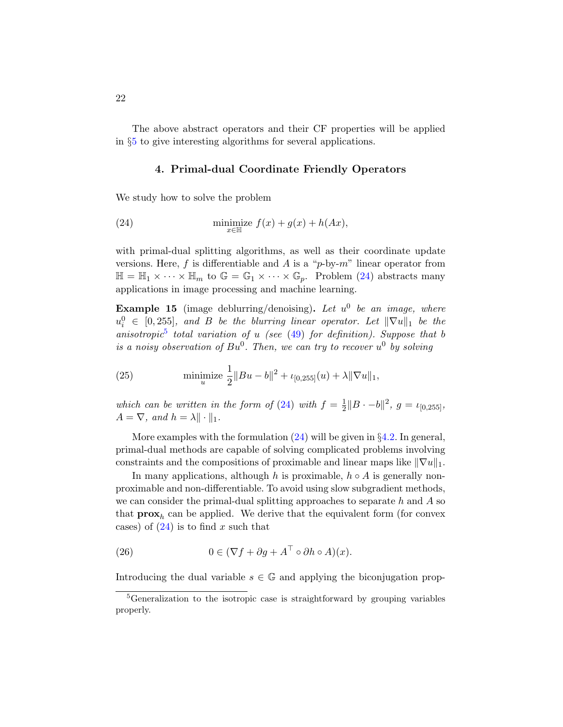The above abstract operators and their CF properties will be applied in §[5](#page-29-0) to give interesting algorithms for several applications.

### <span id="page-21-1"></span>4. Primal-dual Coordinate Friendly Operators

<span id="page-21-0"></span>We study how to solve the problem

(24) 
$$
\min_{x \in \mathbb{H}} \text{size } f(x) + g(x) + h(Ax),
$$

with primal-dual splitting algorithms, as well as their coordinate update versions. Here, f is differentiable and A is a "p-by- $m$ " linear operator from  $\mathbb{H} = \mathbb{H}_1 \times \cdots \times \mathbb{H}_m$  to  $\mathbb{G} = \mathbb{G}_1 \times \cdots \times \mathbb{G}_p$ . Problem [\(24\)](#page-21-1) abstracts many applications in image processing and machine learning.

**Example 15** (image deblurring/denoising). Let  $u^0$  be an image, where  $u_i^0 \in [0, 255]$ , and B be the blurring linear operator. Let  $\|\nabla u\|_1$  be the anisotropic<sup>[5](#page-21-2)</sup> total variation of u (see  $(49)$  for definition). Suppose that b is a noisy observation of  $Bu^0$ . Then, we can try to recover  $u^0$  by solving

(25) 
$$
\text{minimize } \frac{1}{2} ||Bu - b||^2 + \iota_{[0, 255]}(u) + \lambda ||\nabla u||_1,
$$

which can be written in the form of [\(24\)](#page-21-1) with  $f = \frac{1}{2}$  $\frac{1}{2}||B \cdot -b||^2$ ,  $g = \iota_{[0,255]},$  $A = \nabla$ , and  $h = \lambda \|\cdot\|_1$ .

More examples with the formulation  $(24)$  will be given in §[4.2.](#page-24-0) In general, primal-dual methods are capable of solving complicated problems involving constraints and the compositions of proximable and linear maps like  $\|\nabla u\|_1$ .

In many applications, although h is proximable,  $h \circ A$  is generally nonproximable and non-differentiable. To avoid using slow subgradient methods, we can consider the primal-dual splitting approaches to separate h and  $A$  so that  $\mathbf{prox}_h$  can be applied. We derive that the equivalent form (for convex cases) of  $(24)$  is to find x such that

(26) 
$$
0 \in (\nabla f + \partial g + A^{\top} \circ \partial h \circ A)(x).
$$

Introducing the dual variable  $s \in \mathbb{G}$  and applying the biconjugation prop-

<span id="page-21-2"></span><sup>&</sup>lt;sup>5</sup>Generalization to the isotropic case is straightforward by grouping variables properly.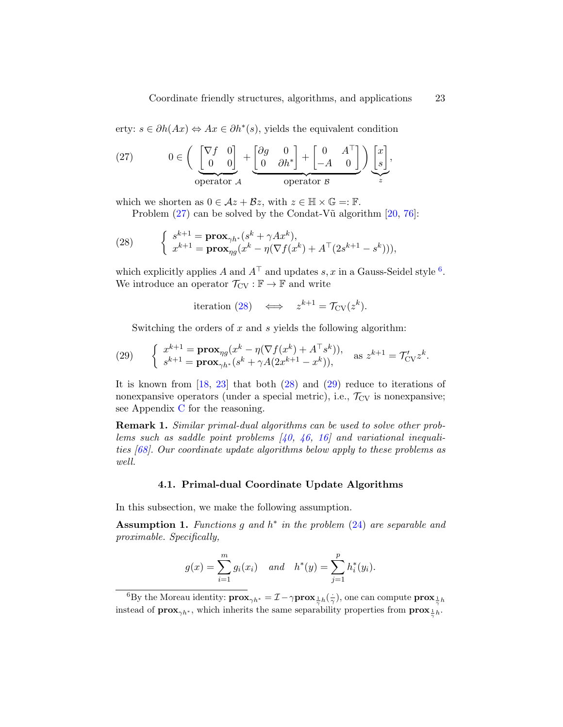erty:  $s \in \partial h(Ax) \Leftrightarrow Ax \in \partial h^*(s)$ , yields the equivalent condition

<span id="page-22-0"></span>(27) 
$$
0 \in \left( \underbrace{\begin{bmatrix} \nabla f & 0 \\ 0 & 0 \end{bmatrix}}_{\text{operator } A} + \underbrace{\begin{bmatrix} \partial g & 0 \\ 0 & \partial h^* \end{bmatrix}}_{\text{operator } B} + \begin{bmatrix} 0 & A^\top \\ -A & 0 \end{bmatrix} \right) \underbrace{\begin{bmatrix} x \\ s \end{bmatrix}}_{z},
$$

which we shorten as  $0 \in \mathcal{A}z + \mathcal{B}z$ , with  $z \in \mathbb{H} \times \mathbb{G} =: \mathbb{F}$ .

<span id="page-22-2"></span>Problem  $(27)$  can be solved by the Condat-V $\tilde{u}$  algorithm  $[20, 76]$  $[20, 76]$  $[20, 76]$ :

(28) 
$$
\begin{cases} s^{k+1} = \mathbf{prox}_{\gamma h^*}(s^k + \gamma Ax^k), \\ x^{k+1} = \mathbf{prox}_{\eta g}(x^k - \eta (\nabla f(x^k) + A^{\top} (2s^{k+1} - s^k))), \end{cases}
$$

which explicitly applies A and  $A^{\top}$  and updates s, x in a Gauss-Seidel style <sup>[6](#page-22-1)</sup>. We introduce an operator  $\mathcal{T}_{CV} : \mathbb{F} \to \mathbb{F}$  and write

$$
\text{iteration (28)} \quad \Longleftrightarrow \quad z^{k+1} = \mathcal{T}_{\text{CV}}(z^k).
$$

<span id="page-22-3"></span>Switching the orders of  $x$  and  $s$  yields the following algorithm:

(29) 
$$
\begin{cases} x^{k+1} = \mathbf{prox}_{\eta g}(x^k - \eta (\nabla f(x^k) + A^{\top} s^k)), \\ s^{k+1} = \mathbf{prox}_{\gamma h^*}(s^k + \gamma A(2x^{k+1} - x^k)), \end{cases} \text{ as } z^{k+1} = \mathcal{T}_{\text{CV}}' z^k.
$$

It is known from [\[18,](#page-49-8) [23\]](#page-49-9) that both [\(28\)](#page-22-2) and [\(29\)](#page-22-3) reduce to iterations of nonexpansive operators (under a special metric), i.e.,  $\mathcal{T}_{CV}$  is nonexpansive; see Appendix [C](#page-57-0) for the reasoning.

Remark 1. Similar primal-dual algorithms can be used to solve other problems such as saddle point problems  $(40, 46, 16)$  $(40, 46, 16)$  $(40, 46, 16)$  and variational inequalities [\[68\]](#page-53-11). Our coordinate update algorithms below apply to these problems as well.

### 4.1. Primal-dual Coordinate Update Algorithms

<span id="page-22-5"></span>In this subsection, we make the following assumption.

<span id="page-22-4"></span>Assumption 1. Functions g and  $h^*$  in the problem [\(24\)](#page-21-1) are separable and proximable. Specifically,

$$
g(x) = \sum_{i=1}^{m} g_i(x_i)
$$
 and  $h^*(y) = \sum_{j=1}^{p} h_i^*(y_i)$ .

<span id="page-22-1"></span><sup>6</sup>By the Moreau identity:  $\mathbf{prox}_{\gamma h^*} = \mathcal{I} - \gamma \mathbf{prox}_{\frac{1}{\gamma}h}(\frac{1}{\gamma})$ , one can compute  $\mathbf{prox}_{\frac{1}{\gamma}h}$ instead of  $\mathbf{prox}_{\gamma h^*}$ , which inherits the same separability properties from  $\mathbf{prox}_{\frac{1}{\gamma}h}$ .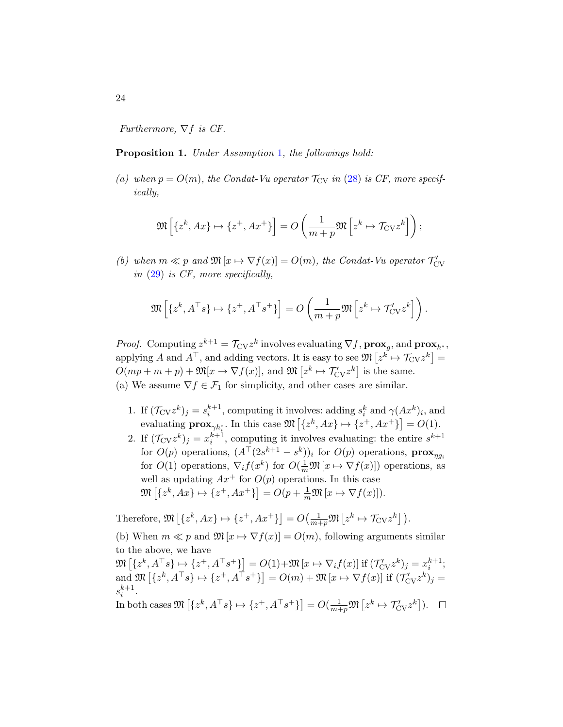Furthermore,  $\nabla f$  is CF.

### Proposition [1](#page-22-4). Under Assumption 1, the followings hold:

(a) when  $p = O(m)$ , the Condat-Vu operator  $\mathcal{T}_{CV}$  in [\(28\)](#page-22-2) is CF, more specifically,

$$
\mathfrak{M}\left[\left\{z^k, Ax\right\} \mapsto \left\{z^+, Ax^+\right\}\right] = O\left(\frac{1}{m+p} \mathfrak{M}\left[z^k \mapsto \mathcal{T}_{\text{CV}} z^k\right]\right);
$$

(b) when  $m \ll p$  and  $\mathfrak{M}[x \mapsto \nabla f(x)] = O(m)$ , the Condat-Vu operator  $\mathcal{T}_{\text{CV}}'$ in [\(29\)](#page-22-3) is CF, more specifically,

$$
\mathfrak{M}\left[\{z^k, A^\top s\} \mapsto \{z^+, A^\top s^+\}\right] = O\left(\frac{1}{m+p} \mathfrak{M}\left[z^k \mapsto \mathcal{T}'_{\text{CV}} z^k\right]\right).
$$

*Proof.* Computing  $z^{k+1} = \mathcal{T}_{CV} z^k$  involves evaluating  $\nabla f$ ,  $\mathbf{prox}_g$ , and  $\mathbf{prox}_{h^*}$ , applying A and  $A^{\top}$ , and adding vectors. It is easy to see  $\mathfrak{M}\left[z^k \mapsto \mathcal{T}_{CV}z^k\right] =$  $O(mp+m+p)+\mathfrak{M}[x \to \nabla f(x)],$  and  $\mathfrak{M}\left[z^k \mapsto \mathcal{T}'_{\text{CV}}z^k\right]$  is the same. (a) We assume  $\nabla f \in \mathcal{F}_1$  for simplicity, and other cases are similar.

- 1. If  $(\mathcal{T}_{CV}z^k)_j = s_i^{k+1}$ , computing it involves: adding  $s_i^k$  and  $\gamma(Ax^k)_i$ , and evaluating  $\mathbf{prox}_{\gamma h_i^*}$ . In this case  $\mathfrak{M}\left[\{z^k, Ax\} \mapsto \{z^+, Ax^+\}\right] = O(1)$ .
- 2. If  $(\mathcal{T}_{CV}z^k)_j = x_i^{k+1}$ , computing it involves evaluating: the entire  $s^{k+1}$ for  $O(p)$  operations,  $(A^{\top}(2s^{k+1}-s^k))_i$  for  $O(p)$  operations,  $\mathbf{prox}_{\eta g_i}$ for  $O(1)$  operations,  $\nabla_i f(x^k)$  for  $O(\frac{1}{m}\mathfrak{M}[x \mapsto \nabla f(x)])$  operations, as well as updating  $Ax^+$  for  $O(p)$  operations. In this case  $\mathfrak{M}\left[\{z^k, Ax\} \mapsto \{z^+, Ax^+\}\right] = O(p + \frac{1}{m}\mathfrak{M}\left[x \mapsto \nabla f(x)\right]).$

Therefore,  $\mathfrak{M}\left[\{z^k, Ax\} \mapsto \{z^+, Ax^+\}\right] = O\left(\frac{1}{m+p} \mathfrak{M}\left[z^k \mapsto \mathcal{T}_{\text{CV}} z^k\right]\right).$ 

(b) When  $m \ll p$  and  $\mathfrak{M}[x \mapsto \nabla f(x)] = O(m)$ , following arguments similar to the above, we have

 $\mathfrak{M}\left[\{z^k, A^\top s\} \mapsto \{z^+, A^\top s^+\}\right] = O(1) + \mathfrak{M}\left[x \mapsto \nabla_i f(x)\right]$  if  $(\mathcal{T}'_{\text{CV}} z^k)_j = x_i^{k+1};$ and  $\mathfrak{M}\left[\{z^k, A^\top s\} \mapsto \{z^+, A^\top s^+\}\right] = O(m) + \mathfrak{M}\left[x \mapsto \nabla f(x)\right]$  if  $(\mathcal{T}_{\text{CV}}^{\prime} z^k)_j =$  $s_i^{k+1}$ .

In both cases  $\mathfrak{M}\left[\{z^k, A^\top s\} \mapsto \{z^+, A^\top s^+\}\right] = O(\frac{1}{m+p} \mathfrak{M}\left[z^k \mapsto \mathcal{T}_{\text{CV}}' z^k\right]).$ 

24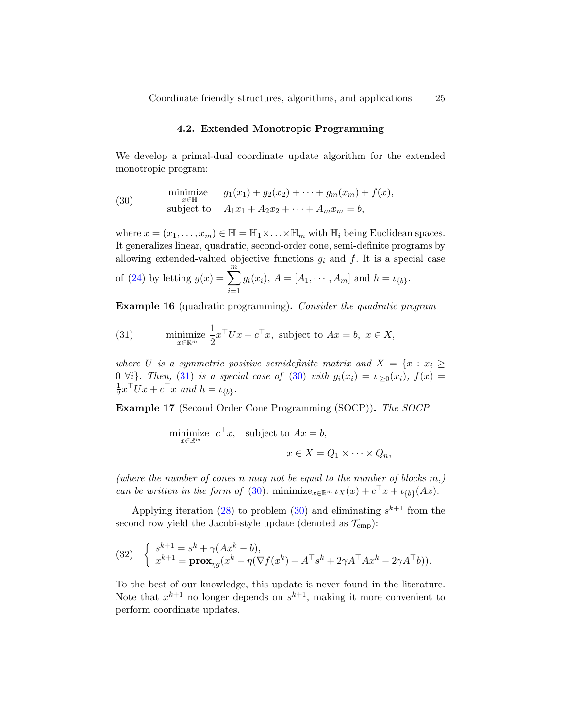#### 4.2. Extended Monotropic Programming

<span id="page-24-0"></span>We develop a primal-dual coordinate update algorithm for the extended monotropic program:

<span id="page-24-2"></span>(30) 
$$
\begin{array}{ll}\text{minimize} & g_1(x_1) + g_2(x_2) + \cdots + g_m(x_m) + f(x),\\ \text{subject to} & A_1x_1 + A_2x_2 + \cdots + A_mx_m = b,\end{array}
$$

where  $x = (x_1, \ldots, x_m) \in \mathbb{H} = \mathbb{H}_1 \times \ldots \times \mathbb{H}_m$  with  $\mathbb{H}_i$  being Euclidean spaces. It generalizes linear, quadratic, second-order cone, semi-definite programs by allowing extended-valued objective functions  $g_i$  and f. It is a special case of [\(24\)](#page-21-1) by letting  $g(x) = \sum_{m=1}^{m}$  $i=1$  $g_i(x_i)$ ,  $A = [A_1, \dots, A_m]$  and  $h = \iota_{\{b\}}$ .

Example 16 (quadratic programming). Consider the quadratic program

<span id="page-24-1"></span>(31) minimize 
$$
\frac{1}{2}x^{\top}Ux + c^{\top}x
$$
, subject to  $Ax = b$ ,  $x \in X$ ,

where U is a symmetric positive semidefinite matrix and  $X = \{x : x_i \geq 1\}$ 0  $\forall i$ . Then, [\(31\)](#page-24-1) is a special case of [\(30\)](#page-24-2) with  $g_i(x_i) = \iota_{i>0}(x_i)$ ,  $f(x) =$ 1  $\frac{1}{2}x^{\top}Ux + c^{\top}x$  and  $h = \iota_{\{b\}}$ .

Example 17 (Second Order Cone Programming (SOCP)). The SOCP

minimize 
$$
c^{\top} x
$$
, subject to  $Ax = b$ ,  
\n $x \in X = Q_1 \times \cdots \times Q_n$ ,

(where the number of cones n may not be equal to the number of blocks  $m$ ,) can be written in the form of [\(30\)](#page-24-2): minimize<sub> $x \in \mathbb{R}^m$ </sub>  $\iota_X(x) + c^\top x + \iota_{\{b\}}(Ax)$ .

Applying iteration [\(28\)](#page-22-2) to problem [\(30\)](#page-24-2) and eliminating  $s^{k+1}$  from the second row yield the Jacobi-style update (denoted as  $\mathcal{T}_{emp}$ ):

(32) 
$$
\begin{cases} s^{k+1} = s^k + \gamma(Ax^k - b), \\ x^{k+1} = \mathbf{prox}_{\eta g}(x^k - \eta(\nabla f(x^k) + A^\top s^k + 2\gamma A^\top A x^k - 2\gamma A^\top b)). \end{cases}
$$

To the best of our knowledge, this update is never found in the literature. Note that  $x^{k+1}$  no longer depends on  $s^{k+1}$ , making it more convenient to perform coordinate updates.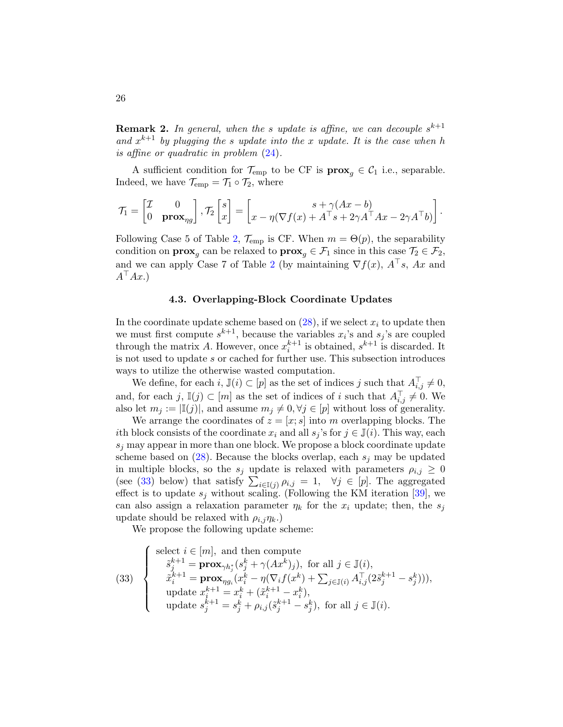**Remark 2.** In general, when the s update is affine, we can decouple  $s^{k+1}$ and  $x^{k+1}$  by plugging the s update into the x update. It is the case when h is affine or quadratic in problem [\(24\)](#page-21-1).

A sufficient condition for  $\mathcal{T}_{emp}$  to be CF is  $\mathbf{prox}_{q} \in \mathcal{C}_1$  i.e., separable. Indeed, we have  $\mathcal{T}_{emp} = \mathcal{T}_1 \circ \mathcal{T}_2$ , where

$$
\mathcal{T}_1 = \begin{bmatrix} \mathcal{I} & 0 \\ 0 & \mathbf{prox}_{\eta g} \end{bmatrix}, \mathcal{T}_2 \begin{bmatrix} s \\ x \end{bmatrix} = \begin{bmatrix} s + \gamma (Ax - b) \\ x - \eta (\nabla f(x) + A^\top s + 2\gamma A^\top Ax - 2\gamma A^\top b) \end{bmatrix}.
$$

Following Case 5 of Table [2,](#page-16-1)  $\mathcal{T}_{emp}$  is CF. When  $m = \Theta(p)$ , the separability condition on  $\mathbf{prox}_g$  can be relaxed to  $\mathbf{prox}_g \in \mathcal{F}_1$  since in this case  $\mathcal{T}_2 \in \mathcal{F}_2$ , and we can apply Case 7 of Table [2](#page-16-1) (by maintaining  $\nabla f(x)$ ,  $A^{\dagger} s$ , Ax and  $A^{\top}Ax.$ 

### 4.3. Overlapping-Block Coordinate Updates

<span id="page-25-1"></span>In the coordinate update scheme based on  $(28)$ , if we select  $x_i$  to update then we must first compute  $s^{k+1}$ , because the variables  $x_i$ 's and  $s_j$ 's are coupled through the matrix A. However, once  $x_i^{k+1}$  is obtained,  $s^{k+1}$  is discarded. It is not used to update s or cached for further use. This subsection introduces ways to utilize the otherwise wasted computation.

We define, for each  $i, \mathbb{J}(i) \subset [p]$  as the set of indices j such that  $A_{i,j}^{\top} \neq 0$ , and, for each  $j, \mathbb{I}(j) \subset [m]$  as the set of indices of i such that  $A_{i,j}^{\top} \neq 0$ . We also let  $m_j := |\mathbb{I}(j)|$ , and assume  $m_j \neq 0, \forall j \in [p]$  without loss of generality.

We arrange the coordinates of  $z = [x; s]$  into m overlapping blocks. The ith block consists of the coordinate  $x_i$  and all  $s_j$ 's for  $j \in \mathbb{J}(i)$ . This way, each  $s_i$  may appear in more than one block. We propose a block coordinate update scheme based on  $(28)$ . Because the blocks overlap, each  $s_i$  may be updated in multiple blocks, so the  $s_j$  update is relaxed with parameters  $\rho_{i,j} \geq 0$ (see [\(33\)](#page-25-0) below) that satisfy  $\sum_{i\in I(j)} \rho_{i,j} = 1$ ,  $\forall j \in [p]$ . The aggregated effect is to update  $s_j$  without scaling. (Following the KM iteration [\[39\]](#page-50-9), we can also assign a relaxation parameter  $\eta_k$  for the  $x_i$  update; then, the  $s_i$ update should be relaxed with  $\rho_{i,j}\eta_{k}$ .)

We propose the following update scheme:

<span id="page-25-0"></span>(33) 
$$
\begin{cases}\n\text{select } i \in [m], \text{ and then compute} \\
\tilde{s}_j^{k+1} = \mathbf{prox}_{\gamma h_j^*}(s_j^k + \gamma(Ax^k)_j), \text{ for all } j \in \mathbb{J}(i), \\
\tilde{x}_i^{k+1} = \mathbf{prox}_{\eta g_i}(x_i^k - \eta(\nabla_i f(x^k) + \sum_{j \in \mathbb{J}(i)} A_{i,j}^{\top} (2\tilde{s}_j^{k+1} - s_j^k))), \\
\text{update } x_i^{k+1} = x_i^k + (\tilde{x}_i^{k+1} - x_i^k), \\
\text{update } s_j^{k+1} = s_j^k + \rho_{i,j}(\tilde{s}_j^{k+1} - s_j^k), \text{ for all } j \in \mathbb{J}(i).\n\end{cases}
$$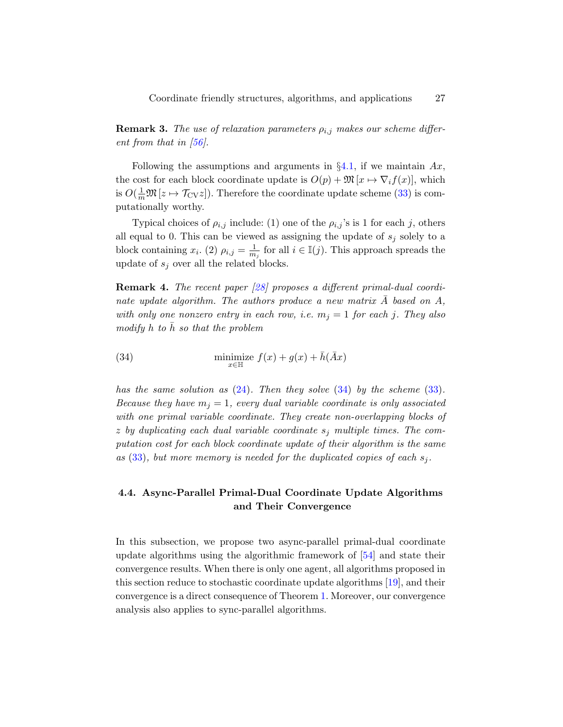**Remark 3.** The use of relaxation parameters  $\rho_{i,j}$  makes our scheme different from that in  $[56]$ .

Following the assumptions and arguments in  $\S 4.1$ , if we maintain Ax, the cost for each block coordinate update is  $O(p) + \mathfrak{M}\left[x \mapsto \nabla_i f(x)\right]$ , which is  $O(\frac{1}{m}\mathfrak{M}\left[z \mapsto \mathcal{T}_{CV}z\right])$ . Therefore the coordinate update scheme [\(33\)](#page-25-0) is computationally worthy.

Typical choices of  $\rho_{i,j}$  include: (1) one of the  $\rho_{i,j}$ 's is 1 for each j, others all equal to 0. This can be viewed as assigning the update of  $s_j$  solely to a block containing  $x_i$ . (2)  $\rho_{i,j} = \frac{1}{m}$  $\frac{1}{m_j}$  for all  $i \in \mathbb{I}(j)$ . This approach spreads the update of  $s_i$  over all the related blocks.

Remark 4. The recent paper [\[28\]](#page-49-10) proposes a different primal-dual coordinate update algorithm. The authors produce a new matrix  $\bar{A}$  based on  $A$ , with only one nonzero entry in each row, i.e.  $m_j = 1$  for each j. They also modify h to  $\bar{h}$  so that the problem

<span id="page-26-0"></span>(34) 
$$
\min_{x \in \mathbb{H}} \text{ize } f(x) + g(x) + \bar{h}(\bar{A}x)
$$

has the same solution as  $(24)$ . Then they solve  $(34)$  by the scheme  $(33)$ . Because they have  $m_i = 1$ , every dual variable coordinate is only associated with one primal variable coordinate. They create non-overlapping blocks of z by duplicating each dual variable coordinate  $s_i$  multiple times. The computation cost for each block coordinate update of their algorithm is the same as  $(33)$ , but more memory is needed for the duplicated copies of each  $s_i$ .

# 4.4. Async-Parallel Primal-Dual Coordinate Update Algorithms and Their Convergence

In this subsection, we propose two async-parallel primal-dual coordinate update algorithms using the algorithmic framework of [\[54\]](#page-52-4) and state their convergence results. When there is only one agent, all algorithms proposed in this section reduce to stochastic coordinate update algorithms [\[19\]](#page-49-5), and their convergence is a direct consequence of Theorem [1.](#page-28-0) Moreover, our convergence analysis also applies to sync-parallel algorithms.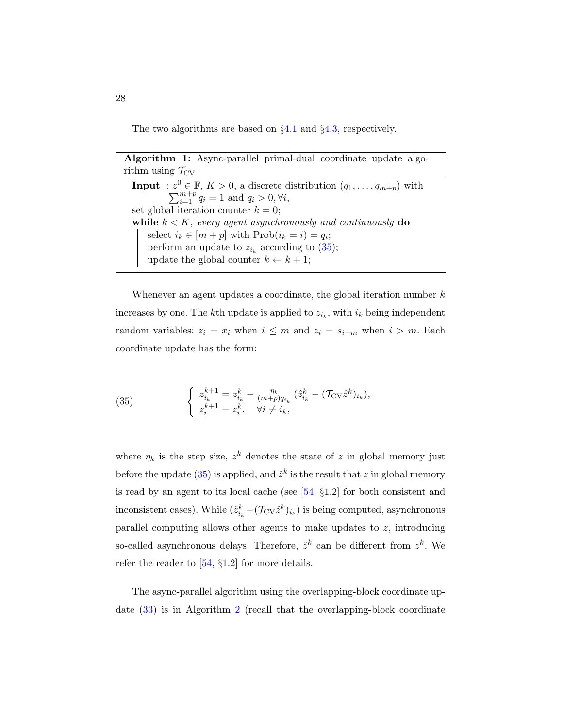<span id="page-27-1"></span>The two algorithms are based on §[4.1](#page-22-5) and §[4.3,](#page-25-1) respectively.

Algorithm 1: Async-parallel primal-dual coordinate update algorithm using  $\mathcal{T}_{CV}$ **Input** :  $z^0 \in \mathbb{F}$ ,  $K > 0$ , a discrete distribution  $(q_1, \ldots, q_{m+p})$  with  $\sum_{i=1}^{m+p} q_i = 1$  and  $q_i > 0, \forall i$ , set global iteration counter  $k = 0$ ; while  $k < K$ , every agent asynchronously and continuously do select  $i_k \in [m+p]$  with  $\text{Prob}(i_k = i) = q_i;$ perform an update to  $z_{i_k}$  according to [\(35\)](#page-27-0); update the global counter  $k \leftarrow k + 1$ ;

Whenever an agent updates a coordinate, the global iteration number  $k$ increases by one. The k<sup>th</sup> update is applied to  $z_{i_k}$ , with  $i_k$  being independent random variables:  $z_i = x_i$  when  $i \leq m$  and  $z_i = s_{i-m}$  when  $i > m$ . Each coordinate update has the form:

<span id="page-27-0"></span>(35) 
$$
\begin{cases} z_{i_k}^{k+1} = z_{i_k}^k - \frac{\eta_k}{(m+p)q_{i_k}} (\hat{z}_{i_k}^k - (\mathcal{T}_{\text{CV}} \hat{z}_{i_k}^k), \\ z_i^{k+1} = z_i^k, \quad \forall i \neq i_k, \end{cases}
$$

where  $\eta_k$  is the step size,  $z^k$  denotes the state of z in global memory just before the update [\(35\)](#page-27-0) is applied, and  $\hat{z}^k$  is the result that z in global memory is read by an agent to its local cache (see  $[54, §1.2]$  $[54, §1.2]$  for both consistent and inconsistent cases). While  $(\hat{z}_{i_k}^k - (\mathcal{T}_{CV} \hat{z}^k)_{i_k})$  is being computed, asynchronous parallel computing allows other agents to make updates to  $z$ , introducing so-called asynchronous delays. Therefore,  $\hat{z}^k$  can be different from  $z^k$ . We refer the reader to  $[54, §1.2]$  $[54, §1.2]$  for more details.

The async-parallel algorithm using the overlapping-block coordinate update [\(33\)](#page-25-0) is in Algorithm [2](#page-28-1) (recall that the overlapping-block coordinate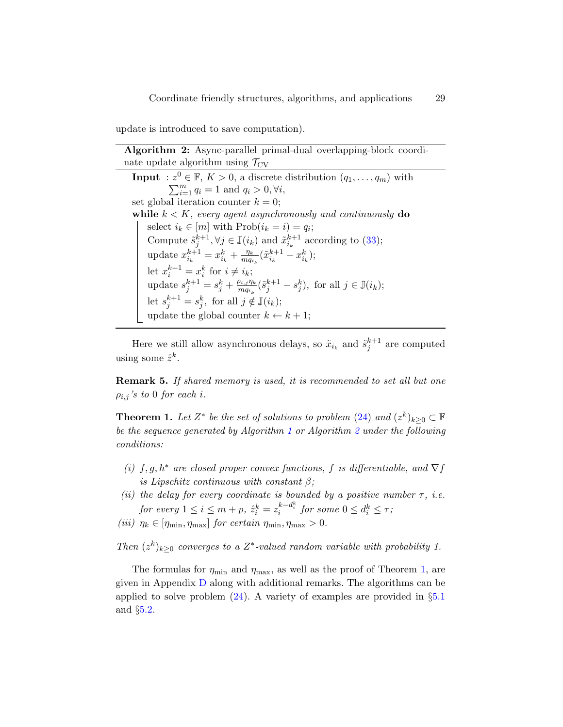<span id="page-28-1"></span>update is introduced to save computation).

Algorithm 2: Async-parallel primal-dual overlapping-block coordinate update algorithm using  $\mathcal{T}_{CV}$ **Input** :  $z^0 \in \mathbb{F}$ ,  $K > 0$ , a discrete distribution  $(q_1, \ldots, q_m)$  with  $\sum_{i=1}^{m} q_i = 1$  and  $q_i > 0, \forall i$ , set global iteration counter  $k = 0$ ; while  $k < K$ , every agent asynchronously and continuously do select  $i_k \in [m]$  with  $Prob(i_k = i) = q_i;$ Compute  $\tilde{s}_j^{k+1}, \forall j \in \mathbb{J}(i_k)$  and  $\tilde{x}_{i_k}^{k+1}$  according to [\(33\)](#page-25-0); update  $x_{i_k}^{k+1} = x_{i_k}^k + \frac{\eta_k}{mq_i}$  $\frac{\eta_k}{m q_{i_k}} (\tilde{x}_{i_k}^{k+1} - x_{i_k}^k);$ let  $x_i^{k+1} = x_i^k$  for  $i \neq i_k$ ; update  $s_j^{k+1} = s_j^k + \frac{\rho_{i,j} \eta_k}{m q_{i_k}}$  $\frac{\partial i,j\eta_k}{\partial m q_{i_k}}(\tilde{s}_j^{k+1} - s_j^k)$ , for all  $j \in \mathbb{J}(i_k)$ ; let  $s_j^{k+1} = s_j^k$ , for all  $j \notin \mathbb{J}(i_k)$ ; update the global counter  $k \leftarrow k + 1$ ;

Here we still allow asynchronous delays, so  $\tilde{x}_{i_k}$  and  $\tilde{s}_j^{k+1}$  are computed using some  $\hat{z}^k$ .

**Remark 5.** If shared memory is used, it is recommended to set all but one  $\rho_{i,j}$ 's to 0 for each i.

<span id="page-28-0"></span>**Theorem 1.** Let  $Z^*$  be the set of solutions to problem [\(24\)](#page-21-1) and  $(z^k)_{k\geq 0} \subset \mathbb{F}$ be the sequence generated by Algorithm [1](#page-27-1) or Algorithm [2](#page-28-1) under the following conditions:

- (i)  $f, g, h^*$  are closed proper convex functions, f is differentiable, and  $\nabla f$ is Lipschitz continuous with constant  $\beta$ ;
- (ii) the delay for every coordinate is bounded by a positive number  $\tau$ , i.e. for every  $1 \leq i \leq m+p$ ,  $\hat{z}_i^k = z_i^{k-d_i^k}$  for some  $0 \leq d_i^k \leq \tau$ ;
- (iii)  $\eta_k \in [\eta_{\min}, \eta_{\max}]$  for certain  $\eta_{\min}, \eta_{\max} > 0$ .

Then  $(z^k)_{k\geq 0}$  converges to a  $Z^*$ -valued random variable with probability 1.

The formulas for  $\eta_{\text{min}}$  and  $\eta_{\text{max}}$ , as well as the proof of Theorem [1,](#page-28-0) are given in Appendix [D](#page-58-0) along with additional remarks. The algorithms can be applied to solve problem  $(24)$ . A variety of examples are provided in §[5.1](#page-29-1) and §[5.2.](#page-33-0)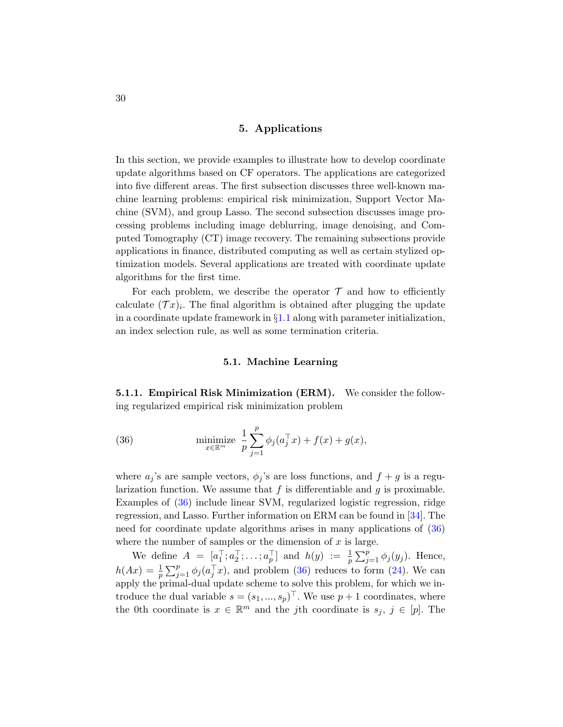### 5. Applications

<span id="page-29-0"></span>In this section, we provide examples to illustrate how to develop coordinate update algorithms based on CF operators. The applications are categorized into five different areas. The first subsection discusses three well-known machine learning problems: empirical risk minimization, Support Vector Machine (SVM), and group Lasso. The second subsection discusses image processing problems including image deblurring, image denoising, and Computed Tomography (CT) image recovery. The remaining subsections provide applications in finance, distributed computing as well as certain stylized optimization models. Several applications are treated with coordinate update algorithms for the first time.

For each problem, we describe the operator  $\mathcal T$  and how to efficiently calculate  $(\mathcal{T}x)_i$ . The final algorithm is obtained after plugging the update in a coordinate update framework in  $\S1.1$  $\S1.1$  along with parameter initialization, an index selection rule, as well as some termination criteria.

#### <span id="page-29-2"></span>5.1. Machine Learning

<span id="page-29-1"></span>5.1.1. Empirical Risk Minimization (ERM). We consider the following regularized empirical risk minimization problem

(36) 
$$
\text{minimize } \frac{1}{p} \sum_{j=1}^{p} \phi_j(a_j^\top x) + f(x) + g(x),
$$

where  $a_j$ 's are sample vectors,  $\phi_j$ 's are loss functions, and  $f + g$  is a regularization function. We assume that  $f$  is differentiable and  $g$  is proximable. Examples of [\(36\)](#page-29-2) include linear SVM, regularized logistic regression, ridge regression, and Lasso. Further information on ERM can be found in [\[34\]](#page-50-10). The need for coordinate update algorithms arises in many applications of [\(36\)](#page-29-2) where the number of samples or the dimension of  $x$  is large.

We define  $A = [a_1^\top; a_2^\top; \dots; a_p^\top]$  and  $h(y) := \frac{1}{p} \sum_{j=1}^p \phi_j(y_j)$ . Hence,  $h(Ax) = \frac{1}{p} \sum_{j=1}^p \phi_j(a_j^\top x)$ , and problem [\(36\)](#page-29-2) reduces to form [\(24\)](#page-21-1). We can apply the primal-dual update scheme to solve this problem, for which we introduce the dual variable  $s = (s_1, ..., s_p)^\top$ . We use  $p + 1$  coordinates, where the 0th coordinate is  $x \in \mathbb{R}^m$  and the jth coordinate is  $s_j, j \in [p]$ . The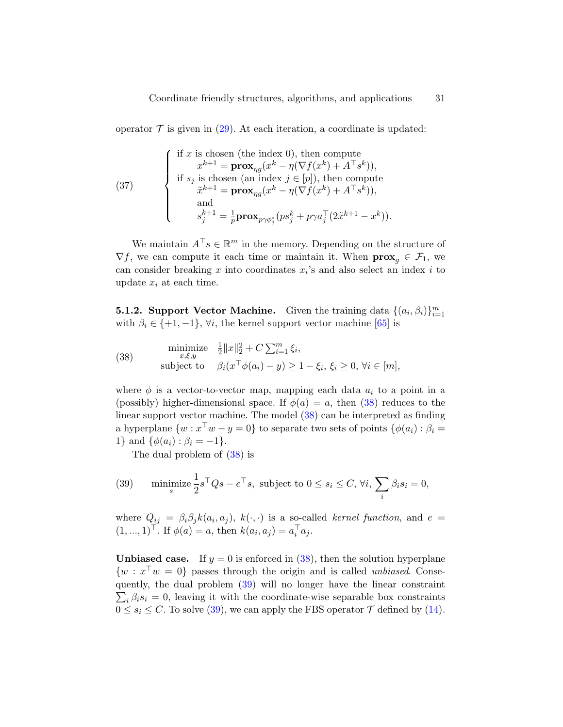operator  $\mathcal T$  is given in [\(29\)](#page-22-3). At each iteration, a coordinate is updated:

(37)   
\n
$$
\begin{cases}\n\text{if } x \text{ is chosen (the index 0), then compute} \\
x^{k+1} = \mathbf{prox}_{\eta g}(x^k - \eta(\nabla f(x^k) + A^\top s^k)), \\
\text{if } s_j \text{ is chosen (an index } j \in [p]), \text{ then compute} \\
\tilde{x}^{k+1} = \mathbf{prox}_{\eta g}(x^k - \eta(\nabla f(x^k) + A^\top s^k)), \\
\text{and} \\
s_j^{k+1} = \frac{1}{p} \mathbf{prox}_{p\gamma \phi_j^*}(ps_j^k + p\gamma a_j^\top (2\tilde{x}^{k+1} - x^k)).\n\end{cases}
$$

We maintain  $A^{\top} s \in \mathbb{R}^m$  in the memory. Depending on the structure of  $\nabla f$ , we can compute it each time or maintain it. When  $\mathbf{prox}_{q} \in \mathcal{F}_1$ , we can consider breaking  $x$  into coordinates  $x_i$ 's and also select an index  $i$  to update  $x_i$  at each time.

**5.1.2. Support Vector Machine.** Given the training data  $\{(a_i, \beta_i)\}_{i=1}^m$ with  $\beta_i \in \{+1, -1\}$ ,  $\forall i$ , the kernel support vector machine [\[65\]](#page-53-12) is

<span id="page-30-0"></span>(38) 
$$
\begin{array}{ll}\text{minimize} & \frac{1}{2} \|x\|_2^2 + C \sum_{i=1}^m \xi_i, \\ \text{subject to} & \beta_i (x^\top \phi(a_i) - y) \ge 1 - \xi_i, \, \xi_i \ge 0, \, \forall i \in [m], \end{array}
$$

where  $\phi$  is a vector-to-vector map, mapping each data  $a_i$  to a point in a (possibly) higher-dimensional space. If  $\phi(a) = a$ , then [\(38\)](#page-30-0) reduces to the linear support vector machine. The model [\(38\)](#page-30-0) can be interpreted as finding a hyperplane  $\{w : x^{\top}w - y = 0\}$  to separate two sets of points  $\{\phi(a_i) : \beta_i =$ 1} and  $\{\phi(a_i) : \beta_i = -1\}.$ 

<span id="page-30-1"></span>The dual problem of [\(38\)](#page-30-0) is

(39) minimize 
$$
\frac{1}{2}s^{\top}Qs - e^{\top}s
$$
, subject to  $0 \le s_i \le C$ ,  $\forall i$ ,  $\sum_i \beta_i s_i = 0$ ,

where  $Q_{ij} = \beta_i \beta_j k(a_i, a_j)$ ,  $k(\cdot, \cdot)$  is a so-called kernel function, and  $e =$  $(1, ..., 1)^{\top}$ . If  $\phi(a) = a$ , then  $k(a_i, a_j) = a_i^{\top} a_j$ .

**Unbiased case.** If  $y = 0$  is enforced in [\(38\)](#page-30-0), then the solution hyperplane  $\{w : x^{\top}w = 0\}$  passes through the origin and is called *unbiased*. Consequently, the dual problem ( [39\)](#page-30-1) will no longer have the linear constraint  $\sum_i \beta_i s_i = 0$ , leaving it with the coordinate-wise separable box constraints  $0 \leq s_i \leq C$ . To solve [\(39\)](#page-30-1), we can apply the FBS operator  $\mathcal T$  defined by [\(14\)](#page-18-1).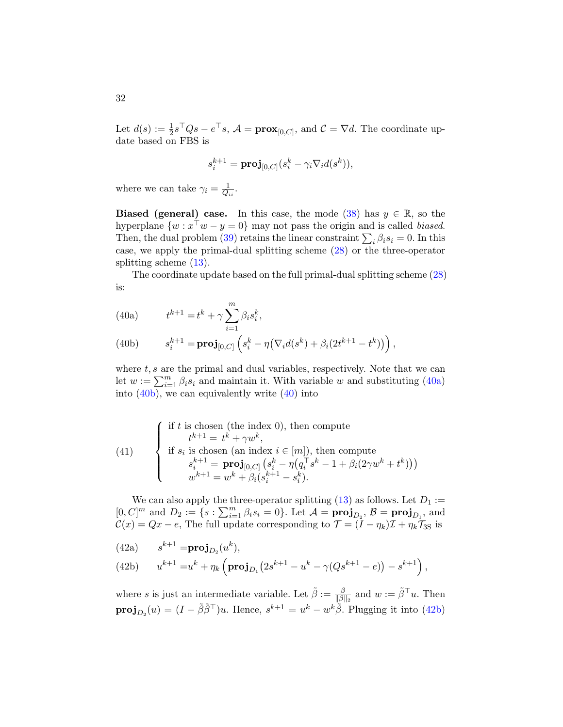Let  $d(s) := \frac{1}{2}s^{\top}Qs - e^{\top}s$ ,  $\mathcal{A} = \mathbf{prox}_{[0,C]}$ , and  $\mathcal{C} = \nabla d$ . The coordinate update based on FBS is

$$
s_i^{k+1} = \mathbf{proj}_{[0,C]}(s_i^k - \gamma_i \nabla_i d(s^k)),
$$

where we can take  $\gamma_i = \frac{1}{Q_i}$  $\frac{1}{Q_{ii}}.$ 

**Biased (general) case.** In this case, the mode [\(38\)](#page-30-0) has  $y \in \mathbb{R}$ , so the hyperplane  $\{w : x^{\top}w - y = 0\}$  may not pass the origin and is called *biased*. Then, the dual problem [\(39\)](#page-30-1) retains the linear constraint  $\sum_i \beta_i s_i = 0$ . In this case, we apply the primal-dual splitting scheme [\(28\)](#page-22-2) or the three-operator splitting scheme  $(13)$ .

<span id="page-31-2"></span>The coordinate update based on the full primal-dual splitting scheme [\(28\)](#page-22-2) is:

<span id="page-31-0"></span>(40a) 
$$
t^{k+1} = t^k + \gamma \sum_{i=1}^m \beta_i s_i^k,
$$

<span id="page-31-1"></span>(40b) 
$$
s_i^{k+1} = \mathbf{proj}_{[0,C]} \left( s_i^k - \eta \left( \nabla_i d(s^k) + \beta_i (2t^{k+1} - t^k) \right) \right),
$$

where  $t, s$  are the primal and dual variables, respectively. Note that we can let  $w := \sum_{i=1}^{m} \beta_i s_i$  and maintain it. With variable w and substituting [\(40a\)](#page-31-0) into  $(40b)$ , we can equivalently write  $(40)$  into

(41)   
\n
$$
\begin{cases}\n\text{if } t \text{ is chosen (the index 0), then compute} \\
\quad t^{k+1} = t^k + \gamma w^k, \\
\text{if } s_i \text{ is chosen (an index } i \in [m]), \text{ then compute} \\
s_i^{k+1} = \mathbf{proj}_{[0,C]}(s_i^k - \eta(q_i^{\top} s^k - 1 + \beta_i(2\gamma w^k + t^k))) \\
w^{k+1} = w^k + \beta_i(s_i^{k+1} - s_i^k).\n\end{cases}
$$

We can also apply the three-operator splitting  $(13)$  as follows. Let  $D_1 :=$  $[0, C]^m$  and  $D_2 := \{s : \sum_{i=1}^m \beta_i s_i = 0\}$ . Let  $\mathcal{A} = \textbf{proj}_{D_2}, \mathcal{B} = \textbf{proj}_{D_1}$ , and  $\mathcal{C}(x) = Qx - e$ , The full update corresponding to  $\mathcal{T} = (I - \eta_k)\mathcal{I} + \eta_k\mathcal{T}_{3S}$  is

$$
(42a) \qquad s^{k+1} = \mathbf{proj}_{D_2}(u^k),
$$

<span id="page-31-3"></span>(42b) 
$$
u^{k+1} = u^k + \eta_k \left( \mathbf{proj}_{D_1} \left( 2s^{k+1} - u^k - \gamma (Qs^{k+1} - e) \right) - s^{k+1} \right),
$$

where s is just an intermediate variable. Let  $\tilde{\beta} := \frac{\beta}{\|\beta\|}$  $\frac{\beta}{\|\beta\|_2}$  and  $w := \tilde{\beta}^\top u$ . Then  $proj_{D_2}(u) = (I - \tilde{\beta}\tilde{\beta}^{\top})u$ . Hence,  $s^{k+1} = u^k - w^k\tilde{\beta}$ . Plugging it into [\(42b\)](#page-31-3)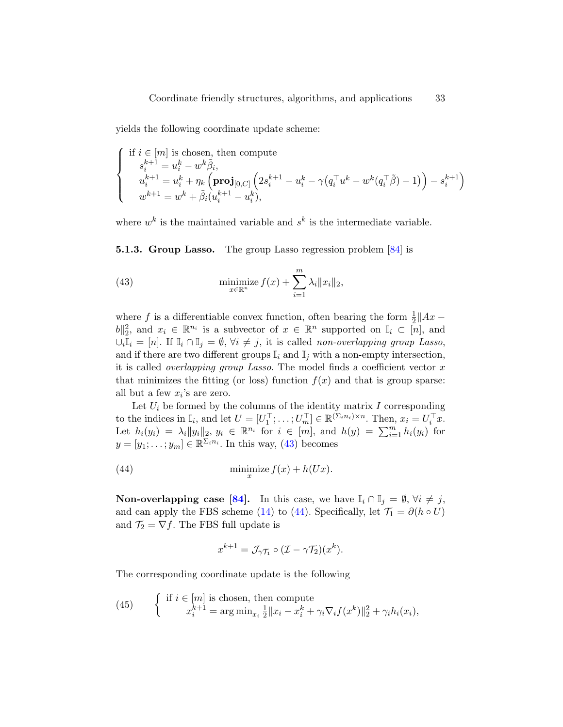yields the following coordinate update scheme:

$$
\label{eq:system} \left\{ \begin{array}{l} \text{if } i \in [m] \text{ is chosen, then compute} \\ s_i^{k+1} = u_i^k - w^k \tilde{\beta}_i, \\ u_i^{k+1} = u_i^k + \eta_k \left( \mathbf{proj}_{[0,C]} \left( 2 s_i^{k+1} - u_i^k - \gamma \big(q_i^\top u^k - w^k (q_i^\top \tilde{\beta}) - 1 \big) \right) - s_i^{k+1} \right) \\ w^{k+1} = w^k + \tilde{\beta}_i (u_i^{k+1} - u_i^k), \end{array} \right.
$$

where  $w^k$  is the maintained variable and  $s^k$  is the intermediate variable.

**5.1.3. Group Lasso.** The group Lasso regression problem  $[84]$  is

<span id="page-32-0"></span>(43) 
$$
\underset{x \in \mathbb{R}^n}{\text{minimize}} f(x) + \sum_{i=1}^m \lambda_i \|x_i\|_2,
$$

where f is a differentiable convex function, often bearing the form  $\frac{1}{2}||Ax ||b||_2^2$ , and  $x_i \in \mathbb{R}^{n_i}$  is a subvector of  $x \in \mathbb{R}^n$  supported on  $\mathbb{I}_i \subset [n]$ , and  $\cup_i \mathbb{I}_i = [n]$ . If  $\mathbb{I}_i \cap \mathbb{I}_j = \emptyset$ ,  $\forall i \neq j$ , it is called non-overlapping group Lasso, and if there are two different groups  $\mathbb{I}_i$  and  $\mathbb{I}_j$  with a non-empty intersection, it is called *overlapping group Lasso*. The model finds a coefficient vector  $x$ that minimizes the fitting (or loss) function  $f(x)$  and that is group sparse: all but a few  $x_i$ 's are zero.

Let  $U_i$  be formed by the columns of the identity matrix  $I$  corresponding to the indices in  $\mathbb{I}_i$ , and let  $U = [U_1^\top; \dots; U_m^\top] \in \mathbb{R}^{(\Sigma_i n_i) \times n}$ . Then,  $x_i = U_i^\top x$ . Let  $h_i(y_i) = \lambda_i ||y_i||_2, y_i \in \mathbb{R}^{n_i}$  for  $i \in [m]$ , and  $h(y) = \sum_{i=1}^m h_i(y_i)$  for  $y = [y_1; \ldots; y_m] \in \mathbb{R}^{\sum_i n_i}$ . In this way, [\(43\)](#page-32-0) becomes

(44) 
$$
\min_x z f(x) + h(Ux).
$$

**Non-overlapping case [\[84\]](#page-54-7).** In this case, we have  $\mathbb{I}_i \cap \mathbb{I}_j = \emptyset$ ,  $\forall i \neq j$ , and can apply the FBS scheme [\(14\)](#page-18-1) to [\(44\)](#page-32-1). Specifically, let  $\mathcal{T}_1 = \partial(h \circ U)$ and  $\mathcal{T}_2 = \nabla f$ . The FBS full update is

<span id="page-32-1"></span>
$$
x^{k+1} = \mathcal{J}_{\gamma\mathcal{T}_1} \circ (\mathcal{I} - \gamma\mathcal{T}_2)(x^k).
$$

The corresponding coordinate update is the following

<span id="page-32-2"></span>(45) 
$$
\begin{cases} \text{if } i \in [m] \text{ is chosen, then compute} \\ x_i^{k+1} = \arg \min_{x_i} \frac{1}{2} ||x_i - x_i^k + \gamma_i \nabla_i f(x^k) ||_2^2 + \gamma_i h_i(x_i), \end{cases}
$$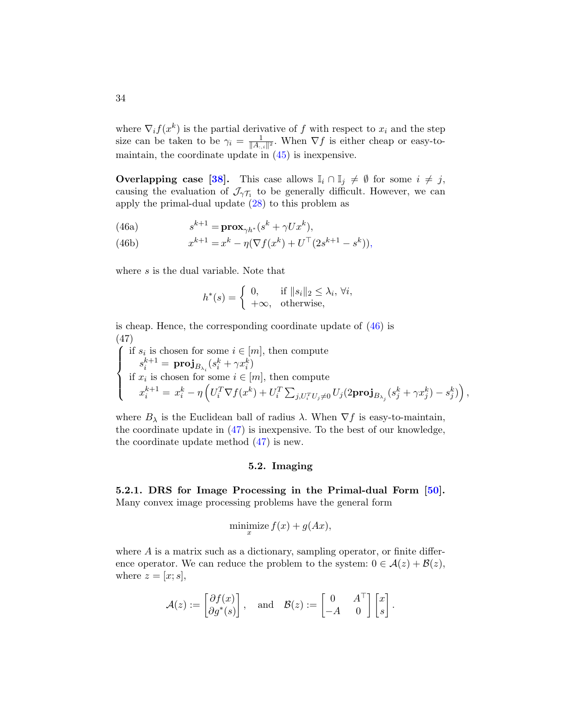where  $\nabla_i f(x^k)$  is the partial derivative of f with respect to  $x_i$  and the step size can be taken to be  $\gamma_i = \frac{1}{\|A\|}$  $\frac{1}{\|A_{:,i}\|^2}$ . When  $\nabla f$  is either cheap or easy-tomaintain, the coordinate update in  $(45)$  is inexpensive.

**Overlapping case [\[38\]](#page-50-11).** This case allows  $\mathbb{I}_i \cap \mathbb{I}_j \neq \emptyset$  for some  $i \neq j$ , causing the evaluation of  $\mathcal{J}_{\gamma\mathcal{T}_1}$  to be generally difficult. However, we can apply the primal-dual update [\(28\)](#page-22-2) to this problem as

(46a) 
$$
s^{k+1} = \mathbf{prox}_{\gamma h^*}(s^k + \gamma U x^k),
$$

(46b) 
$$
x^{k+1} = x^k - \eta (\nabla f(x^k) + U^{\top} (2s^{k+1} - s^k)),
$$

where s is the dual variable. Note that

<span id="page-33-1"></span>
$$
h^*(s) = \begin{cases} 0, & \text{if } \|s_i\|_2 \le \lambda_i, \ \forall i, \\ +\infty, & \text{otherwise,} \end{cases}
$$

is cheap. Hence, the corresponding coordinate update of [\(46\)](#page-33-1) is (47)

<span id="page-33-2"></span>
$$
\left\{\begin{array}{l} \text{if } s_i \text{ is chosen for some } i \in [m], \text{ then compute} \\ s_i^{k+1} = \textbf{proj}_{B_{\lambda_i}}(s_i^k + \gamma x_i^k) \\ \text{if } x_i \text{ is chosen for some } i \in [m], \text{ then compute} \\ x_i^{k+1} = x_i^k - \eta \left(U_i^T \nabla f(x^k) + U_i^T \sum_{j, U_i^T U_j \neq 0} U_j(2\textbf{proj}_{B_{\lambda_j}}(s_j^k + \gamma x_j^k) - s_j^k)\right), \end{array}\right.
$$

where  $B_{\lambda}$  is the Euclidean ball of radius  $\lambda$ . When  $\nabla f$  is easy-to-maintain, the coordinate update in [\(47\)](#page-33-2) is inexpensive. To the best of our knowledge, the coordinate update method [\(47\)](#page-33-2) is new.

### 5.2. Imaging

<span id="page-33-0"></span>5.2.1. DRS for Image Processing in the Primal-dual Form [\[50\]](#page-51-9). Many convex image processing problems have the general form

$$
\underset{x}{\text{minimize}}\, f(x) + g(Ax),
$$

where  $A$  is a matrix such as a dictionary, sampling operator, or finite difference operator. We can reduce the problem to the system:  $0 \in \mathcal{A}(z) + \mathcal{B}(z)$ , where  $z = [x; s]$ ,

$$
\mathcal{A}(z) := \begin{bmatrix} \partial f(x) \\ \partial g^*(s) \end{bmatrix}, \quad \text{and} \quad \mathcal{B}(z) := \begin{bmatrix} 0 & A^\top \\ -A & 0 \end{bmatrix} \begin{bmatrix} x \\ s \end{bmatrix}
$$

.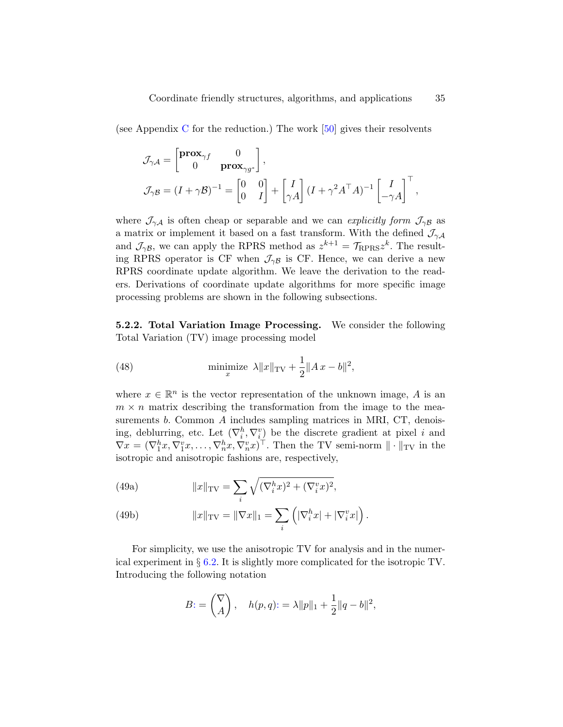(see Appendix [C](#page-57-0) for the reduction.) The work  $[50]$  gives their resolvents

$$
\mathcal{J}_{\gamma A} = \begin{bmatrix} \mathbf{prox}_{\gamma f} & 0 \\ 0 & \mathbf{prox}_{\gamma g^*} \end{bmatrix},
$$
  

$$
\mathcal{J}_{\gamma B} = (I + \gamma \mathcal{B})^{-1} = \begin{bmatrix} 0 & 0 \\ 0 & I \end{bmatrix} + \begin{bmatrix} I \\ \gamma A \end{bmatrix} (I + \gamma^2 A^\top A)^{-1} \begin{bmatrix} I \\ -\gamma A \end{bmatrix}^\top,
$$

where  $\mathcal{J}_{\gamma A}$  is often cheap or separable and we can explicitly form  $\mathcal{J}_{\gamma B}$  as a matrix or implement it based on a fast transform. With the defined  $\mathcal{J}_{\gamma A}$ and  $\mathcal{J}_{\gamma\beta}$ , we can apply the RPRS method as  $z^{k+1} = \mathcal{T}_{\text{RPRS}} z^k$ . The resulting RPRS operator is CF when  $\mathcal{J}_{\gamma\beta}$  is CF. Hence, we can derive a new RPRS coordinate update algorithm. We leave the derivation to the readers. Derivations of coordinate update algorithms for more specific image processing problems are shown in the following subsections.

5.2.2. Total Variation Image Processing. We consider the following Total Variation (TV) image processing model

<span id="page-34-1"></span>(48) 
$$
\min_{x} \|\bar{x}\|_{TV} + \frac{1}{2} \|Ax - b\|^2,
$$

where  $x \in \mathbb{R}^n$  is the vector representation of the unknown image, A is an  $m \times n$  matrix describing the transformation from the image to the measurements b. Common A includes sampling matrices in MRI, CT, denoising, deblurring, etc. Let  $(\nabla_i^h, \nabla_i^v)$  be the discrete gradient at pixel i and  $\nabla x = (\nabla_1^h x, \nabla_1^v x, \dots, \nabla_n^h x, \nabla_n^v x)^\top$ . Then the TV semi-norm  $\|\cdot\|_{TV}$  in the isotropic and anisotropic fashions are, respectively,

(49a) 
$$
||x||_{\text{TV}} = \sum_{i} \sqrt{(\nabla_i^h x)^2 + (\nabla_i^v x)^2},
$$

(49b) 
$$
||x||_{\text{TV}} = ||\nabla x||_1 = \sum_i \left( |\nabla_i^h x| + |\nabla_i^v x| \right).
$$

For simplicity, we use the anisotropic TV for analysis and in the numerical experiment in  $\S 6.2$ . It is slightly more complicated for the isotropic TV. Introducing the following notation

<span id="page-34-0"></span>
$$
B = \begin{pmatrix} \nabla \\ A \end{pmatrix}, \quad h(p,q) = \lambda ||p||_1 + \frac{1}{2} ||q - b||^2,
$$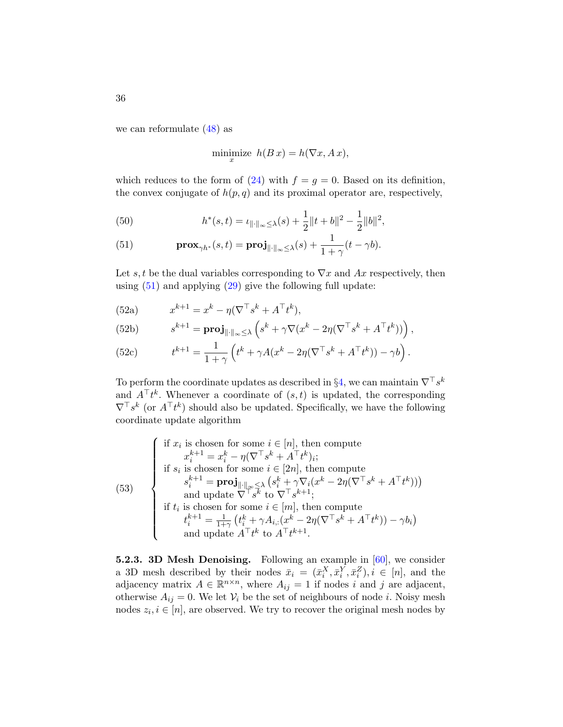we can reformulate [\(48\)](#page-34-1) as

<span id="page-35-1"></span>
$$
\underset{x}{\text{minimize}} \ \ h(B\,x) = h(\nabla x, A\,x),
$$

which reduces to the form of  $(24)$  with  $f = g = 0$ . Based on its definition, the convex conjugate of  $h(p, q)$  and its proximal operator are, respectively,

(50) 
$$
h^*(s,t) = \iota_{\|\cdot\|_{\infty} \leq \lambda}(s) + \frac{1}{2} \|t+b\|^2 - \frac{1}{2} \|b\|^2,
$$

<span id="page-35-0"></span>(51) 
$$
\mathbf{prox}_{\gamma h^*}(s,t) = \mathbf{proj}_{\|\cdot\|_{\infty} \leq \lambda}(s) + \frac{1}{1+\gamma}(t-\gamma b).
$$

Let s, t be the dual variables corresponding to  $\nabla x$  and Ax respectively, then using  $(51)$  and applying  $(29)$  give the following full update:

(52a) 
$$
x^{k+1} = x^k - \eta (\nabla^{\top} s^k + A^{\top} t^k),
$$

(52b) 
$$
s^{k+1} = \mathbf{proj}_{\|\cdot\|_{\infty} \leq \lambda} \left( s^k + \gamma \nabla (x^k - 2\eta (\nabla^{\top} s^k + A^{\top} t^k)) \right),
$$

(52c) 
$$
t^{k+1} = \frac{1}{1+\gamma} \left( t^k + \gamma A (x^k - 2\eta (\nabla^\top s^k + A^\top t^k)) - \gamma b \right).
$$

To perform the coordinate updates as described in §[4,](#page-21-0) we can maintain  $\nabla^{\top} s^k$ and  $A^{\top}t^k$ . Whenever a coordinate of  $(s, t)$  is updated, the corresponding  $\nabla^{\top} s^k$  (or  $A^{\top} t^k$ ) should also be updated. Specifically, we have the following coordinate update algorithm

(53)   
\n
$$
\begin{cases}\n\text{if } x_i \text{ is chosen for some } i \in [n], \text{ then compute} \\
x_i^{k+1} = x_i^k - \eta (\nabla^\top s^k + A^\top t^k)_i; \\
\text{if } s_i \text{ is chosen for some } i \in [2n], \text{ then compute} \\
s_i^{k+1} = \text{proj}_{\|\cdot\|_{\infty} \leq \lambda} (s_i^k + \gamma \nabla_i (x^k - 2\eta (\nabla^\top s^k + A^\top t^k))) \\
\text{and update } \nabla^\top s^k \text{ to } \nabla^\top s^{k+1}; \\
\text{if } t_i \text{ is chosen for some } i \in [m], \text{ then compute} \\
t_i^{k+1} = \frac{1}{1+\gamma} (t_i^k + \gamma A_{i,:}(x^k - 2\eta (\nabla^\top s^k + A^\top t^k)) - \gamma b_i) \\
\text{and update } A^\top t^k \text{ to } A^\top t^{k+1}.\n\end{cases}
$$

**5.2.3. 3D Mesh Denoising.** Following an example in  $[60]$ , we consider a 3D mesh described by their nodes  $\bar{x}_i = (\bar{x}_i^X, \bar{x}_i^Y, \bar{x}_i^Z), i \in [n]$ , and the adjacency matrix  $A \in \mathbb{R}^{n \times n}$ , where  $A_{ij} = 1$  if nodes i and j are adjacent, otherwise  $A_{ij} = 0$ . We let  $V_i$  be the set of neighbours of node *i*. Noisy mesh nodes  $z_i, i \in [n]$ , are observed. We try to recover the original mesh nodes by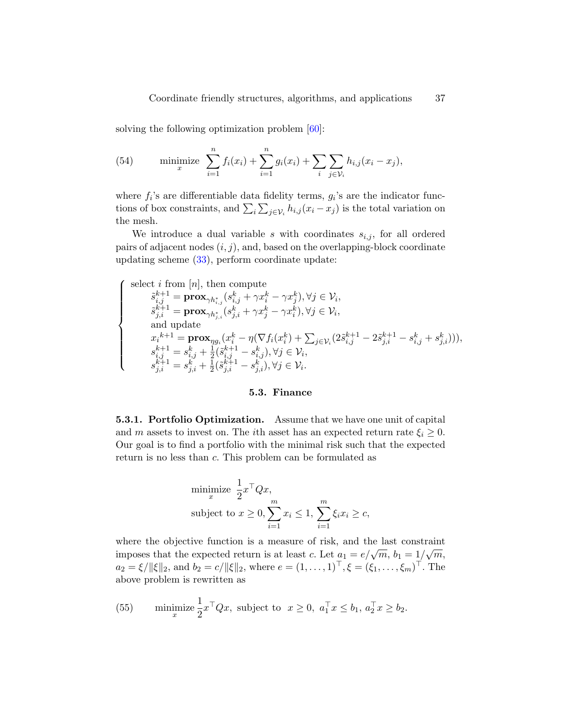solving the following optimization problem [\[60\]](#page-52-10):

(54) minimize 
$$
\sum_{i=1}^{n} f_i(x_i) + \sum_{i=1}^{n} g_i(x_i) + \sum_{i} \sum_{j \in \mathcal{V}_i} h_{i,j}(x_i - x_j),
$$

where  $f_i$ 's are differentiable data fidelity terms,  $g_i$ 's are the indicator functions of box constraints, and  $\sum_i \sum_{j \in \mathcal{V}_i} h_{i,j}(x_i - x_j)$  is the total variation on the mesh.

We introduce a dual variable s with coordinates  $s_{i,j}$ , for all ordered pairs of adjacent nodes  $(i, j)$ , and, based on the overlapping-block coordinate updating scheme [\(33\)](#page-25-0), perform coordinate update:

<span id="page-36-0"></span>
$$
\left\{\begin{array}{c} \mbox{select $i$ from $[n]$, then compute}\\ \tilde{s}^{k+1}_{i,j} = \mathbf{prox}_{\gamma h^*_{i,j}}(s^k_{i,j} + \gamma x^k_i - \gamma x^k_j), \forall j \in \mathcal{V}_i, \\ \tilde{s}^{k+1}_{j,i} = \mathbf{prox}_{\gamma h^*_{j,i}}(s^k_{j,i} + \gamma x^k_j - \gamma x^k_i), \forall j \in \mathcal{V}_i, \\ \mbox{ and update } \\ x_i^{k+1} = \mathbf{prox}_{\gamma g_i}(x^k_i - \eta(\nabla f_i(x^k_i) + \sum_{j \in \mathcal{V}_i} (2\tilde{s}^{k+1}_{i,j} - 2\tilde{s}^{k+1}_{j,i} - s^k_{i,j})),\\ s^{k+1}_{i,j} = s^k_{i,j} + \frac{1}{2}(\tilde{s}^{k+1}_{i,j} - s^k_{i,j}), \forall j \in \mathcal{V}_i, \\ s^{k+1}_{j,i} = s^k_{j,i} + \frac{1}{2}(\tilde{s}^{k+1}_{j,i} - s^k_{j,i}), \forall j \in \mathcal{V}_i.\end{array}\right.
$$

#### 5.3. Finance

5.3.1. Portfolio Optimization. Assume that we have one unit of capital and m assets to invest on. The *i*th asset has an expected return rate  $\xi_i \geq 0$ . Our goal is to find a portfolio with the minimal risk such that the expected return is no less than c. This problem can be formulated as

minimize 
$$
\frac{1}{2} x^\top Q x
$$
,  
subject to  $x \ge 0$ ,  $\sum_{i=1}^m x_i \le 1$ ,  $\sum_{i=1}^m \xi_i x_i \ge c$ ,

where the objective function is a measure of risk, and the last constraint imposes that the expected return is at least c. Let  $a_1 = e/\sqrt{m}$ ,  $b_1 = 1/\sqrt{m}$ ,  $a_2 = \xi / ||\xi||_2$ , and  $b_2 = c / ||\xi||_2$ , where  $e = (1, \ldots, 1)^{\top}, \xi = (\xi_1, \ldots, \xi_m)^{\top}$ . The above problem is rewritten as

(55) minimize 
$$
\frac{1}{2}x^{\top}Qx
$$
, subject to  $x \ge 0$ ,  $a_1^{\top}x \le b_1$ ,  $a_2^{\top}x \ge b_2$ .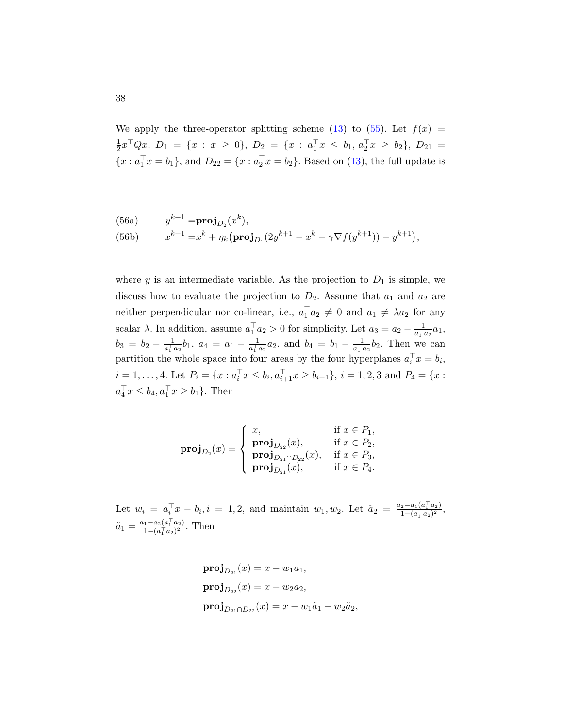<span id="page-37-0"></span>We apply the three-operator splitting scheme [\(13\)](#page-18-3) to [\(55\)](#page-36-0). Let  $f(x) =$ 1  $\frac{1}{2}x^{\top}Qx, D_1 = \{x : x \ge 0\}, D_2 = \{x : a_1^{\top}x \le b_1, a_2^{\top}x \ge b_2\}, D_{21} =$  ${x : a_1^{\top} x = b_1},$  and  $D_{22} = {x : a_2^{\top} x = b_2}.$  Based on [\(13\)](#page-18-3), the full update is

(56a) 
$$
y^{k+1} = \mathbf{proj}_{D_2}(x^k),
$$
  
(56b)  $x^{k+1} = x^k + \eta_k (\mathbf{proj}_{D_1}(2y^{k+1} - x^k - \gamma \nabla f(y^{k+1})) - y^{k+1}),$ 

where  $y$  is an intermediate variable. As the projection to  $D_1$  is simple, we discuss how to evaluate the projection to  $D_2$ . Assume that  $a_1$  and  $a_2$  are neither perpendicular nor co-linear, i.e.,  $a_1^\top a_2 \neq 0$  and  $a_1 \neq \lambda a_2$  for any scalar  $\lambda$ . In addition, assume  $a_1^\top a_2 > 0$  for simplicity. Let  $a_3 = a_2 - \frac{1}{a_1^\top a_2}$  $\frac{1}{a_1^{\top} a_2} a_1,$  $b_3 = b_2 - \frac{1}{a_1}$  $\frac{1}{a_1^{\top}a_2}b_1, a_4 = a_1 - \frac{1}{a_1^{\top}a_1^{\top}}$  $\frac{1}{a_1^{\top}a_2}a_2$ , and  $b_4 = b_1 - \frac{1}{a_1^{\top}a_2^{\top}}$  $\frac{1}{a_1^{\top} a_2} b_2$ . Then we can partition the whole space into four areas by the four hyperplanes  $a_i^{\top} x = b_i$ ,  $i = 1, ..., 4$ . Let  $P_i = \{x : a_i^{\top} x \le b_i, a_{i+1}^{\top} x \ge b_{i+1}\}, i = 1, 2, 3 \text{ and } P_4 = \{x : a_i^{\top} x \le b_i, a_{i+1}^{\top} x \ge b_{i+1}\}$  $a_4^{\top} x \leq b_4, a_1^{\top} x \geq b_1$ . Then

$$
\textbf{proj}_{D_2}(x) = \begin{cases} x, & \text{if } x \in P_1, \\ \textbf{proj}_{D_{22}}(x), & \text{if } x \in P_2, \\ \textbf{proj}_{D_{21} \cap D_{22}}(x), & \text{if } x \in P_3, \\ \textbf{proj}_{D_{21}}(x), & \text{if } x \in P_4. \end{cases}
$$

Let  $w_i = a_i^{\top} x - b_i, i = 1, 2$ , and maintain  $w_1, w_2$ . Let  $\tilde{a}_2 = \frac{a_2 - a_1(a_1^{\top} a_2)}{1 - (a_1^{\top} a_2)^2}$  $\frac{2-a_1(a_1\ a_2)}{1-(a_1^\top a_2)^2},$  $\tilde{a}_1 = \frac{a_1 - a_2(a_1^\top a_2)}{1 - (a_1^\top a_2)^2}$  $\frac{1-a_2(a_1 \ a_2)}{1-(a_1^\top a_2)^2}$ . Then

$$
\begin{aligned} \n\mathbf{proj}_{D_{21}}(x) &= x - w_1 a_1, \\ \n\mathbf{proj}_{D_{22}}(x) &= x - w_2 a_2, \\ \n\mathbf{proj}_{D_{21} \cap D_{22}}(x) &= x - w_1 \tilde{a}_1 - w_2 \tilde{a}_2, \n\end{aligned}
$$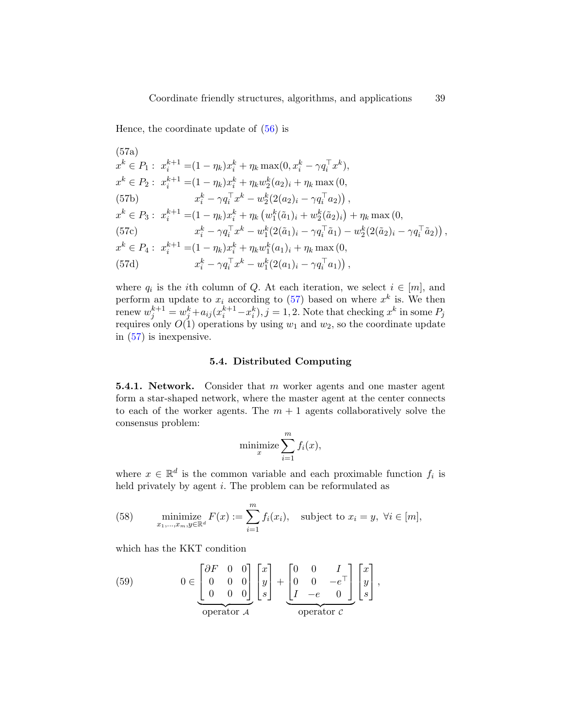<span id="page-38-0"></span>Hence, the coordinate update of [\(56\)](#page-37-0) is

(57a)  
\n
$$
x^{k} \in P_{1}: x_{i}^{k+1} = (1 - \eta_{k})x_{i}^{k} + \eta_{k} \max(0, x_{i}^{k} - \gamma q_{i}^{\top} x^{k}),
$$
\n
$$
x^{k} \in P_{2}: x_{i}^{k+1} = (1 - \eta_{k})x_{i}^{k} + \eta_{k} w_{2}^{k}(a_{2})_{i} + \eta_{k} \max(0,
$$
\n(57b)  
\n
$$
x_{i}^{k} - \gamma q_{i}^{\top} x^{k} - w_{2}^{k}(2(a_{2})_{i} - \gamma q_{i}^{\top} a_{2})),
$$
\n
$$
x^{k} \in P_{3}: x_{i}^{k+1} = (1 - \eta_{k})x_{i}^{k} + \eta_{k} (w_{1}^{k}(\tilde{a}_{1})_{i} + w_{2}^{k}(\tilde{a}_{2})_{i}) + \eta_{k} \max(0,
$$
\n(57c)  
\n
$$
x_{i}^{k} - \gamma q_{i}^{\top} x^{k} - w_{1}^{k}(2(\tilde{a}_{1})_{i} - \gamma q_{i}^{\top} \tilde{a}_{1}) - w_{2}^{k}(2(\tilde{a}_{2})_{i} - \gamma q_{i}^{\top} \tilde{a}_{2})),
$$
\n
$$
x^{k} \in P_{4}: x_{i}^{k+1} = (1 - \eta_{k})x_{i}^{k} + \eta_{k} w_{1}^{k}(a_{1})_{i} + \eta_{k} \max(0,
$$
\n(57d)  
\n
$$
x_{i}^{k} - \gamma q_{i}^{\top} x^{k} - w_{1}^{k}(2(a_{1})_{i} - \gamma q_{i}^{\top} a_{1})),
$$

where  $q_i$  is the *i*th column of Q. At each iteration, we select  $i \in [m]$ , and perform an update to  $x_i$  according to [\(57\)](#page-38-0) based on where  $x^k$  is. We then renew  $w_j^{k+1} = w_j^k + a_{ij} (x_i^{k+1} - x_i^k), j = 1, 2$ . Note that checking  $x^k$  in some  $P_j$ requires only  $O(1)$  operations by using  $w_1$  and  $w_2$ , so the coordinate update in [\(57\)](#page-38-0) is inexpensive.

### 5.4. Distributed Computing

**5.4.1. Network.** Consider that m worker agents and one master agent form a star-shaped network, where the master agent at the center connects to each of the worker agents. The  $m + 1$  agents collaboratively solve the consensus problem:

$$
\text{minimize} \sum_{i=1}^{m} f_i(x),
$$

where  $x \in \mathbb{R}^d$  is the common variable and each proximable function  $f_i$  is held privately by agent *i*. The problem can be reformulated as

(58) minimize 
$$
F(x) := \sum_{i=1}^{m} f_i(x_i)
$$
, subject to  $x_i = y$ ,  $\forall i \in [m]$ ,

which has the KKT condition

<span id="page-38-1"></span>(59) 
$$
0 \in \begin{bmatrix} \partial F & 0 & 0 \\ 0 & 0 & 0 \\ 0 & 0 & 0 \end{bmatrix} \begin{bmatrix} x \\ y \\ s \end{bmatrix} + \begin{bmatrix} 0 & 0 & I \\ 0 & 0 & -e^{\top} \\ I & -e & 0 \end{bmatrix} \begin{bmatrix} x \\ y \\ s \end{bmatrix},
$$
operator  $c$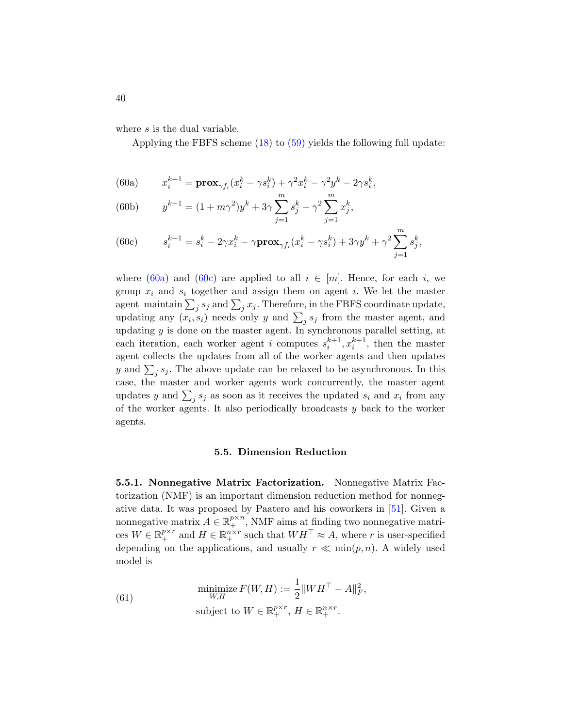where s is the dual variable.

Applying the FBFS scheme [\(18\)](#page-19-1) to [\(59\)](#page-38-1) yields the following full update:

<span id="page-39-0"></span>(60a) 
$$
x_i^{k+1} = \mathbf{prox}_{\gamma f_i}(x_i^k - \gamma s_i^k) + \gamma^2 x_i^k - \gamma^2 y^k - 2\gamma s_i^k,
$$

(60b) 
$$
y^{k+1} = (1 + m\gamma^2)y^k + 3\gamma \sum_{j=1}^m s_j^k - \gamma^2 \sum_{j=1}^m x_j^k,
$$

<span id="page-39-1"></span>(60c) 
$$
s_i^{k+1} = s_i^k - 2\gamma x_i^k - \gamma \mathbf{prox}_{\gamma f_i}(x_i^k - \gamma s_i^k) + 3\gamma y^k + \gamma^2 \sum_{j=1}^m s_j^k,
$$

where [\(60a\)](#page-39-0) and [\(60c\)](#page-39-1) are applied to all  $i \in [m]$ . Hence, for each i, we group  $x_i$  and  $s_i$  together and assign them on agent i. We let the master agent maintain  $\sum_j s_j$  and  $\sum_j x_j$ . Therefore, in the FBFS coordinate update, updating any  $(x_i, s_i)$  needs only y and  $\sum_j s_j$  from the master agent, and updating  $y$  is done on the master agent. In synchronous parallel setting, at each iteration, each worker agent *i* computes  $s_i^{k+1}, x_i^{k+1}$ , then the master agent collects the updates from all of the worker agents and then updates y and  $\sum_j s_j$ . The above update can be relaxed to be asynchronous. In this case, the master and worker agents work concurrently, the master agent updates y and  $\sum_j s_j$  as soon as it receives the updated  $s_i$  and  $x_i$  from any of the worker agents. It also periodically broadcasts  $y$  back to the worker agents.

### 5.5. Dimension Reduction

5.5.1. Nonnegative Matrix Factorization. Nonnegative Matrix Factorization (NMF) is an important dimension reduction method for nonnegative data. It was proposed by Paatero and his coworkers in [\[51\]](#page-51-10). Given a nonnegative matrix  $A \in \mathbb{R}_+^{p \times n}$ , NMF aims at finding two nonnegative matrices  $W \in \mathbb{R}^{p \times r}_+$  and  $H \in \mathbb{R}^{n \times r}_+$  such that  $WH^\top \approx A$ , where r is user-specified depending on the applications, and usually  $r \ll \min(p, n)$ . A widely used model is

<span id="page-39-2"></span>(61) 
$$
\begin{aligned}\n\text{minimize } F(W, H) &:= \frac{1}{2} \|W H^{\top} - A\|_F^2, \\
\text{subject to } W \in \mathbb{R}_+^{p \times r}, H \in \mathbb{R}_+^{n \times r}.\n\end{aligned}
$$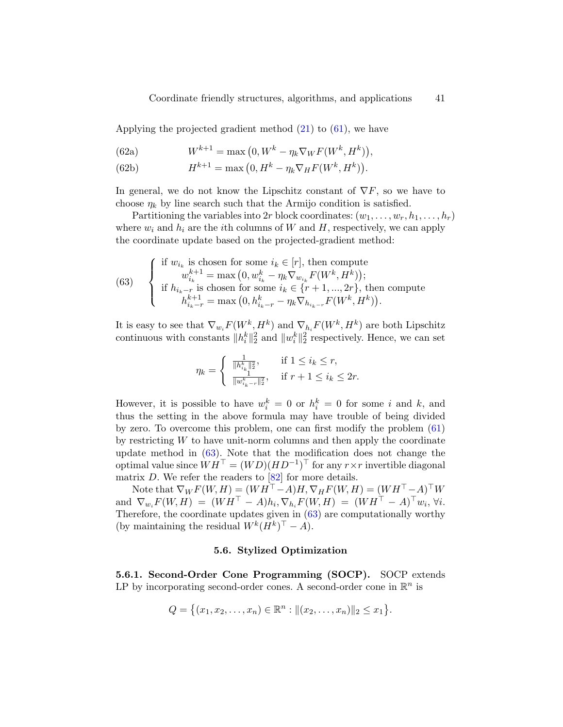Applying the projected gradient method  $(21)$  to  $(61)$ , we have

(62a) 
$$
W^{k+1} = \max(0, W^k - \eta_k \nabla_W F(W^k, H^k)),
$$

(62b) 
$$
H^{k+1} = \max (0, H^k - \eta_k \nabla_H F(W^k, H^k)).
$$

In general, we do not know the Lipschitz constant of  $\nabla F$ , so we have to choose  $\eta_k$  by line search such that the Armijo condition is satisfied.

Partitioning the variables into 2r block coordinates:  $(w_1, \ldots, w_r, h_1, \ldots, h_r)$ where  $w_i$  and  $h_i$  are the *i*th columns of W and H, respectively, we can apply the coordinate update based on the projected-gradient method:

<span id="page-40-0"></span>(63) 
$$
\begin{cases}\n\text{if } w_{i_k} \text{ is chosen for some } i_k \in [r], \text{ then compute} \\
w_{i_k}^{k+1} = \max (0, w_{i_k}^k - \eta_k \nabla_{w_{i_k}} F(W^k, H^k)); \\
\text{if } h_{i_k-r} \text{ is chosen for some } i_k \in \{r+1, ..., 2r\}, \text{ then compute} \\
h_{i_k-r}^{k+1} = \max (0, h_{i_k-r}^k - \eta_k \nabla_{h_{i_k-r}} F(W^k, H^k)).\n\end{cases}
$$

It is easy to see that  $\nabla_{w_i} F(W^k, H^k)$  and  $\nabla_{h_i} F(W^k, H^k)$  are both Lipschitz continuous with constants  $||h_i^k||_2^2$  and  $||w_i^k||_2^2$  respectively. Hence, we can set

$$
\eta_k = \begin{cases} \frac{1}{||h_{i_k}^k||_2^2}, & \text{if } 1 \le i_k \le r, \\ \frac{1}{||w_{i_{k-r}}^k||_2^2}, & \text{if } r+1 \le i_k \le 2r. \end{cases}
$$

However, it is possible to have  $w_i^k = 0$  or  $h_i^k = 0$  for some i and k, and thus the setting in the above formula may have trouble of being divided by zero. To overcome this problem, one can first modify the problem [\(61\)](#page-39-2) by restricting  $W$  to have unit-norm columns and then apply the coordinate update method in [\(63\)](#page-40-0). Note that the modification does not change the optimal value since  $WH<sup>T</sup> = (WD)(HD<sup>-1</sup>)<sup>T</sup>$  for any  $r \times r$  invertible diagonal matrix  $D$ . We refer the readers to  $[82]$  for more details.

Note that  $\nabla_W F(W,H) = (W H^\top - A) H, \nabla_H F(W,H) = (W H^\top - A)^\top W$ and  $\nabla_{w_i} F(W, H) = (WH<sup>T</sup> - A)h_i, \nabla_{h_i} F(W, H) = (WH<sup>T</sup> - A)<sup>T</sup>w_i, \forall i.$ Therefore, the coordinate updates given in  $(63)$  are computationally worthy (by maintaining the residual  $W^{k}(H^{k})^{\top} - A$ ).

### 5.6. Stylized Optimization

5.6.1. Second-Order Cone Programming (SOCP). SOCP extends LP by incorporating second-order cones. A second-order cone in  $\mathbb{R}^n$  is

$$
Q = \{(x_1, x_2, \ldots, x_n) \in \mathbb{R}^n : ||(x_2, \ldots, x_n)||_2 \le x_1\}.
$$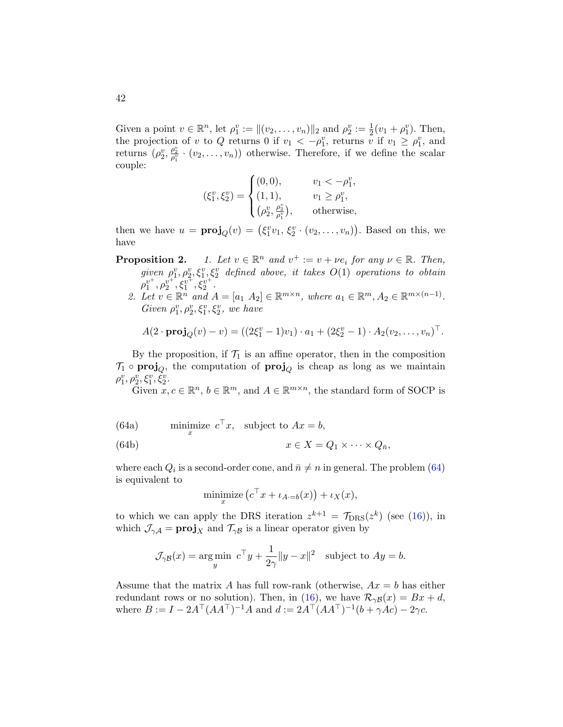Given a point  $v \in \mathbb{R}^n$ , let  $\rho_1^v := ||(v_2, \dots, v_n)||_2$  and  $\rho_2^v := \frac{1}{2}(v_1 + \rho_1^v)$ . Then, the projection of v to Q returns 0 if  $v_1 < -\rho_1^v$ , returns v if  $v_1 \ge \rho_1^v$ , and returns  $(\rho_2^v, \frac{\rho_2^v}{\rho_1^v} \cdot (v_2, \ldots, v_n))$  otherwise. Therefore, if we define the scalar couple:

$$
(\xi_1^v, \xi_2^v) = \begin{cases} (0, 0), & v_1 < -\rho_1^v, \\ (1, 1), & v_1 \ge \rho_1^v, \\ (\rho_2^v, \frac{\rho_2^v}{\rho_1^v}), & \text{otherwise,} \end{cases}
$$

then we have  $u = \text{proj}_Q(v) = (\xi_1^v v_1, \xi_2^v \cdot (v_2, \dots, v_n))$ . Based on this, we have

**Proposition 2.** 1. Let  $v \in \mathbb{R}^n$  and  $v^+ := v + \nu e_i$  for any  $\nu \in \mathbb{R}$ . Then,  $given \rho_1^v, \rho_2^v, \xi_1^v, \xi_2^v$  defined above, it takes  $O(1)$  operations to obtain  $\rho_1^{v^+}, \rho_2^{v^+}, \xi_1^{v^+}, \xi_2^{v^+}.$ 

2. Let  $v \in \mathbb{R}^n$  and  $A = [a_1 \ A_2] \in \mathbb{R}^{m \times n}$ , where  $a_1 \in \mathbb{R}^m$ ,  $A_2 \in \mathbb{R}^{m \times (n-1)}$ . Given  $\rho_1^v, \rho_2^v, \xi_1^v, \xi_2^v$ , we have

$$
A(2 \cdot \mathbf{proj}_Q(v) - v) = ((2\xi_1^v - 1)v_1) \cdot a_1 + (2\xi_2^v - 1) \cdot A_2(v_2, \dots, v_n)^\top.
$$

By the proposition, if  $\mathcal{T}_1$  is an affine operator, then in the composition  $\mathcal{T}_1 \circ \mathbf{proj}_Q$ , the computation of  $\mathbf{proj}_Q$  is cheap as long as we maintain  $\rho_{1}^{v}, \rho_{2}^{v}, \xi_{1}^{v}, \check{\xi}_{2}^{v}.$ 

<span id="page-41-0"></span>Given  $x, c \in \mathbb{R}^n$ ,  $b \in \mathbb{R}^m$ , and  $A \in \mathbb{R}^{m \times n}$ , the standard form of SOCP is

(64a) 
$$
\min_x \text{size } c^\top x, \text{ subject to } Ax = b,
$$

(64b) 
$$
x \in X = Q_1 \times \cdots \times Q_{\bar{n}},
$$

where each  $Q_i$  is a second-order cone, and  $\bar{n} \neq n$  in general. The problem [\(64\)](#page-41-0) is equivalent to

$$
\underset{x}{\text{minimize}} \left( c^{\top} x + \iota_{A \cdot = b}(x) \right) + \iota_X(x),
$$

to which we can apply the DRS iteration  $z^{k+1} = \mathcal{T}_{\text{DRS}}(z^k)$  (see [\(16\)](#page-19-0)), in which  $\mathcal{J}_{\gamma A} = \mathbf{proj}_X$  and  $\mathcal{T}_{\gamma B}$  is a linear operator given by

$$
\mathcal{J}_{\gamma\mathcal{B}}(x) = \underset{y}{\arg\min} \ c^{\top}y + \frac{1}{2\gamma} \|y - x\|^2 \quad \text{subject to } Ay = b.
$$

Assume that the matrix A has full row-rank (otherwise,  $Ax = b$  has either redundant rows or no solution). Then, in [\(16\)](#page-19-0), we have  $\mathcal{R}_{\gamma\beta}(x) = Bx + d$ , where  $B := I - 2A^{\top} (A A^{\top})^{-1} A$  and  $d := 2A^{\top} (A A^{\top})^{-1} (b + \gamma A c) - 2\gamma c$ .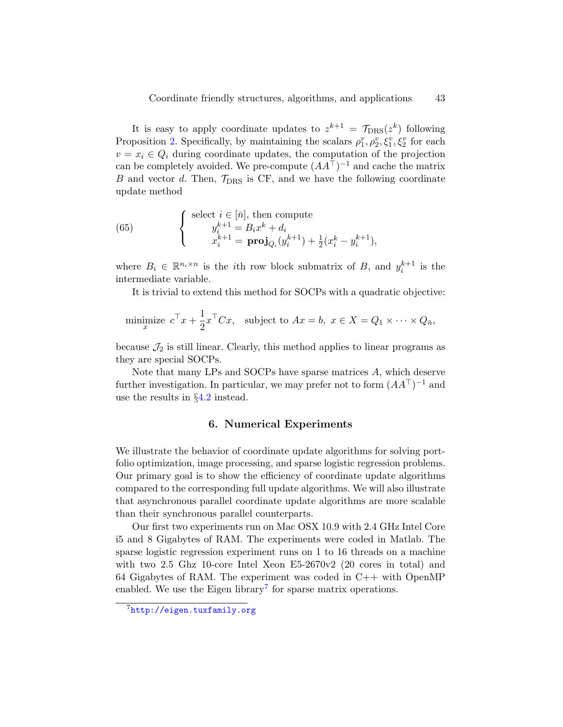It is easy to apply coordinate updates to  $z^{k+1} = \mathcal{T}_{\text{DRS}}(z^k)$  following Proposition [2.](#page-0-1) Specifically, by maintaining the scalars  $\rho_1^v, \rho_2^v, \xi_1^v, \xi_2^v$  for each  $v = x_i \in Q_i$  during coordinate updates, the computation of the projection can be completely avoided. We pre-compute  $(AA^{\top})^{-1}$  and cache the matrix B and vector d. Then,  $\mathcal{T}_{\text{DRS}}$  is CF, and we have the following coordinate update method

(65) 
$$
\begin{cases} \text{select } i \in [\bar{n}], \text{ then compute} \\ y_i^{k+1} = B_i x^k + d_i \\ x_i^{k+1} = \mathbf{proj}_{Q_i}(y_i^{k+1}) + \frac{1}{2}(x_i^k - y_i^{k+1}), \end{cases}
$$

where  $B_i \in \mathbb{R}^{n_i \times n}$  is the *i*th row block submatrix of B, and  $y_i^{k+1}$  is the intermediate variable.

It is trivial to extend this method for SOCPs with a quadratic objective:

minimize 
$$
c^{\top} x + \frac{1}{2} x^{\top} C x
$$
, subject to  $Ax = b$ ,  $x \in X = Q_1 \times \cdots \times Q_{\bar{n}}$ ,

because  $\mathcal{J}_2$  is still linear. Clearly, this method applies to linear programs as they are special SOCPs.

Note that many LPs and SOCPs have sparse matrices A, which deserve further investigation. In particular, we may prefer not to form  $(AA^{\top})^{-1}$  and use the results in  $\S4.2$  $\S4.2$  instead.

### 6. Numerical Experiments

<span id="page-42-0"></span>We illustrate the behavior of coordinate update algorithms for solving portfolio optimization, image processing, and sparse logistic regression problems. Our primary goal is to show the efficiency of coordinate update algorithms compared to the corresponding full update algorithms. We will also illustrate that asynchronous parallel coordinate update algorithms are more scalable than their synchronous parallel counterparts.

Our first two experiments run on Mac OSX 10.9 with 2.4 GHz Intel Core i5 and 8 Gigabytes of RAM. The experiments were coded in Matlab. The sparse logistic regression experiment runs on 1 to 16 threads on a machine with two 2.5 Ghz 10-core Intel Xeon  $E5-2670v2$  (20 cores in total) and 64 Gigabytes of RAM. The experiment was coded in C++ with OpenMP enabled. We use the Eigen library<sup>[7](#page-42-1)</sup> for sparse matrix operations.

<span id="page-42-1"></span><sup>7</sup><http://eigen.tuxfamily.org>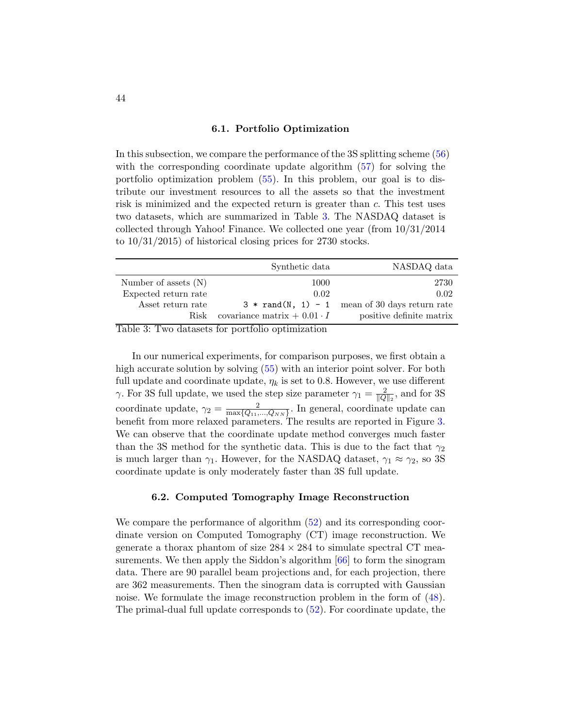#### 6.1. Portfolio Optimization

In this subsection, we compare the performance of the 3S splitting scheme [\(56\)](#page-37-0) with the corresponding coordinate update algorithm [\(57\)](#page-38-0) for solving the portfolio optimization problem [\(55\)](#page-36-0). In this problem, our goal is to distribute our investment resources to all the assets so that the investment risk is minimized and the expected return is greater than c. This test uses two datasets, which are summarized in Table [3.](#page-43-1) The NASDAQ dataset is collected through Yahoo! Finance. We collected one year (from 10/31/2014 to 10/31/2015) of historical closing prices for 2730 stocks.

<span id="page-43-1"></span>

|                        | Synthetic data                       | NASDAQ data                                      |  |
|------------------------|--------------------------------------|--------------------------------------------------|--|
| Number of assets $(N)$ | 1000                                 | 2730                                             |  |
| Expected return rate   | 0.02                                 | 0.02                                             |  |
| Asset return rate      |                                      | $3 * rand(N, 1) - 1$ mean of 30 days return rate |  |
| Risk                   | covariance matrix $+$ 0.01 $\cdot$ I | positive definite matrix                         |  |

Table 3: Two datasets for portfolio optimization

In our numerical experiments, for comparison purposes, we first obtain a high accurate solution by solving [\(55\)](#page-36-0) with an interior point solver. For both full update and coordinate update,  $\eta_k$  is set to 0.8. However, we use different  $\gamma$ . For 3S full update, we used the step size parameter  $\gamma_1 = \frac{2}{\ln 2}$  $\frac{2}{\|Q\|_2}$ , and for 3S coordinate update,  $\gamma_2 = \frac{2}{\max\{Q_{11}\}}$  $\frac{2}{\max\{Q_{11},...,Q_{NN}\}}$ . In general, coordinate update can benefit from more relaxed parameters. The results are reported in Figure [3.](#page-44-0) We can observe that the coordinate update method converges much faster than the 3S method for the synthetic data. This is due to the fact that  $\gamma_2$ is much larger than  $\gamma_1$ . However, for the NASDAQ dataset,  $\gamma_1 \approx \gamma_2$ , so 3S coordinate update is only moderately faster than 3S full update.

#### 6.2. Computed Tomography Image Reconstruction

<span id="page-43-0"></span>We compare the performance of algorithm [\(52\)](#page-35-1) and its corresponding coordinate version on Computed Tomography (CT) image reconstruction. We generate a thorax phantom of size  $284 \times 284$  to simulate spectral CT mea-surements. We then apply the Siddon's algorithm [\[66\]](#page-53-13) to form the sinogram data. There are 90 parallel beam projections and, for each projection, there are 362 measurements. Then the sinogram data is corrupted with Gaussian noise. We formulate the image reconstruction problem in the form of [\(48\)](#page-34-1). The primal-dual full update corresponds to [\(52\)](#page-35-1). For coordinate update, the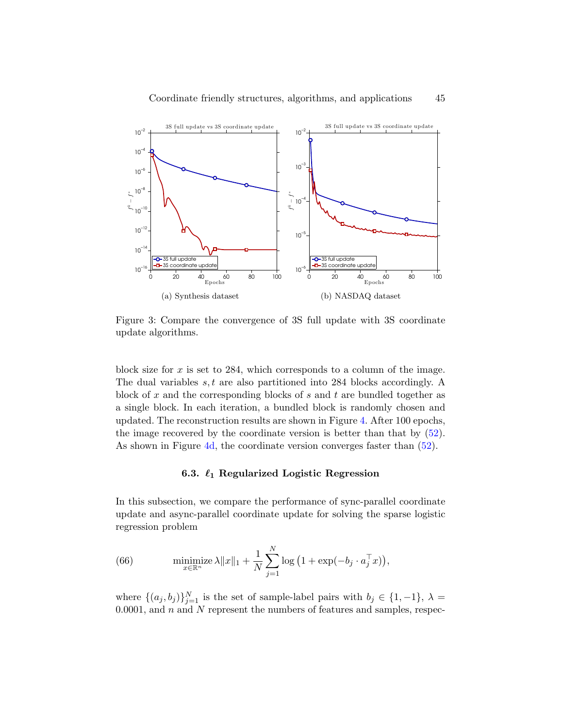<span id="page-44-0"></span>

Figure 3: Compare the convergence of 3S full update with 3S coordinate update algorithms.

block size for  $x$  is set to 284, which corresponds to a column of the image. The dual variables  $s, t$  are also partitioned into 284 blocks accordingly. A block of x and the corresponding blocks of s and t are bundled together as a single block. In each iteration, a bundled block is randomly chosen and updated. The reconstruction results are shown in Figure [4.](#page-45-0) After 100 epochs, the image recovered by the coordinate version is better than that by [\(52\)](#page-35-1). As shown in Figure [4d,](#page-45-0) the coordinate version converges faster than [\(52\)](#page-35-1).

### 6.3.  $\ell_1$  Regularized Logistic Regression

In this subsection, we compare the performance of sync-parallel coordinate update and async-parallel coordinate update for solving the sparse logistic regression problem

<span id="page-44-1"></span>(66) 
$$
\underset{x \in \mathbb{R}^n}{\text{minimize}} \lambda \|x\|_1 + \frac{1}{N} \sum_{j=1}^N \log \left(1 + \exp(-b_j \cdot a_j^\top x)\right),
$$

where  $\{(a_j, b_j)\}_{j=1}^N$  is the set of sample-label pairs with  $b_j \in \{1, -1\}, \lambda =$ 0.0001, and  $n$  and  $N$  represent the numbers of features and samples, respec-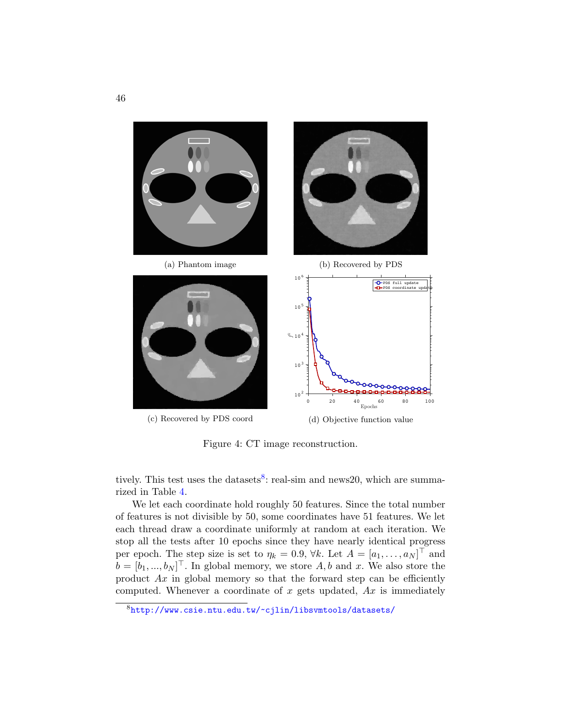<span id="page-45-0"></span>

Figure 4: CT image reconstruction.

tively. This test uses the datasets<sup>[8](#page-45-1)</sup>: real-sim and news20, which are summarized in Table [4.](#page-46-0)

We let each coordinate hold roughly 50 features. Since the total number of features is not divisible by 50, some coordinates have 51 features. We let each thread draw a coordinate uniformly at random at each iteration. We stop all the tests after 10 epochs since they have nearly identical progress per epoch. The step size is set to  $\eta_k = 0.9$ ,  $\forall k$ . Let  $A = [a_1, \ldots, a_N]^\top$  and  $b = [b_1, ..., b_N]^\top$ . In global memory, we store A, b and x. We also store the product  $Ax$  in global memory so that the forward step can be efficiently computed. Whenever a coordinate of  $x$  gets updated,  $Ax$  is immediately

<span id="page-45-1"></span><sup>8</sup><http://www.csie.ntu.edu.tw/~cjlin/libsvmtools/datasets/>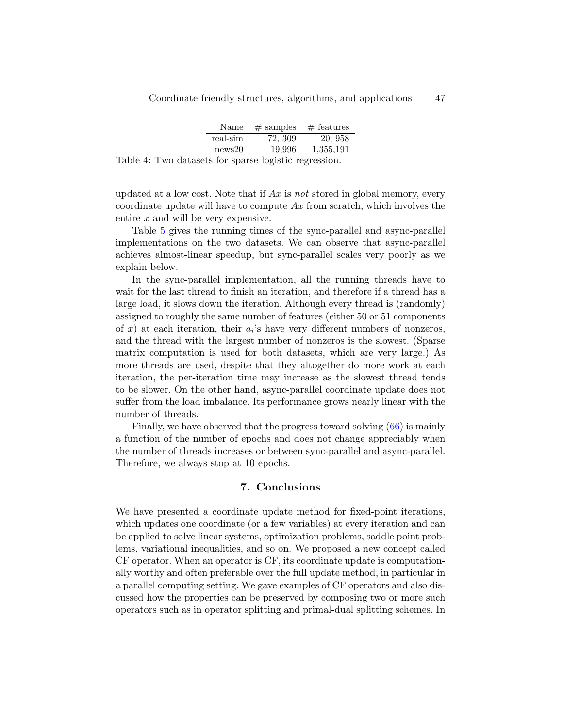| Name     | $#$ samples | $#$ features |
|----------|-------------|--------------|
| real-sim | 72, 309     | 20, 958      |
| news20   | 19,996      | 1,355,191    |

<span id="page-46-0"></span>Table 4: Two datasets for sparse logistic regression.

updated at a low cost. Note that if  $Ax$  is not stored in global memory, every coordinate update will have to compute  $Ax$  from scratch, which involves the entire x and will be very expensive.

Table [5](#page-47-5) gives the running times of the sync-parallel and async-parallel implementations on the two datasets. We can observe that async-parallel achieves almost-linear speedup, but sync-parallel scales very poorly as we explain below.

In the sync-parallel implementation, all the running threads have to wait for the last thread to finish an iteration, and therefore if a thread has a large load, it slows down the iteration. Although every thread is (randomly) assigned to roughly the same number of features (either 50 or 51 components of  $x$ ) at each iteration, their  $a_i$ 's have very different numbers of nonzeros, and the thread with the largest number of nonzeros is the slowest. (Sparse matrix computation is used for both datasets, which are very large.) As more threads are used, despite that they altogether do more work at each iteration, the per-iteration time may increase as the slowest thread tends to be slower. On the other hand, async-parallel coordinate update does not suffer from the load imbalance. Its performance grows nearly linear with the number of threads.

Finally, we have observed that the progress toward solving [\(66\)](#page-44-1) is mainly a function of the number of epochs and does not change appreciably when the number of threads increases or between sync-parallel and async-parallel. Therefore, we always stop at 10 epochs.

### 7. Conclusions

We have presented a coordinate update method for fixed-point iterations, which updates one coordinate (or a few variables) at every iteration and can be applied to solve linear systems, optimization problems, saddle point problems, variational inequalities, and so on. We proposed a new concept called CF operator. When an operator is CF, its coordinate update is computationally worthy and often preferable over the full update method, in particular in a parallel computing setting. We gave examples of CF operators and also discussed how the properties can be preserved by composing two or more such operators such as in operator splitting and primal-dual splitting schemes. In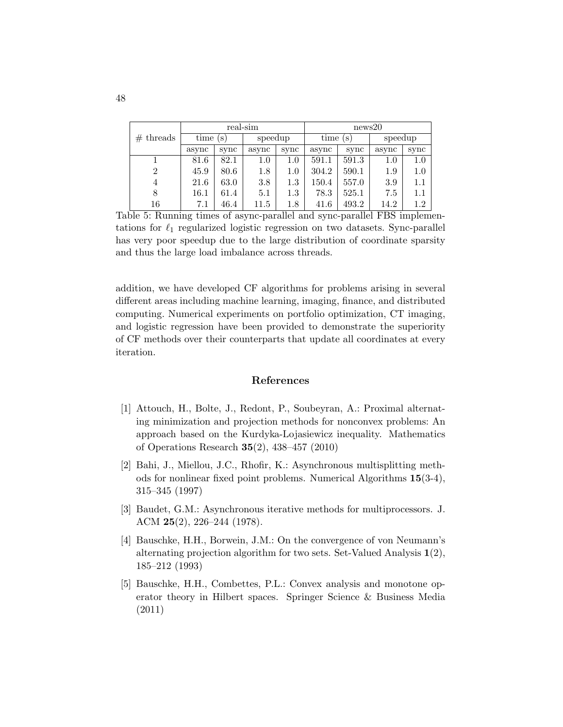<span id="page-47-5"></span>

|                | real-sim |      |         | news20  |             |       |         |         |
|----------------|----------|------|---------|---------|-------------|-------|---------|---------|
| $#$ threads    | time(s)  |      | speedup |         | time<br>(S) |       | speedup |         |
|                | async    | sync | async   | sync    | async       | sync  | async   | sync    |
|                | 81.6     | 82.1 | 1.0     | $1.0\,$ | 591.1       | 591.3 | 1.0     | $1.0\,$ |
| $\overline{2}$ | 45.9     | 80.6 | $1.8\,$ | 1.0     | 304.2       | 590.1 | 1.9     | $1.0\,$ |
| $\overline{4}$ | 21.6     | 63.0 | 3.8     | $1.3\,$ | 150.4       | 557.0 | 3.9     | $1.1\,$ |
| 8              | 16.1     | 61.4 | 5.1     | $1.3\,$ | 78.3        | 525.1 | 7.5     | 1.1     |
| 16             | 7.1      | 46.4 | 11.5    | $1.8\,$ | 41.6        | 493.2 | 14.2    | $1.2\,$ |

Table 5: Running times of async-parallel and sync-parallel FBS implementations for  $\ell_1$  regularized logistic regression on two datasets. Sync-parallel has very poor speedup due to the large distribution of coordinate sparsity and thus the large load imbalance across threads.

addition, we have developed CF algorithms for problems arising in several different areas including machine learning, imaging, finance, and distributed computing. Numerical experiments on portfolio optimization, CT imaging, and logistic regression have been provided to demonstrate the superiority of CF methods over their counterparts that update all coordinates at every iteration.

### References

- <span id="page-47-1"></span>[1] Attouch, H., Bolte, J., Redont, P., Soubeyran, A.: Proximal alternating minimization and projection methods for nonconvex problems: An approach based on the Kurdyka-Lojasiewicz inequality. Mathematics of Operations Research 35(2), 438–457 (2010)
- <span id="page-47-3"></span>[2] Bahi, J., Miellou, J.C., Rhofir, K.: Asynchronous multisplitting methods for nonlinear fixed point problems. Numerical Algorithms 15(3-4), 315–345 (1997)
- <span id="page-47-2"></span>[3] Baudet, G.M.: Asynchronous iterative methods for multiprocessors. J. ACM 25(2), 226–244 (1978).
- <span id="page-47-0"></span>[4] Bauschke, H.H., Borwein, J.M.: On the convergence of von Neumann's alternating projection algorithm for two sets. Set-Valued Analysis 1(2), 185–212 (1993)
- <span id="page-47-4"></span>[5] Bauschke, H.H., Combettes, P.L.: Convex analysis and monotone operator theory in Hilbert spaces. Springer Science & Business Media (2011)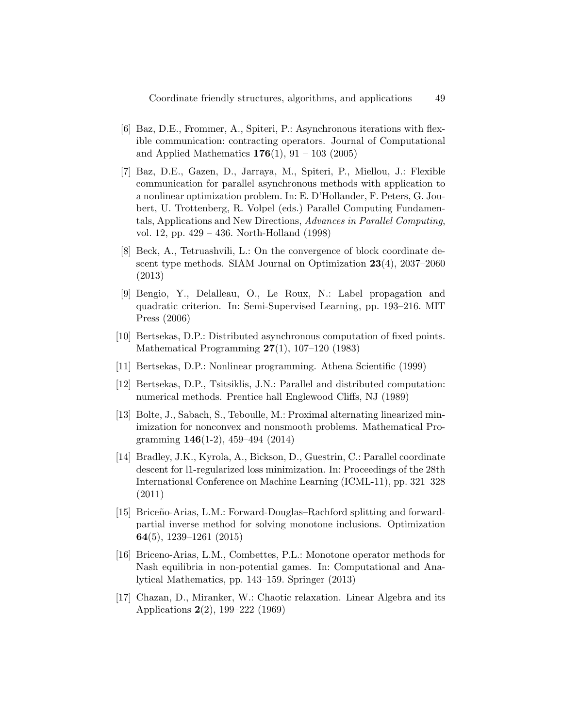- <span id="page-48-7"></span>[6] Baz, D.E., Frommer, A., Spiteri, P.: Asynchronous iterations with flexible communication: contracting operators. Journal of Computational and Applied Mathematics  $176(1)$ ,  $91 - 103$  (2005)
- <span id="page-48-8"></span>[7] Baz, D.E., Gazen, D., Jarraya, M., Spiteri, P., Miellou, J.: Flexible communication for parallel asynchronous methods with application to a nonlinear optimization problem. In: E. D'Hollander, F. Peters, G. Joubert, U. Trottenberg, R. Volpel (eds.) Parallel Computing Fundamentals, Applications and New Directions, Advances in Parallel Computing, vol. 12, pp. 429 – 436. North-Holland (1998)
- <span id="page-48-0"></span>[8] Beck, A., Tetruashvili, L.: On the convergence of block coordinate descent type methods. SIAM Journal on Optimization 23(4), 2037–2060 (2013)
- <span id="page-48-9"></span>[9] Bengio, Y., Delalleau, O., Le Roux, N.: Label propagation and quadratic criterion. In: Semi-Supervised Learning, pp. 193–216. MIT Press (2006)
- <span id="page-48-6"></span>[10] Bertsekas, D.P.: Distributed asynchronous computation of fixed points. Mathematical Programming 27(1), 107–120 (1983)
- <span id="page-48-2"></span>[11] Bertsekas, D.P.: Nonlinear programming. Athena Scientific (1999)
- <span id="page-48-4"></span>[12] Bertsekas, D.P., Tsitsiklis, J.N.: Parallel and distributed computation: numerical methods. Prentice hall Englewood Cliffs, NJ (1989)
- <span id="page-48-1"></span>[13] Bolte, J., Sabach, S., Teboulle, M.: Proximal alternating linearized minimization for nonconvex and nonsmooth problems. Mathematical Programming 146(1-2), 459–494 (2014)
- <span id="page-48-5"></span>[14] Bradley, J.K., Kyrola, A., Bickson, D., Guestrin, C.: Parallel coordinate descent for l1-regularized loss minimization. In: Proceedings of the 28th International Conference on Machine Learning (ICML-11), pp. 321–328 (2011)
- <span id="page-48-10"></span>[15] Briceño-Arias, L.M.: Forward-Douglas–Rachford splitting and forwardpartial inverse method for solving monotone inclusions. Optimization 64(5), 1239–1261 (2015)
- <span id="page-48-11"></span>[16] Briceno-Arias, L.M., Combettes, P.L.: Monotone operator methods for Nash equilibria in non-potential games. In: Computational and Analytical Mathematics, pp. 143–159. Springer (2013)
- <span id="page-48-3"></span>[17] Chazan, D., Miranker, W.: Chaotic relaxation. Linear Algebra and its Applications 2(2), 199–222 (1969)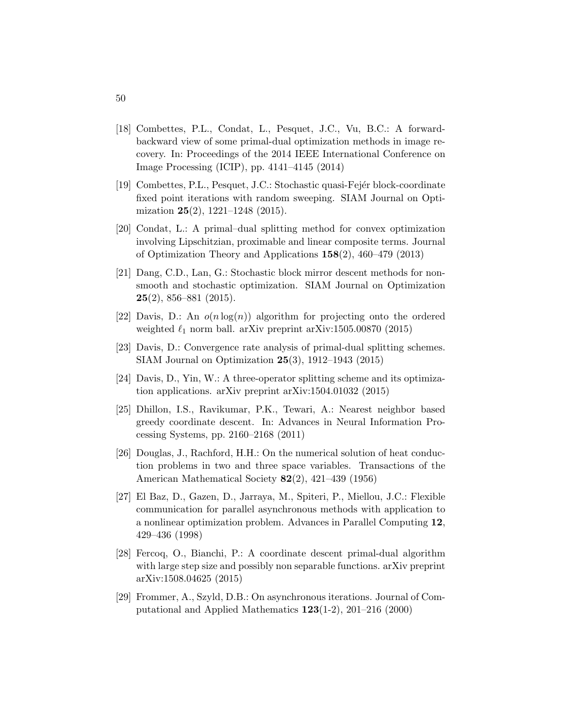- <span id="page-49-8"></span>[18] Combettes, P.L., Condat, L., Pesquet, J.C., Vu, B.C.: A forwardbackward view of some primal-dual optimization methods in image recovery. In: Proceedings of the 2014 IEEE International Conference on Image Processing (ICIP), pp. 4141–4145 (2014)
- <span id="page-49-5"></span>[19] Combettes, P.L., Pesquet, J.C.: Stochastic quasi-Fejér block-coordinate fixed point iterations with random sweeping. SIAM Journal on Optimization  $25(2)$ , 1221–1248 (2015).
- <span id="page-49-7"></span>[20] Condat, L.: A primal–dual splitting method for convex optimization involving Lipschitzian, proximable and linear composite terms. Journal of Optimization Theory and Applications 158(2), 460–479 (2013)
- <span id="page-49-1"></span>[21] Dang, C.D., Lan, G.: Stochastic block mirror descent methods for nonsmooth and stochastic optimization. SIAM Journal on Optimization  $25(2)$ , 856–881 (2015).
- <span id="page-49-11"></span>[22] Davis, D.: An  $o(n \log(n))$  algorithm for projecting onto the ordered weighted  $\ell_1$  norm ball. arXiv preprint arXiv:1505.00870 (2015)
- <span id="page-49-9"></span>[23] Davis, D.: Convergence rate analysis of primal-dual splitting schemes. SIAM Journal on Optimization 25(3), 1912–1943 (2015)
- <span id="page-49-6"></span>[24] Davis, D., Yin, W.: A three-operator splitting scheme and its optimization applications. arXiv preprint arXiv:1504.01032 (2015)
- <span id="page-49-2"></span>[25] Dhillon, I.S., Ravikumar, P.K., Tewari, A.: Nearest neighbor based greedy coordinate descent. In: Advances in Neural Information Processing Systems, pp. 2160–2168 (2011)
- <span id="page-49-0"></span>[26] Douglas, J., Rachford, H.H.: On the numerical solution of heat conduction problems in two and three space variables. Transactions of the American Mathematical Society 82(2), 421–439 (1956)
- <span id="page-49-3"></span>[27] El Baz, D., Gazen, D., Jarraya, M., Spiteri, P., Miellou, J.C.: Flexible communication for parallel asynchronous methods with application to a nonlinear optimization problem. Advances in Parallel Computing 12, 429–436 (1998)
- <span id="page-49-10"></span>[28] Fercoq, O., Bianchi, P.: A coordinate descent primal-dual algorithm with large step size and possibly non separable functions. arXiv preprint arXiv:1508.04625 (2015)
- <span id="page-49-4"></span>[29] Frommer, A., Szyld, D.B.: On asynchronous iterations. Journal of Computational and Applied Mathematics 123(1-2), 201–216 (2000)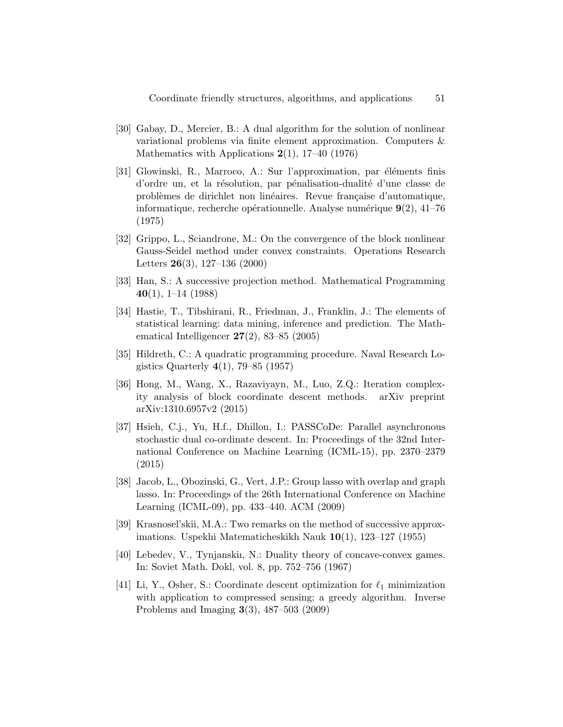- <span id="page-50-1"></span>[30] Gabay, D., Mercier, B.: A dual algorithm for the solution of nonlinear variational problems via finite element approximation. Computers & Mathematics with Applications  $2(1)$ , 17–40 (1976)
- <span id="page-50-0"></span>[31] Glowinski, R., Marroco, A.: Sur l'approximation, par éléments finis d'ordre un, et la résolution, par pénalisation-dualité d'une classe de problèmes de dirichlet non linéaires. Revue française d'automatique, informatique, recherche opérationnelle. Analyse numérique  $9(2)$ , 41–76 (1975)
- <span id="page-50-4"></span>[32] Grippo, L., Sciandrone, M.: On the convergence of the block nonlinear Gauss-Seidel method under convex constraints. Operations Research Letters 26(3), 127–136 (2000)
- <span id="page-50-3"></span>[33] Han, S.: A successive projection method. Mathematical Programming  $40(1), 1-14 (1988)$
- <span id="page-50-10"></span>[34] Hastie, T., Tibshirani, R., Friedman, J., Franklin, J.: The elements of statistical learning: data mining, inference and prediction. The Mathematical Intelligencer  $27(2)$ , 83–85 (2005)
- <span id="page-50-2"></span>[35] Hildreth, C.: A quadratic programming procedure. Naval Research Logistics Quarterly  $4(1)$ , 79–85 (1957)
- <span id="page-50-5"></span>[36] Hong, M., Wang, X., Razaviyayn, M., Luo, Z.Q.: Iteration complexity analysis of block coordinate descent methods. arXiv preprint arXiv:1310.6957v2 (2015)
- <span id="page-50-7"></span>[37] Hsieh, C.j., Yu, H.f., Dhillon, I.: PASSCoDe: Parallel asynchronous stochastic dual co-ordinate descent. In: Proceedings of the 32nd International Conference on Machine Learning (ICML-15), pp. 2370–2379 (2015)
- <span id="page-50-11"></span>[38] Jacob, L., Obozinski, G., Vert, J.P.: Group lasso with overlap and graph lasso. In: Proceedings of the 26th International Conference on Machine Learning (ICML-09), pp. 433–440. ACM (2009)
- <span id="page-50-9"></span>[39] Krasnosel'skii, M.A.: Two remarks on the method of successive approximations. Uspekhi Matematicheskikh Nauk 10(1), 123–127 (1955)
- <span id="page-50-8"></span>[40] Lebedev, V., Tynjanskiı, N.: Duality theory of concave-convex games. In: Soviet Math. Dokl, vol. 8, pp. 752–756 (1967)
- <span id="page-50-6"></span>[41] Li, Y., Osher, S.: Coordinate descent optimization for  $\ell_1$  minimization with application to compressed sensing; a greedy algorithm. Inverse Problems and Imaging 3(3), 487–503 (2009)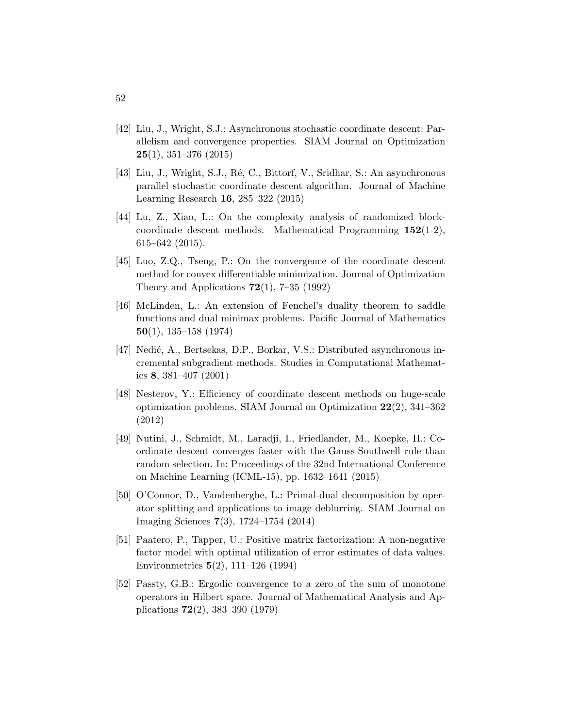- <span id="page-51-6"></span>[42] Liu, J., Wright, S.J.: Asynchronous stochastic coordinate descent: Parallelism and convergence properties. SIAM Journal on Optimization  $25(1), 351-376 (2015)$
- <span id="page-51-5"></span>[43] Liu, J., Wright, S.J., Ré, C., Bittorf, V., Sridhar, S.: An asynchronous parallel stochastic coordinate descent algorithm. Journal of Machine Learning Research 16, 285–322 (2015)
- <span id="page-51-2"></span>[44] Lu, Z., Xiao, L.: On the complexity analysis of randomized blockcoordinate descent methods. Mathematical Programming  $152(1-2)$ , 615–642 (2015).
- <span id="page-51-0"></span>[45] Luo, Z.Q., Tseng, P.: On the convergence of the coordinate descent method for convex differentiable minimization. Journal of Optimization Theory and Applications  $72(1)$ ,  $7-35(1992)$
- <span id="page-51-8"></span>[46] McLinden, L.: An extension of Fenchel's duality theorem to saddle functions and dual minimax problems. Pacific Journal of Mathematics 50(1), 135–158 (1974)
- <span id="page-51-4"></span>[47] Nedić, A., Bertsekas, D.P., Borkar, V.S.: Distributed asynchronous incremental subgradient methods. Studies in Computational Mathematics 8, 381–407 (2001)
- <span id="page-51-1"></span>[48] Nesterov, Y.: Efficiency of coordinate descent methods on huge-scale optimization problems. SIAM Journal on Optimization 22(2), 341–362 (2012)
- <span id="page-51-3"></span>[49] Nutini, J., Schmidt, M., Laradji, I., Friedlander, M., Koepke, H.: Coordinate descent converges faster with the Gauss-Southwell rule than random selection. In: Proceedings of the 32nd International Conference on Machine Learning (ICML-15), pp. 1632–1641 (2015)
- <span id="page-51-9"></span>[50] O'Connor, D., Vandenberghe, L.: Primal-dual decomposition by operator splitting and applications to image deblurring. SIAM Journal on Imaging Sciences 7(3), 1724–1754 (2014)
- <span id="page-51-10"></span>[51] Paatero, P., Tapper, U.: Positive matrix factorization: A non-negative factor model with optimal utilization of error estimates of data values. Environmetrics 5(2), 111–126 (1994)
- <span id="page-51-7"></span>[52] Passty, G.B.: Ergodic convergence to a zero of the sum of monotone operators in Hilbert space. Journal of Mathematical Analysis and Applications 72(2), 383–390 (1979)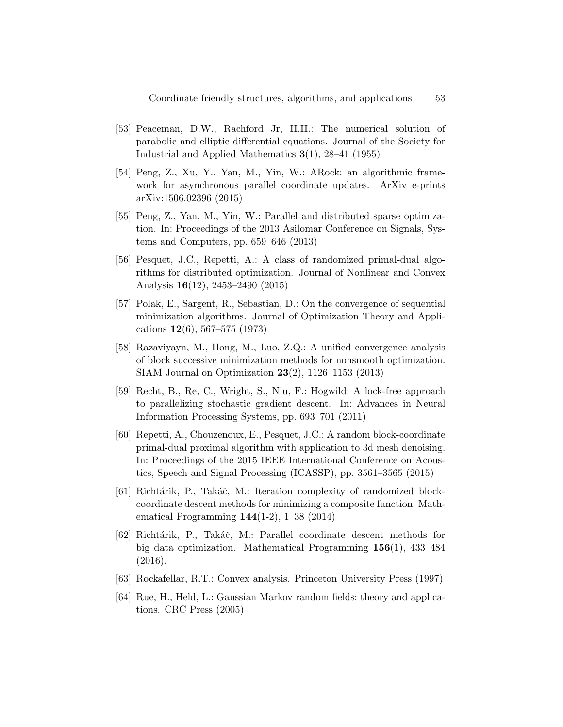- <span id="page-52-8"></span>[53] Peaceman, D.W., Rachford Jr, H.H.: The numerical solution of parabolic and elliptic differential equations. Journal of the Society for Industrial and Applied Mathematics 3(1), 28–41 (1955)
- <span id="page-52-4"></span>[54] Peng, Z., Xu, Y., Yan, M., Yin, W.: ARock: an algorithmic framework for asynchronous parallel coordinate updates. ArXiv e-prints arXiv:1506.02396 (2015)
- <span id="page-52-3"></span>[55] Peng, Z., Yan, M., Yin, W.: Parallel and distributed sparse optimization. In: Proceedings of the 2013 Asilomar Conference on Signals, Systems and Computers, pp. 659–646 (2013)
- <span id="page-52-9"></span>[56] Pesquet, J.C., Repetti, A.: A class of randomized primal-dual algorithms for distributed optimization. Journal of Nonlinear and Convex Analysis 16(12), 2453–2490 (2015)
- <span id="page-52-0"></span>[57] Polak, E., Sargent, R., Sebastian, D.: On the convergence of sequential minimization algorithms. Journal of Optimization Theory and Applications 12(6), 567–575 (1973)
- <span id="page-52-1"></span>[58] Razaviyayn, M., Hong, M., Luo, Z.Q.: A unified convergence analysis of block successive minimization methods for nonsmooth optimization. SIAM Journal on Optimization 23(2), 1126–1153 (2013)
- <span id="page-52-6"></span>[59] Recht, B., Re, C., Wright, S., Niu, F.: Hogwild: A lock-free approach to parallelizing stochastic gradient descent. In: Advances in Neural Information Processing Systems, pp. 693–701 (2011)
- <span id="page-52-10"></span>[60] Repetti, A., Chouzenoux, E., Pesquet, J.C.: A random block-coordinate primal-dual proximal algorithm with application to 3d mesh denoising. In: Proceedings of the 2015 IEEE International Conference on Acoustics, Speech and Signal Processing (ICASSP), pp. 3561–3565 (2015)
- <span id="page-52-2"></span>[61] Richtárik, P., Takáč, M.: Iteration complexity of randomized blockcoordinate descent methods for minimizing a composite function. Mathematical Programming 144(1-2), 1–38 (2014)
- <span id="page-52-5"></span>[62] Richt´arik, P., Tak´aˇc, M.: Parallel coordinate descent methods for big data optimization. Mathematical Programming 156(1), 433–484 (2016).
- <span id="page-52-11"></span>[63] Rockafellar, R.T.: Convex analysis. Princeton University Press (1997)
- <span id="page-52-7"></span>[64] Rue, H., Held, L.: Gaussian Markov random fields: theory and applications. CRC Press (2005)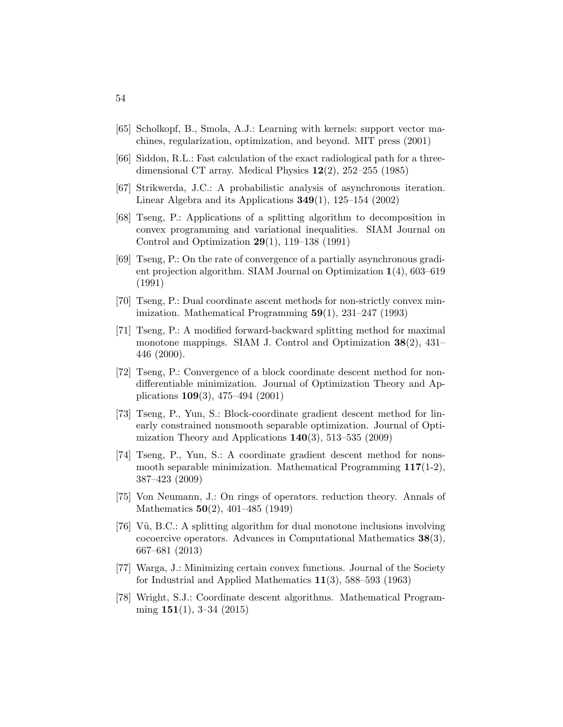- <span id="page-53-12"></span>[65] Scholkopf, B., Smola, A.J.: Learning with kernels: support vector machines, regularization, optimization, and beyond. MIT press (2001)
- <span id="page-53-13"></span>[66] Siddon, R.L.: Fast calculation of the exact radiological path for a threedimensional CT array. Medical Physics 12(2), 252–255 (1985)
- <span id="page-53-8"></span>[67] Strikwerda, J.C.: A probabilistic analysis of asynchronous iteration. Linear Algebra and its Applications  $349(1)$ ,  $125-154$  (2002)
- <span id="page-53-11"></span>[68] Tseng, P.: Applications of a splitting algorithm to decomposition in convex programming and variational inequalities. SIAM Journal on Control and Optimization 29(1), 119–138 (1991)
- <span id="page-53-7"></span>[69] Tseng, P.: On the rate of convergence of a partially asynchronous gradient projection algorithm. SIAM Journal on Optimization 1(4), 603–619 (1991)
- <span id="page-53-2"></span>[70] Tseng, P.: Dual coordinate ascent methods for non-strictly convex minimization. Mathematical Programming  $59(1)$ , 231–247 (1993)
- <span id="page-53-9"></span>[71] Tseng, P.: A modified forward-backward splitting method for maximal monotone mappings. SIAM J. Control and Optimization 38(2), 431– 446 (2000).
- <span id="page-53-3"></span>[72] Tseng, P.: Convergence of a block coordinate descent method for nondifferentiable minimization. Journal of Optimization Theory and Applications 109(3), 475–494 (2001)
- <span id="page-53-6"></span>[73] Tseng, P., Yun, S.: Block-coordinate gradient descent method for linearly constrained nonsmooth separable optimization. Journal of Optimization Theory and Applications  $140(3)$ , 513–535 (2009)
- <span id="page-53-5"></span>[74] Tseng, P., Yun, S.: A coordinate gradient descent method for nonsmooth separable minimization. Mathematical Programming 117(1-2), 387–423 (2009)
- <span id="page-53-0"></span>[75] Von Neumann, J.: On rings of operators. reduction theory. Annals of Mathematics 50(2), 401–485 (1949)
- <span id="page-53-10"></span>[76] Vũ, B.C.: A splitting algorithm for dual monotone inclusions involving cocoercive operators. Advances in Computational Mathematics 38(3), 667–681 (2013)
- <span id="page-53-1"></span>[77] Warga, J.: Minimizing certain convex functions. Journal of the Society for Industrial and Applied Mathematics  $11(3)$ , 588–593 (1963)
- <span id="page-53-4"></span>[78] Wright, S.J.: Coordinate descent algorithms. Mathematical Programming  $151(1)$ , 3-34  $(2015)$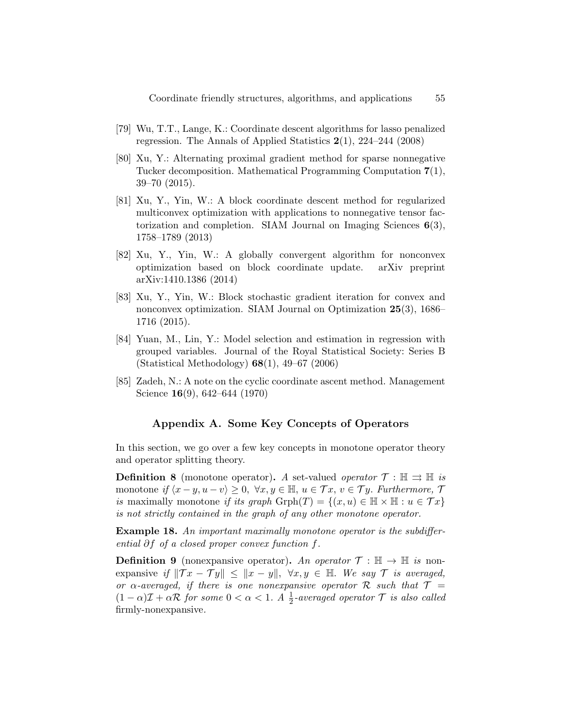- <span id="page-54-5"></span>[79] Wu, T.T., Lange, K.: Coordinate descent algorithms for lasso penalized regression. The Annals of Applied Statistics 2(1), 224–244 (2008)
- <span id="page-54-3"></span>[80] Xu, Y.: Alternating proximal gradient method for sparse nonnegative Tucker decomposition. Mathematical Programming Computation 7(1), 39–70 (2015).
- <span id="page-54-1"></span>[81] Xu, Y., Yin, W.: A block coordinate descent method for regularized multiconvex optimization with applications to nonnegative tensor factorization and completion. SIAM Journal on Imaging Sciences 6(3), 1758–1789 (2013)
- <span id="page-54-2"></span>[82] Xu, Y., Yin, W.: A globally convergent algorithm for nonconvex optimization based on block coordinate update. arXiv preprint arXiv:1410.1386 (2014)
- <span id="page-54-4"></span>[83] Xu, Y., Yin, W.: Block stochastic gradient iteration for convex and nonconvex optimization. SIAM Journal on Optimization 25(3), 1686– 1716 (2015).
- <span id="page-54-7"></span>[84] Yuan, M., Lin, Y.: Model selection and estimation in regression with grouped variables. Journal of the Royal Statistical Society: Series B (Statistical Methodology) 68(1), 49–67 (2006)
- <span id="page-54-0"></span>[85] Zadeh, N.: A note on the cyclic coordinate ascent method. Management Science 16(9), 642–644 (1970)

### Appendix A. Some Key Concepts of Operators

<span id="page-54-6"></span>In this section, we go over a few key concepts in monotone operator theory and operator splitting theory.

**Definition 8** (monotone operator). A set-valued *operator*  $\mathcal{T}$ :  $\mathbb{H} \rightrightarrows \mathbb{H}$  is monotone if  $\langle x - y, u - v \rangle \geq 0, \ \forall x, y \in \mathbb{H}, u \in \mathcal{T}x, v \in \mathcal{T}y$ . Furthermore,  $\mathcal{T}$ is maximally monotone if its graph  $\mathrm{Graph}(T) = \{(x, u) \in \mathbb{H} \times \mathbb{H} : u \in \mathcal{T}x\}$ is not strictly contained in the graph of any other monotone operator.

Example 18. An important maximally monotone operator is the subdifferential ∂f of a closed proper convex function f.

**Definition 9** (nonexpansive operator). An operator  $\mathcal{T} : \mathbb{H} \to \mathbb{H}$  is nonexpansive if  $\|\mathcal{T} x - \mathcal{T} y\| \leq \|x - y\|, \forall x, y \in \mathbb{H}.$  We say  $\mathcal{T}$  is averaged, or  $\alpha$ -averaged, if there is one nonexpansive operator R such that  $\mathcal{T} =$  $(1 - \alpha)\mathcal{I} + \alpha \mathcal{R}$  for some  $0 < \alpha < 1$ . A  $\frac{1}{2}$ -averaged operator  $\mathcal{T}$  is also called firmly-nonexpansive.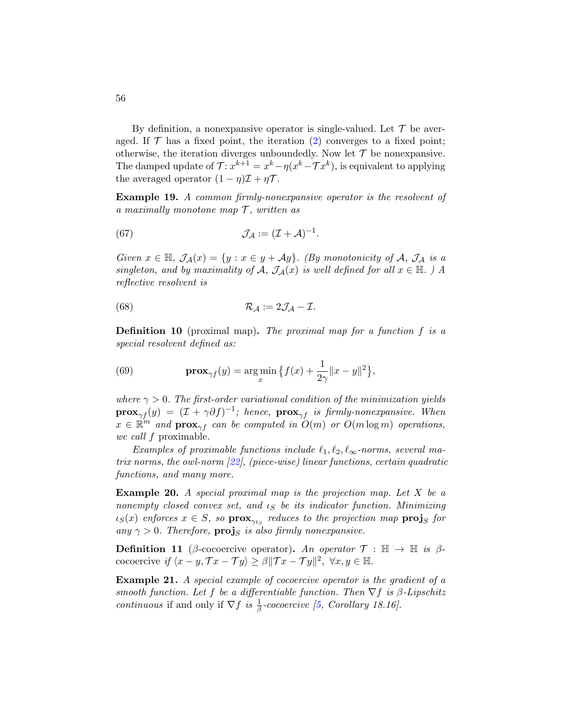By definition, a nonexpansive operator is single-valued. Let  $\mathcal T$  be averaged. If  $\mathcal T$  has a fixed point, the iteration [\(2\)](#page-2-0) converges to a fixed point; otherwise, the iteration diverges unboundedly. Now let  $\mathcal T$  be nonexpansive. The damped update of  $\mathcal{T}: x^{k+1} = x^k - \eta(x^k - \mathcal{T}x^k)$ , is equivalent to applying the averaged operator  $(1 - \eta)\mathcal{I} + \eta\mathcal{T}$ .

Example 19. A common firmly-nonexpansive operator is the resolvent of a maximally monotone map  $\mathcal{T}$ , written as

<span id="page-55-1"></span>(67) 
$$
\mathcal{J}_{\mathcal{A}} := (\mathcal{I} + \mathcal{A})^{-1}.
$$

Given  $x \in \mathbb{H}$ ,  $\mathcal{J}_{\mathcal{A}}(x) = \{y : x \in y + \mathcal{A}y\}$ . (By monotonicity of A,  $\mathcal{J}_{\mathcal{A}}$  is a singleton, and by maximality of A,  $\mathcal{J}_{\mathcal{A}}(x)$  is well defined for all  $x \in \mathbb{H}$ . ) A reflective resolvent is

<span id="page-55-2"></span>(68) 
$$
\mathcal{R}_{\mathcal{A}} := 2\mathcal{J}_{\mathcal{A}} - \mathcal{I}.
$$

<span id="page-55-0"></span>**Definition 10** (proximal map). The proximal map for a function  $f$  is a special resolvent defined as:

(69) 
$$
\mathbf{prox}_{\gamma f}(y) = \argmin_x \left\{ f(x) + \frac{1}{2\gamma} ||x - y||^2 \right\},\,
$$

where  $\gamma > 0$ . The first-order variational condition of the minimization yields  $\mathbf{prox}_{\gamma f}(y) = (\mathcal{I} + \gamma \partial f)^{-1}$ ; hence,  $\mathbf{prox}_{\gamma f}$  is firmly-nonexpansive. When  $x \in \mathbb{R}^m$  and  $\mathbf{prox}_{\gamma f}$  can be computed in  $O(m)$  or  $O(m \log m)$  operations, we call f proximable.

Examples of proximable functions include  $\ell_1, \ell_2, \ell_\infty$ -norms, several matrix norms, the owl-norm [\[22\]](#page-49-11), (piece-wise) linear functions, certain quadratic functions, and many more.

**Example 20.** A special proximal map is the projection map. Let  $X$  be a nonempty closed convex set, and  $\iota_S$  be its indicator function. Minimizing  $\iota_S(x)$  enforces  $x \in S$ , so  $\mathbf{prox}_{\gamma \iota_S}$  reduces to the projection map  $\mathbf{proj}_S$  for any  $\gamma > 0$ . Therefore,  $\mathbf{proj}_S$  is also firmly nonexpansive.

**Definition 11** (β-cocoercive operator). An operator  $\mathcal{T}$  :  $\mathbb{H} \to \mathbb{H}$  is  $\beta$ cocoercive if  $\langle x - y, \mathcal{T} x - \mathcal{T} y \rangle \ge \beta ||\mathcal{T} x - \mathcal{T} y||^2$ ,  $\forall x, y \in \mathbb{H}$ .

Example 21. A special example of cocoercive operator is the gradient of a smooth function. Let f be a differentiable function. Then  $\nabla f$  is  $\beta$ -Lipschitz continuous if and only if  $\nabla f$  is  $\frac{1}{\beta}$ -cocoercive [\[5,](#page-47-4) Corollary 18.16].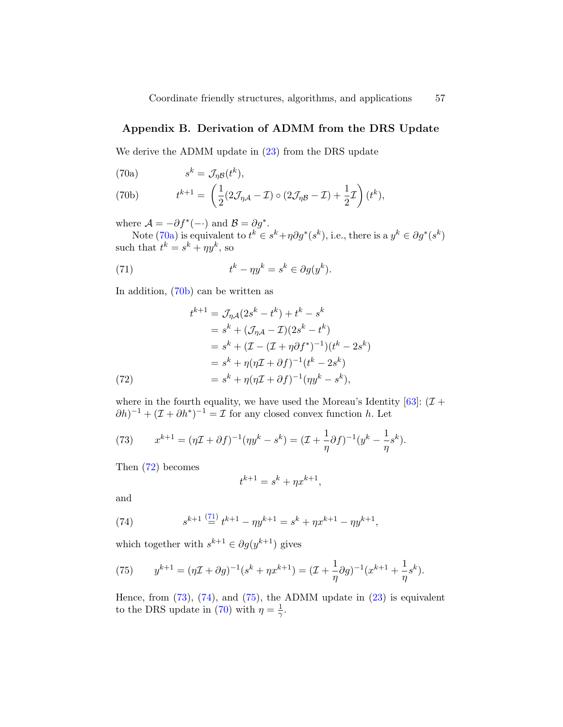### <span id="page-56-0"></span>Appendix B. Derivation of ADMM from the DRS Update

We derive the ADMM update in  $(23)$  from the DRS update

<span id="page-56-1"></span>(70a) 
$$
s^k = \mathcal{J}_{\eta \mathcal{B}}(t^k),
$$

<span id="page-56-2"></span>(70b) 
$$
t^{k+1} = \left(\frac{1}{2}(2\mathcal{J}_{\eta\mathcal{A}} - \mathcal{I}) \circ (2\mathcal{J}_{\eta\mathcal{B}} - \mathcal{I}) + \frac{1}{2}\mathcal{I}\right)(t^k),
$$

where  $\mathcal{A} = -\partial f^*(-)$  and  $\mathcal{B} = \partial g^*$ .

Note [\(70a\)](#page-56-1) is equivalent to  $t^k \in s^k + \eta \partial g^*(s^k)$ , i.e., there is a  $y^k \in \partial g^*(s^k)$ such that  $t^k = s^k + \eta y^k$ , so

<span id="page-56-8"></span><span id="page-56-4"></span>k

(71) 
$$
t^k - \eta y^k = s^k \in \partial g(y^k).
$$

In addition, [\(70b\)](#page-56-2) can be written as

(72) 
$$
t^{k+1} = \mathcal{J}_{\eta A}(2s^k - t^k) + t^k - s^k
$$

$$
= s^k + (\mathcal{J}_{\eta A} - \mathcal{I})(2s^k - t^k)
$$

$$
= s^k + (\mathcal{I} - (\mathcal{I} + \eta \partial f^*)^{-1})(t^k - 2s^k)
$$

$$
= s^k + \eta(\eta \mathcal{I} + \partial f)^{-1}(t^k - 2s^k)
$$

$$
= s^k + \eta(\eta \mathcal{I} + \partial f)^{-1}(\eta y^k - s^k),
$$

<span id="page-56-3"></span>where in the fourth equality, we have used the Moreau's Identity  $[63]$ :  $(\mathcal{I} +$  $(\partial h)^{-1} + (\mathcal{I} + \partial h^*)^{-1} = \mathcal{I}$  for any closed convex function h. Let

<span id="page-56-5"></span>(73) 
$$
x^{k+1} = (\eta \mathcal{I} + \partial f)^{-1} (\eta y^k - s^k) = (\mathcal{I} + \frac{1}{\eta} \partial f)^{-1} (y^k - \frac{1}{\eta} s^k).
$$

Then  $(72)$  becomes

$$
t^{k+1} = s^k + \eta x^{k+1},
$$

and

<span id="page-56-6"></span>(74) 
$$
s^{k+1} \stackrel{(71)}{=} t^{k+1} - \eta y^{k+1} = s^k + \eta x^{k+1} - \eta y^{k+1},
$$

which together with  $s^{k+1} \in \partial g(y^{k+1})$  gives

<span id="page-56-7"></span>(75) 
$$
y^{k+1} = (\eta \mathcal{I} + \partial g)^{-1} (s^k + \eta x^{k+1}) = (\mathcal{I} + \frac{1}{\eta} \partial g)^{-1} (x^{k+1} + \frac{1}{\eta} s^k).
$$

Hence, from  $(73)$ ,  $(74)$ , and  $(75)$ , the ADMM update in  $(23)$  is equivalent to the DRS update in [\(70\)](#page-56-8) with  $\eta = \frac{1}{\gamma}$  $\frac{1}{\gamma}.$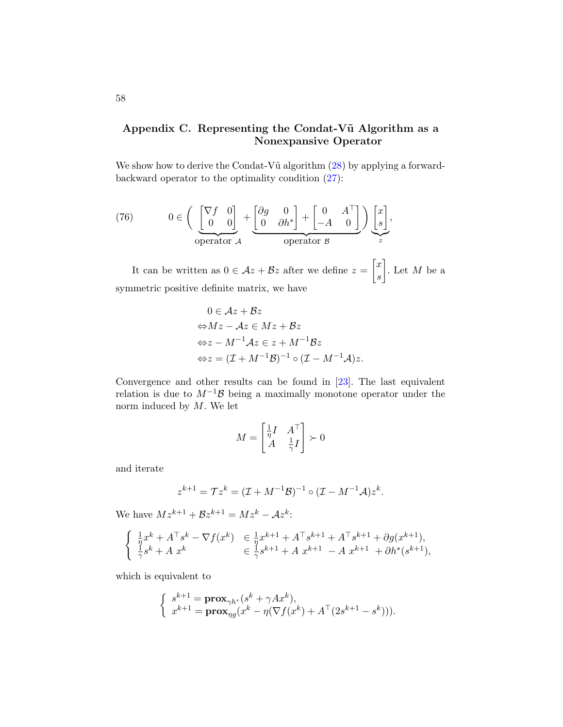# <span id="page-57-0"></span>Appendix C. Representing the Condat-Vũ Algorithm as a Nonexpansive Operator

We show how to derive the Condat-V $\tilde{u}$  algorithm  $(28)$  by applying a forwardbackward operator to the optimality condition [\(27\)](#page-22-0):

(76) 
$$
0 \in \left( \begin{array}{c} \begin{bmatrix} \nabla f & 0 \\ 0 & 0 \end{bmatrix} + \begin{bmatrix} \partial g & 0 \\ 0 & \partial h^* \end{bmatrix} + \begin{bmatrix} 0 & A^\top \\ -A & 0 \end{bmatrix} \end{array} \right) \underbrace{\begin{bmatrix} x \\ s \end{bmatrix}}_{z},
$$

It can be written as  $0 \in \mathcal{A}z + \mathcal{B}z$  after we define  $z = \begin{bmatrix} x \\ y \end{bmatrix}$ s . Let  $M$  be a symmetric positive definite matrix, we have

$$
0 \in Az + Bz
$$
  
\n
$$
\Leftrightarrow Mz - Az \in Mz + Bz
$$
  
\n
$$
\Leftrightarrow z - M^{-1}Az \in z + M^{-1}Bz
$$
  
\n
$$
\Leftrightarrow z = (I + M^{-1}B)^{-1} \circ (I - M^{-1}A)z.
$$

Convergence and other results can be found in [\[23\]](#page-49-9). The last equivalent relation is due to  $M^{-1}$ B being a maximally monotone operator under the norm induced by  $M$ . We let

$$
M = \begin{bmatrix} \frac{1}{\eta} I & A^\top \\ A & \frac{1}{\gamma} I \end{bmatrix} \succ 0
$$

and iterate

$$
z^{k+1} = \mathcal{T} z^k = (\mathcal{I} + M^{-1} \mathcal{B})^{-1} \circ (\mathcal{I} - M^{-1} \mathcal{A}) z^k.
$$

We have  $Mz^{k+1} + Bz^{k+1} = Mz^k - Az^k$ :

$$
\begin{cases} \frac{1}{\eta} x^{k} + A^{\top} s^{k} - \nabla f(x^{k}) & \in \frac{1}{\eta} x^{k+1} + A^{\top} s^{k+1} + A^{\top} s^{k+1} + \partial g(x^{k+1}), \\ \frac{1}{\gamma} s^{k} + A x^{k} & \in \frac{1}{\gamma} s^{k+1} + A x^{k+1} - A x^{k+1} + \partial h^{*} (s^{k+1}), \end{cases}
$$

which is equivalent to

$$
\left\{\begin{array}{l} s^{k+1}=\mathbf{prox}_{\gamma h^*}(s^k+\gamma A x^k), \\ x^{k+1}=\mathbf{prox}_{\eta g}(x^k-\eta(\nabla f(x^k)+A^\top(2s^{k+1}-s^k))).\end{array}\right.
$$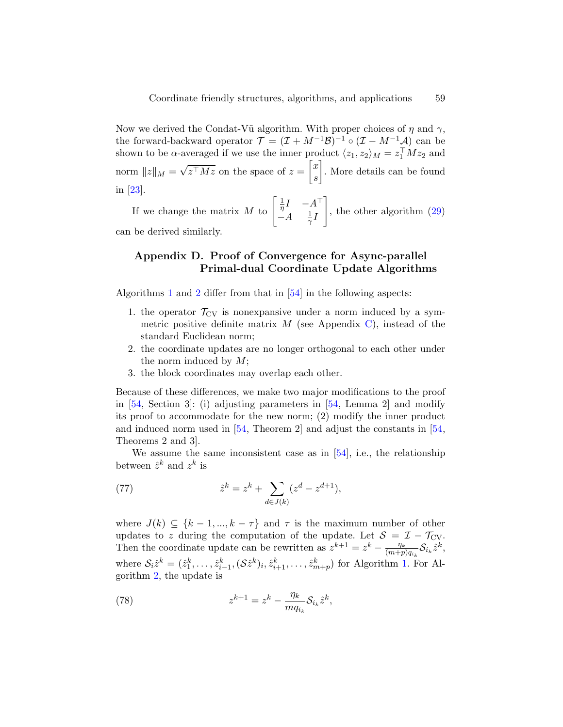Now we derived the Condat-Vũ algorithm. With proper choices of  $\eta$  and  $\gamma$ , the forward-backward operator  $\mathcal{T} = (\mathcal{I} + M^{-1}\mathcal{B})^{-1} \circ (\mathcal{I} - M^{-1}\mathcal{A})$  can be shown to be  $\alpha$ -averaged if we use the inner product  $\langle z_1, z_2 \rangle_M = z_1^{\top} M z_2$  and norm  $||z||_M =$ √  $\overline{z^{\top}Mz}$  on the space of  $z = \begin{bmatrix} x \\ y \end{bmatrix}$ s . More details can be found in [\[23\]](#page-49-9).

If we change the matrix M to  $\begin{bmatrix} \frac{1}{\eta} \end{bmatrix}$  $\frac{1}{\eta}I \quad -A^{\top}$  $-A = \frac{1}{\alpha}$  $\frac{1}{\gamma}I$ 1 , the other algorithm [\(29\)](#page-22-3) can be derived similarly.

# <span id="page-58-0"></span>Appendix D. Proof of Convergence for Async-parallel Primal-dual Coordinate Update Algorithms

Algorithms [1](#page-27-1) and [2](#page-28-1) differ from that in [\[54\]](#page-52-4) in the following aspects:

- 1. the operator  $\mathcal{T}_{CV}$  is nonexpansive under a norm induced by a symmetric positive definite matrix  $M$  (see Appendix [C\)](#page-57-0), instead of the standard Euclidean norm;
- 2. the coordinate updates are no longer orthogonal to each other under the norm induced by  $M$ ;
- 3. the block coordinates may overlap each other.

Because of these differences, we make two major modifications to the proof in [\[54,](#page-52-4) Section 3]: (i) adjusting parameters in [\[54,](#page-52-4) Lemma 2] and modify its proof to accommodate for the new norm; (2) modify the inner product and induced norm used in [\[54,](#page-52-4) Theorem 2] and adjust the constants in [\[54,](#page-52-4) Theorems 2 and 3].

We assume the same inconsistent case as in  $[54]$ , i.e., the relationship between  $\hat{z}^k$  and  $z^k$  is

(77) 
$$
\hat{z}^k = z^k + \sum_{d \in J(k)} (z^d - z^{d+1}),
$$

where  $J(k) \subseteq \{k-1,\ldots,k-\tau\}$  and  $\tau$  is the maximum number of other updates to z during the computation of the update. Let  $S = \mathcal{I} - \mathcal{T}_{CV}$ . Then the coordinate update can be rewritten as  $z^{k+1} = z^k - \frac{\eta_k}{(m+n)}$  $\frac{\eta_k}{(m+p)q_{i_k}}\mathcal{S}_{i_k}\hat{z}^k,$ where  $S_i\hat{z}^k = (\hat{z}_1^k, \ldots, \hat{z}_{i-1}^k, (\mathcal{S}\hat{z}^k)_i, \hat{z}_{i+1}^k, \ldots, \hat{z}_{m+p}^k)$  for Algorithm [1.](#page-27-1) For Algorithm [2,](#page-28-1) the update is

<span id="page-58-1"></span>(78) 
$$
z^{k+1} = z^k - \frac{\eta_k}{m q_{i_k}} \mathcal{S}_{i_k} \hat{z}^k,
$$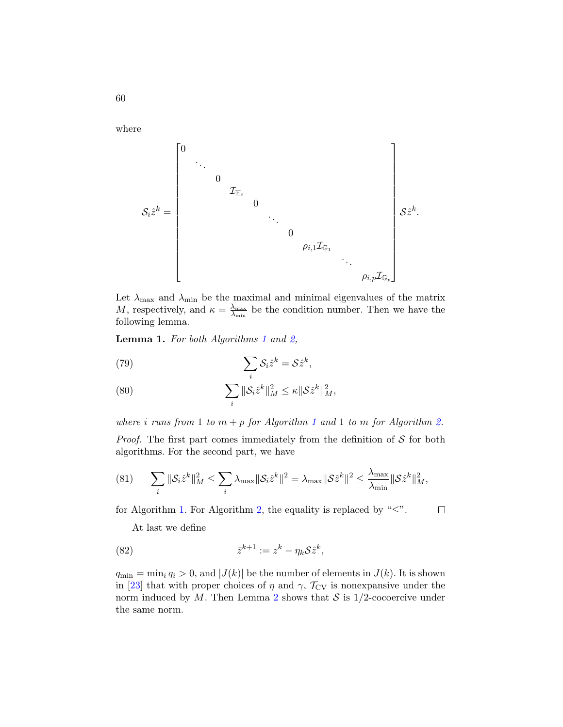where

Sizˆ <sup>k</sup> = 0 . . . 0 IH<sup>i</sup> 0 . . . 0 ρi,1IG<sup>1</sup> . . . ρi,pIG<sup>p</sup> Szˆ k

Let  $\lambda_{\text{max}}$  and  $\lambda_{\text{min}}$  be the maximal and minimal eigenvalues of the matrix M, respectively, and  $\kappa = \frac{\lambda_{\max}}{\lambda_{\min}}$  $\frac{\lambda_{\text{max}}}{\lambda_{\text{min}}}$  be the condition number. Then we have the following lemma.

Lemma [1](#page-27-1). For both Algorithms 1 and [2,](#page-28-1)

(79) 
$$
\sum_{i} S_{i} \hat{z}^{k} = S \hat{z}^{k},
$$

<span id="page-59-0"></span>(80) 
$$
\sum_{i} \|\mathcal{S}_{i}\hat{z}^{k}\|_{M}^{2} \leq \kappa \|\mathcal{S}\hat{z}^{k}\|_{M}^{2},
$$

where *i* runs from [1](#page-27-1) to  $m + p$  for Algorithm 1 and 1 to m for Algorithm [2.](#page-28-1) *Proof.* The first part comes immediately from the definition of  $S$  for both algorithms. For the second part, we have

(81) 
$$
\sum_{i} \|\mathcal{S}_{i}\hat{z}^{k}\|_{M}^{2} \leq \sum_{i} \lambda_{\max} \|\mathcal{S}_{i}\hat{z}^{k}\|^{2} = \lambda_{\max} \|\mathcal{S}\hat{z}^{k}\|^{2} \leq \frac{\lambda_{\max}}{\lambda_{\min}} \|\mathcal{S}\hat{z}^{k}\|_{M}^{2},
$$

for Algorithm [1.](#page-27-1) For Algorithm [2,](#page-28-1) the equality is replaced by " $\leq$ ".

 $\Box$ 

.

At last we define

<span id="page-59-1"></span>(82) 
$$
\overline{z}^{k+1} := z^k - \eta_k \mathcal{S} \hat{z}^k,
$$

 $q_{\min} = \min_i q_i > 0$ , and  $|J(k)|$  be the number of elements in  $J(k)$ . It is shown in [\[23\]](#page-49-9) that with proper choices of  $\eta$  and  $\gamma$ ,  $\mathcal{T}_{CV}$  is nonexpansive under the norm induced by M. Then Lemma [2](#page-60-0) shows that  $S$  is  $1/2$ -cocoercive under the same norm.

60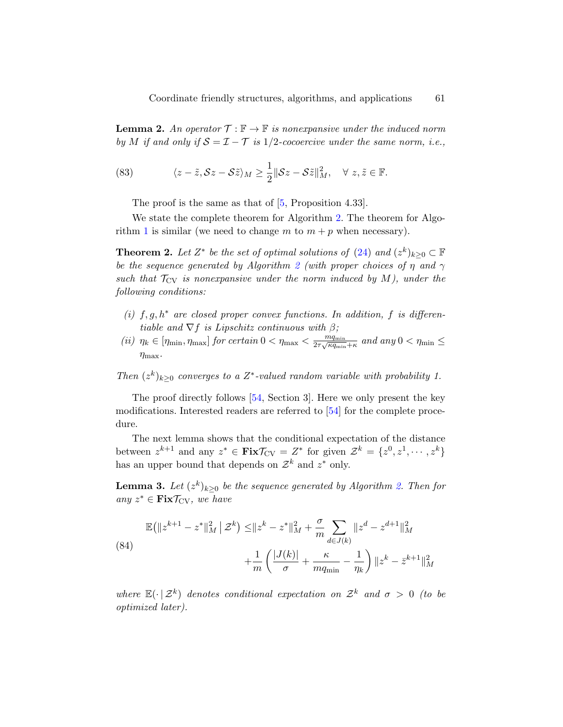<span id="page-60-0"></span>**Lemma 2.** An operator  $\mathcal{T} : \mathbb{F} \to \mathbb{F}$  is nonexpansive under the induced norm by M if and only if  $S = \mathcal{I} - \mathcal{T}$  is 1/2-cocoercive under the same norm, i.e.,

(83) 
$$
\langle z-\tilde{z}, \mathcal{S}z-\mathcal{S}\tilde{z}\rangle_M \geq \frac{1}{2} \|\mathcal{S}z-\mathcal{S}\tilde{z}\|_M^2, \quad \forall \ z, \tilde{z} \in \mathbb{F}.
$$

<span id="page-60-1"></span>The proof is the same as that of [\[5,](#page-47-4) Proposition 4.33].

We state the complete theorem for Algorithm [2.](#page-28-1) The theorem for Algo-rithm [1](#page-27-1) is similar (we need to change m to  $m + p$  when necessary).

**Theorem 2.** Let  $Z^*$  be the set of optimal solutions of [\(24\)](#page-21-1) and  $(z^k)_{k\geq 0} \subset \mathbb{F}$ be the sequence generated by Algorithm [2](#page-28-1) (with proper choices of  $\eta$  and  $\gamma$ such that  $\mathcal{T}_{CV}$  is nonexpansive under the norm induced by M), under the following conditions:

- (i)  $f, g, h^*$  are closed proper convex functions. In addition, f is differentiable and  $\nabla f$  is Lipschitz continuous with  $\beta$ ;
- (ii)  $\eta_k \in [\eta_{\min}, \eta_{\max}]$  for certain  $0 < \eta_{\max} < \frac{mq_{\min}}{2\tau\sqrt{\kappa q_{\min}}}$  $\frac{m_{\text{fmin}}}{2\tau\sqrt{\kappa q_{\text{min}}+\kappa}}$  and any  $0<\eta_{\text{min}}\leq$  $\eta_{\text{max}}$ .

Then  $(z^k)_{k\geq 0}$  converges to a  $Z^*$ -valued random variable with probability 1.

The proof directly follows [\[54,](#page-52-4) Section 3]. Here we only present the key modifications. Interested readers are referred to [\[54\]](#page-52-4) for the complete procedure.

The next lemma shows that the conditional expectation of the distance between  $z^{k+1}$  and any  $z^* \in \text{Fix}\mathcal{T}_{CV} = Z^*$  for given  $\mathcal{Z}^k = \{z^0, z^1, \dots, z^k\}$ has an upper bound that depends on  $\mathcal{Z}^k$  and  $z^*$  only.

**Lemma 3.** Let  $(z^k)_{k\geq 0}$  be the sequence generated by Algorithm [2.](#page-28-1) Then for any  $z^* \in \text{Fix} \mathcal{T}_{CV}$ , we have

<span id="page-60-2"></span>(84)  
\n
$$
\mathbb{E}(\|z^{k+1} - z^*\|_M^2 \mid \mathcal{Z}^k) \le \|z^k - z^*\|_M^2 + \frac{\sigma}{m} \sum_{d \in J(k)} \|z^d - z^{d+1}\|_M^2 + \frac{1}{m} \left( \frac{|J(k)|}{\sigma} + \frac{\kappa}{mq_{\min}} - \frac{1}{\eta_k} \right) \|z^k - \bar{z}^{k+1}\|_M^2
$$

where  $\mathbb{E}(\cdot | \mathcal{Z}^k)$  denotes conditional expectation on  $\mathcal{Z}^k$  and  $\sigma > 0$  (to be optimized later).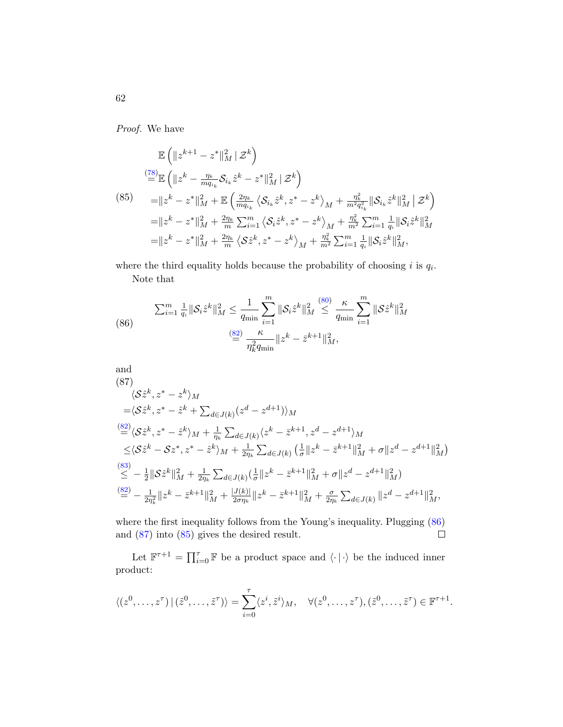Proof. We have

<span id="page-61-2"></span>
$$
\mathbb{E}\left(\|z^{k+1} - z^*\|_M^2 \,|\, \mathcal{Z}^k\right)
$$
\n
$$
\stackrel{(78)}{=} \mathbb{E}\left(\|z^k - \frac{\eta_k}{m q_{i_k}} \mathcal{S}_{i_k} \hat{z}^k - z^*\|_M^2 \,|\, \mathcal{Z}^k\right)
$$
\n
$$
= \|z^k - z^*\|_M^2 + \mathbb{E}\left(\frac{2\eta_k}{m q_{i_k}} \left\langle \mathcal{S}_{i_k} \hat{z}^k, z^* - z^k \right\rangle_M + \frac{\eta_k^2}{m^2 q_{i_k}^2} \|\mathcal{S}_{i_k} \hat{z}^k\|_M^2 \,|\, \mathcal{Z}^k\right)
$$
\n
$$
= \|z^k - z^*\|_M^2 + \frac{2\eta_k}{m} \sum_{i=1}^m \left\langle \mathcal{S}_i \hat{z}^k, z^* - z^k \right\rangle_M + \frac{\eta_k^2}{m^2} \sum_{i=1}^m \frac{1}{q_i} \|\mathcal{S}_i \hat{z}^k\|_M^2
$$
\n
$$
= \|z^k - z^*\|_M^2 + \frac{2\eta_k}{m} \left\langle \mathcal{S}\hat{z}^k, z^* - z^k \right\rangle_M + \frac{\eta_k^2}{m^2} \sum_{i=1}^m \frac{1}{q_i} \|\mathcal{S}_i \hat{z}^k\|_M^2,
$$

where the third equality holds because the probability of choosing i is  $q_i$ . Note that

<span id="page-61-0"></span>(86) 
$$
\sum_{i=1}^{m} \frac{1}{q_i} \|\mathcal{S}_i \hat{z}^k\|_{M}^2 \leq \frac{1}{q_{\min}} \sum_{i=1}^{m} \|\mathcal{S}_i \hat{z}^k\|_{M}^2 \leq \frac{\kappa}{q_{\min}} \sum_{i=1}^{m} \|\mathcal{S} \hat{z}^k\|_{M}^2
$$

$$
\stackrel{\text{(82)}}{=} \frac{\kappa}{\eta_k^2 q_{\min}} \|z^k - \bar{z}^{k+1}\|_{M}^2,
$$

<span id="page-61-1"></span>and  
\n(87)  
\n
$$
\langle \mathcal{S}\hat{z}^{k}, z^{*} - z^{k} \rangle_{M}
$$
\n
$$
= \langle \mathcal{S}\hat{z}^{k}, z^{*} - \hat{z}^{k} + \sum_{d \in J(k)} (z^{d} - z^{d+1}) \rangle_{M}
$$
\n
$$
\stackrel{\text{(82)}}{=} \langle \mathcal{S}\hat{z}^{k}, z^{*} - \hat{z}^{k} \rangle_{M} + \frac{1}{\eta_{k}} \sum_{d \in J(k)} \langle z^{k} - \bar{z}^{k+1}, z^{d} - z^{d+1} \rangle_{M}
$$
\n
$$
\leq \langle \mathcal{S}\hat{z}^{k} - \mathcal{S}z^{*}, z^{*} - \hat{z}^{k} \rangle_{M} + \frac{1}{2\eta_{k}} \sum_{d \in J(k)} \left( \frac{1}{\sigma} || z^{k} - \bar{z}^{k+1} ||_{M}^{2} + \sigma || z^{d} - z^{d+1} ||_{M}^{2} \right)
$$
\n
$$
\stackrel{\text{(83)}}{\leq} - \frac{1}{2} ||\mathcal{S}\hat{z}^{k}||_{M}^{2} + \frac{1}{2\eta_{k}} \sum_{d \in J(k)} \left( \frac{1}{\sigma} || z^{k} - \bar{z}^{k+1} ||_{M}^{2} + \sigma || z^{d} - z^{d+1} ||_{M}^{2} \right)
$$
\n
$$
\stackrel{\text{(82)}}{=} - \frac{1}{2\eta_{k}^{2}} || z^{k} - \bar{z}^{k+1} ||_{M}^{2} + \frac{|J(k)|}{2\sigma\eta_{k}} || z^{k} - \bar{z}^{k+1} ||_{M}^{2} + \frac{\sigma}{2\eta_{k}} \sum_{d \in J(k)} || z^{d} - z^{d+1} ||_{M}^{2},
$$

where the first inequality follows from the Young's inequality. Plugging [\(86\)](#page-61-0) and [\(87\)](#page-61-1) into [\(85\)](#page-61-2) gives the desired result.  $\Box$ 

Let  $\mathbb{F}^{\tau+1} = \prod_{i=0}^{\tau} \mathbb{F}$  be a product space and  $\langle \cdot | \cdot \rangle$  be the induced inner product:

$$
\langle (z^0, \ldots, z^{\tau}) | (\tilde{z}^0, \ldots, \tilde{z}^{\tau}) \rangle = \sum_{i=0}^{\tau} \langle z^i, \tilde{z}^i \rangle_M, \quad \forall (z^0, \ldots, z^{\tau}), (\tilde{z}^0, \ldots, \tilde{z}^{\tau}) \in \mathbb{F}^{\tau+1}.
$$

62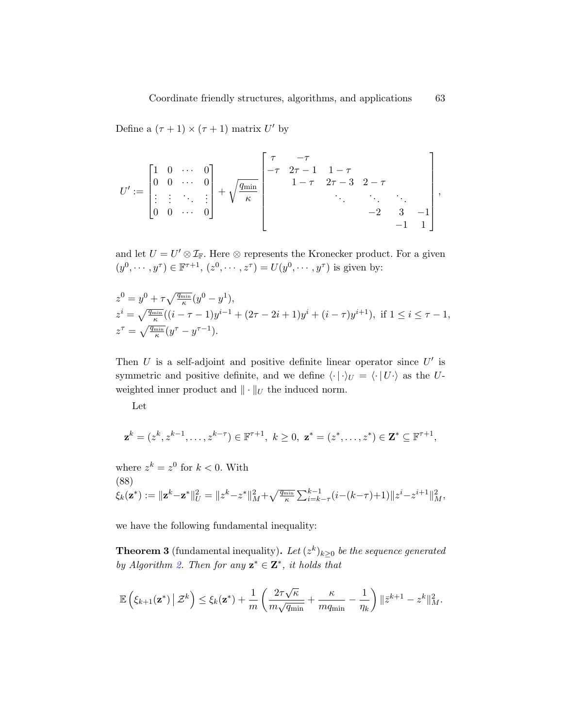Define a  $(\tau + 1) \times (\tau + 1)$  matrix U' by

$$
U' := \begin{bmatrix} 1 & 0 & \cdots & 0 \\ 0 & 0 & \cdots & 0 \\ \vdots & \vdots & \ddots & \vdots \\ 0 & 0 & \cdots & 0 \end{bmatrix} + \sqrt{\frac{q_{\min}}{\kappa}} \begin{bmatrix} \tau & -\tau & & & & \\ -\tau & 2\tau - 1 & 1 - \tau & & & \\ & 1 - \tau & 2\tau - 3 & 2 - \tau & & \\ & & \ddots & \ddots & \ddots & \\ & & & -2 & 3 & -1 \\ & & & & -1 & 1 \end{bmatrix},
$$

and let  $U = U' \otimes \mathcal{I}_{F}$ . Here  $\otimes$  represents the Kronecker product. For a given  $(y^{0}, \dots, y^{\tau}) \in \mathbb{F}^{\tau+1}, (z^{0}, \dots, z^{\tau}) = U(y^{0}, \dots, y^{\tau})$  is given by:

$$
z^{0} = y^{0} + \tau \sqrt{\frac{q_{\min}}{\kappa}} (y^{0} - y^{1}),
$$
  
\n
$$
z^{i} = \sqrt{\frac{q_{\min}}{\kappa}} ((i - \tau - 1)y^{i-1} + (2\tau - 2i + 1)y^{i} + (i - \tau)y^{i+1}), \text{ if } 1 \leq i \leq \tau - 1,
$$
  
\n
$$
z^{\tau} = \sqrt{\frac{q_{\min}}{\kappa}} (y^{\tau} - y^{\tau - 1}).
$$

Then  $U$  is a self-adjoint and positive definite linear operator since  $U'$  is symmetric and positive definite, and we define  $\langle \cdot | \cdot \rangle_U = \langle \cdot | U \cdot \rangle$  as the Uweighted inner product and  $\|\cdot\|_U$  the induced norm.

Let

$$
\mathbf{z}^k = (z^k, z^{k-1}, \dots, z^{k-\tau}) \in \mathbb{F}^{\tau+1}, \ k \ge 0, \ \mathbf{z}^* = (z^*, \dots, z^*) \in \mathbf{Z}^* \subseteq \mathbb{F}^{\tau+1},
$$

<span id="page-62-0"></span>where  $z^k = z^0$  for  $k < 0$ . With (88)  $\xi_k(\mathbf{z}^*) := \|\mathbf{z}^k - \mathbf{z}^*\|_U^2 = \|z^k - z^*\|_M^2 + \sqrt{\tfrac{q_{\min}}{\kappa}} \sum_{i = k - \tau}^{k - 1} (i - (k - \tau) + 1)\|z^i - z^{i + 1}\|_M^2,$ 

we have the following fundamental inequality:

**Theorem 3** (fundamental inequality). Let  $(z^k)_{k\geq 0}$  be the sequence generated by Algorithm [2.](#page-28-1) Then for any  $z^* \in Z^*$ , it holds that

$$
\mathbb{E}\left(\xi_{k+1}(\mathbf{z}^*)\,\big|\,\mathcal{Z}^k\right)\leq \xi_k(\mathbf{z}^*)+\frac{1}{m}\left(\frac{2\tau\sqrt{\kappa}}{m\sqrt{q_{\min}}}+\frac{\kappa}{mq_{\min}}-\frac{1}{\eta_k}\right)\|\bar{z}^{k+1}-z^k\|^2_M.
$$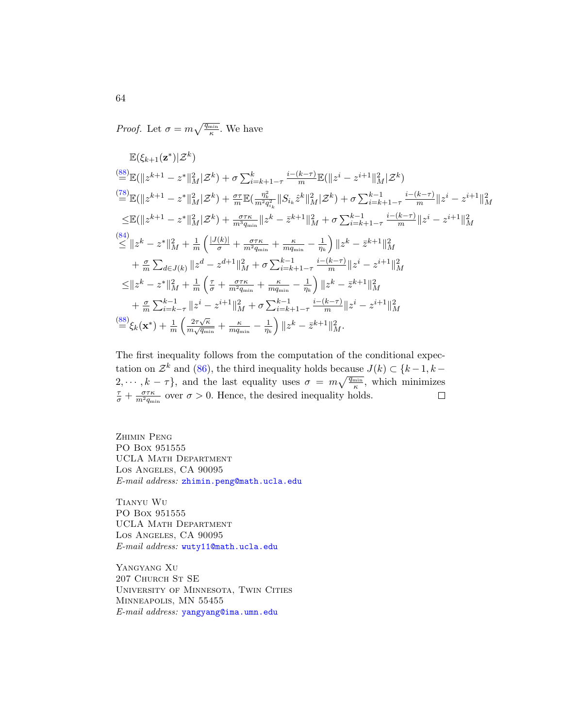*Proof.* Let  $\sigma = m \sqrt{\frac{q_{\min}}{\kappa}}$ . We have

$$
\mathbb{E}(\xi_{k+1}(\mathbf{z}^*)|\mathcal{Z}^k)
$$
\n
$$
\stackrel{(88)}{=} \mathbb{E}(\|z^{k+1} - z^*\|_M^2|\mathcal{Z}^k) + \sigma \sum_{i=k+1-\tau}^k \frac{i-(k-\tau)}{m} \mathbb{E}(\|z^i - z^{i+1}\|_M^2|\mathcal{Z}^k)
$$
\n
$$
\stackrel{(78)}{=} \mathbb{E}(\|z^{k+1} - z^*\|_M^2|\mathcal{Z}^k) + \frac{\sigma\tau}{m} \mathbb{E}(\frac{\eta_k^2}{m^2 q_{i_k}^2} \|S_{i_k}\hat{z}^k\|_M^2|\mathcal{Z}^k) + \sigma \sum_{i=k+1-\tau}^{k-1} \frac{i-(k-\tau)}{m} \|z^i - z^{i+1}\|_M^2
$$
\n
$$
\leq \mathbb{E}(\|z^{k+1} - z^*\|_M^2|\mathcal{Z}^k) + \frac{\sigma\tau\kappa}{m^3 q_{\min}} \|z^k - \bar{z}^{k+1}\|_M^2 + \sigma \sum_{i=k+1-\tau}^{k-1} \frac{i-(k-\tau)}{m} \|z^i - z^{i+1}\|_M^2
$$
\n
$$
\stackrel{(84)}{\leq} \|z^k - z^*\|_M^2 + \frac{1}{m} \left(\frac{|J(k)|}{\sigma} + \frac{\sigma\tau\kappa}{m^2 q_{\min}} + \frac{\kappa}{m q_{\min}} - \frac{1}{\eta_k}\right) \|z^k - \bar{z}^{k+1}\|_M^2
$$
\n
$$
+ \frac{\sigma}{m} \sum_{d \in J(k)} \|z^d - z^{d+1}\|_M^2 + \sigma \sum_{i=k+1-\tau}^{k-1} \frac{i-(k-\tau)}{m} \|z^i - z^{i+1}\|_M^2
$$
\n
$$
\leq \|z^k - z^*\|_M^2 + \frac{1}{m} \left(\frac{\tau}{\sigma} + \frac{\sigma\tau\kappa}{m^2 q_{\min}} + \frac{\kappa}{m q_{\min}} - \frac{1}{\eta_k}\right) \|z^k - \bar{z}^{k+1}\|_M^2
$$
\n
$$
+ \frac{\sigma}{m} \sum_{i=k-\tau}^{
$$

The first inequality follows from the computation of the conditional expectation on  $\mathcal{Z}^k$  and [\(86\)](#page-61-0), the third inequality holds because  $J(k) \subset \{k-1, k-1\}$  $2, \dots, k - \tau$ , and the last equality uses  $\sigma = m\sqrt{\frac{q_{\min}}{\kappa}}$ , which minimizes  $rac{\tau}{\sigma} + \frac{\sigma \tau \kappa}{m^2 q_m}$  $\frac{\sigma\tau\kappa}{m^2q_{\min}}$  over  $\sigma > 0$ . Hence, the desired inequality holds.

Zhimin Peng PO Box 951555 UCLA MATH DEPARTMENT Los Angeles, CA 90095 E-mail address: [zhimin.peng@math.ucla.edu](mailto:zhimin.peng@math.ucla.edu)

Tianyu Wu PO Box 951555 UCLA MATH DEPARTMENT Los Angeles, CA 90095 E-mail address: [wuty11@math.ucla.edu](mailto:wuty11@math.ucla.edu)

Yangyang Xu 207 Church St SE University of Minnesota, Twin Cities Minneapolis, MN 55455 E-mail address: [yangyang@ima.umn.edu](mailto:yangyang@ima.umn.edu)

64